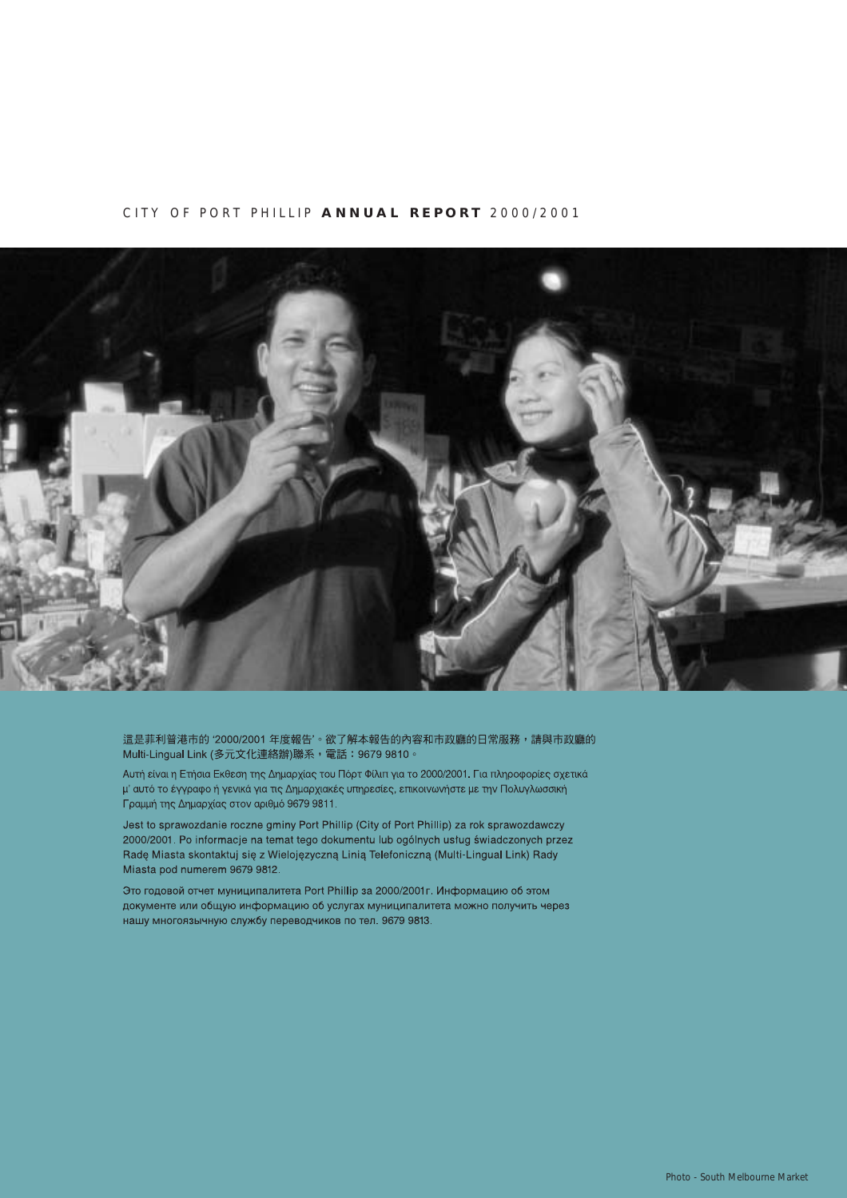#### CITY OF PORT PHILLIP **ANNUAL REPORT** 2000/2001



這是菲利普港市的 '2000/2001 年度報告'。欲了解本報告的內容和市政廳的日常服務,請與市政廳的 Multi-Lingual Link (多元文化連絡辦)聯系, 電話: 9679 9810。

Αυτή είναι η Ετήσια Εκθεση της Δημαρχίας του Πόρτ Φίλιπ για το 2000/2001. Για πληροφορίες σχετικά μ' αυτό το έγγραφο ή γενικά για τις Δημαρχιακές υπηρεσίες, επικοινωνήστε με την Πολυγλωσσική Γραμμή της Δημαρχίας στον αριθμό 9679 9811.

Jest to sprawozdanie roczne gminy Port Phillip (City of Port Phillip) za rok sprawozdawczy 2000/2001. Po informacje na temat tego dokumentu lub ogólnych usług świadczonych przez Rade Miasta skontaktuj się z Wielojęzyczną Linią Telefoniczną (Multi-Lingual Link) Rady Miasta pod numerem 9679 9812.

Это годовой отчет муниципалитета Port Phillip за 2000/2001 г. Информацию об этом документе или общую информацию об услугах муниципалитета можно получить через нашу многоязычную службу переводчиков по тел. 9679 9813.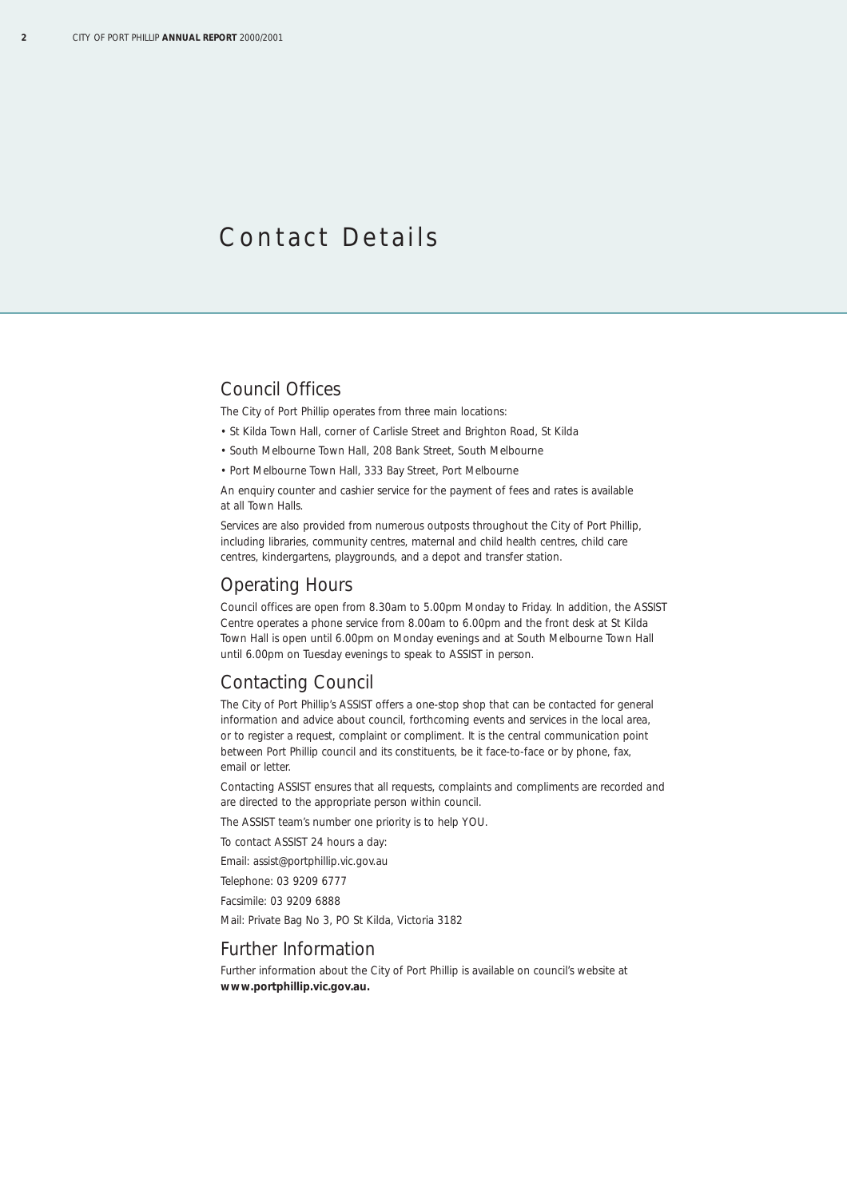## Contact Details

## Council Offices

The City of Port Phillip operates from three main locations:

- St Kilda Town Hall, corner of Carlisle Street and Brighton Road, St Kilda
- South Melbourne Town Hall, 208 Bank Street, South Melbourne
- Port Melbourne Town Hall, 333 Bay Street, Port Melbourne

An enquiry counter and cashier service for the payment of fees and rates is available at all Town Halls.

Services are also provided from numerous outposts throughout the City of Port Phillip, including libraries, community centres, maternal and child health centres, child care centres, kindergartens, playgrounds, and a depot and transfer station.

### Operating Hours

Council offices are open from 8.30am to 5.00pm Monday to Friday. In addition, the ASSIST Centre operates a phone service from 8.00am to 6.00pm and the front desk at St Kilda Town Hall is open until 6.00pm on Monday evenings and at South Melbourne Town Hall until 6.00pm on Tuesday evenings to speak to ASSIST in person.

## Contacting Council

The City of Port Phillip's ASSIST offers a one-stop shop that can be contacted for general information and advice about council, forthcoming events and services in the local area, or to register a request, complaint or compliment. It is the central communication point between Port Phillip council and its constituents, be it face-to-face or by phone, fax, email or letter.

Contacting ASSIST ensures that all requests, complaints and compliments are recorded and are directed to the appropriate person within council.

The ASSIST team's number one priority is to help YOU.

To contact ASSIST 24 hours a day:

Email: assist@portphillip.vic.gov.au

Telephone: 03 9209 6777

Facsimile: 03 9209 6888

Mail: Private Bag No 3, PO St Kilda, Victoria 3182

#### Further Information

Further information about the City of Port Phillip is available on council's website at **www.portphillip.vic.gov.au.**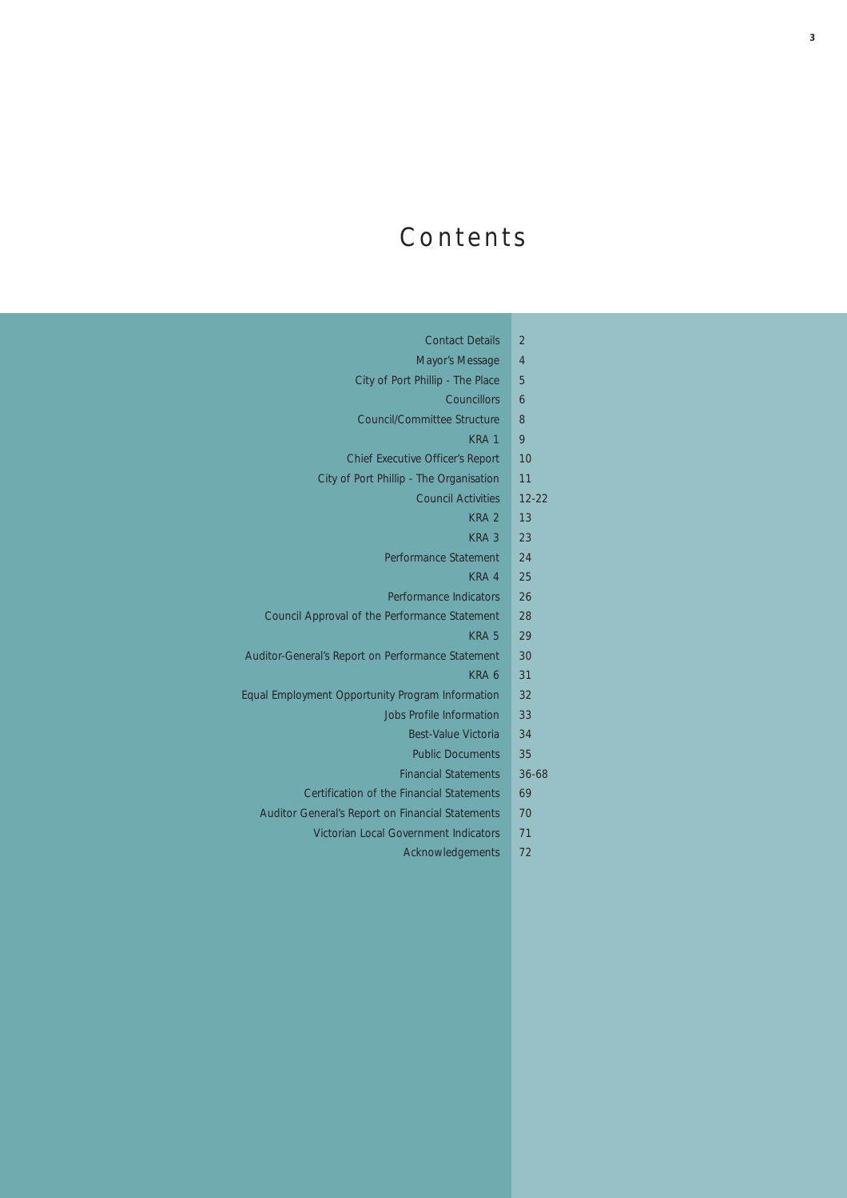# Contents

| <b>Contact Details</b>                           | $\overline{\mathcal{L}}$ |
|--------------------------------------------------|--------------------------|
| Mayor's Message                                  | $\overline{4}$           |
| City of Port Phillip - The Place                 | 5                        |
| Councillors                                      | 6                        |
| Council/Committee Structure                      | 8                        |
| KRA <sub>1</sub>                                 | 9                        |
| <b>Chief Executive Officer's Report</b>          | 10                       |
| City of Port Phillip - The Organisation          | 11                       |
| <b>Council Activities</b>                        | $12 - 22$                |
| KRA <sub>2</sub>                                 | 13                       |
| KRA <sub>3</sub>                                 | 23                       |
| Performance Statement                            | 24                       |
| KRA 4                                            | 25                       |
| Performance Indicators                           | 26                       |
| Council Approval of the Performance Statement    | 28                       |
| KRA <sub>5</sub>                                 | 29                       |
| ditor-General's Report on Performance Statement  | 30                       |
| KRA 6                                            | 31                       |
| al Employment Opportunity Program Information    | 32                       |
| <b>Jobs Profile Information</b>                  | 33                       |
| <b>Best-Value Victoria</b>                       | 34                       |
| <b>Public Documents</b>                          | 35                       |
| <b>Financial Statements</b>                      | 36-68                    |
| Certification of the Financial Statements        | 69                       |
| Auditor General's Report on Financial Statements | 70                       |
| Victorian Local Government Indicators            | 71                       |
| Acknowledgements                                 | 72                       |

Auditor

Equal I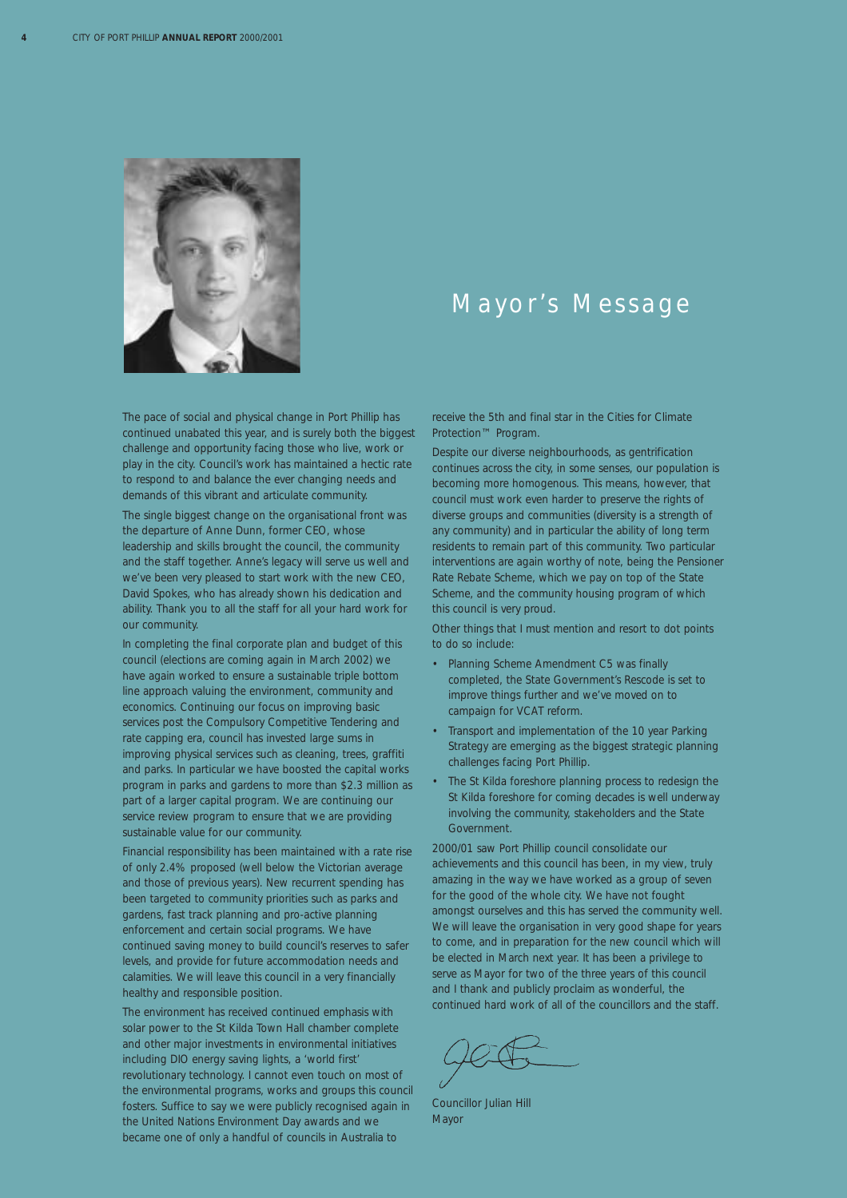

## Mayor's Message

The pace of social and physical change in Port Phillip has continued unabated this year, and is surely both the biggest challenge and opportunity facing those who live, work or play in the city. Council's work has maintained a hectic rate to respond to and balance the ever changing needs and demands of this vibrant and articulate community.

The single biggest change on the organisational front was the departure of Anne Dunn, former CEO, whose leadership and skills brought the council, the community and the staff together. Anne's legacy will serve us well and we've been very pleased to start work with the new CEO, David Spokes, who has already shown his dedication and ability. Thank you to all the staff for all your hard work for our community.

In completing the final corporate plan and budget of this council (elections are coming again in March 2002) we have again worked to ensure a sustainable triple bottom line approach valuing the environment, community and economics. Continuing our focus on improving basic services post the Compulsory Competitive Tendering and rate capping era, council has invested large sums in improving physical services such as cleaning, trees, graffiti and parks. In particular we have boosted the capital works program in parks and gardens to more than \$2.3 million as part of a larger capital program. We are continuing our service review program to ensure that we are providing sustainable value for our community.

Financial responsibility has been maintained with a rate rise of only 2.4% proposed (well below the Victorian average and those of previous years). New recurrent spending has been targeted to community priorities such as parks and gardens, fast track planning and pro-active planning enforcement and certain social programs. We have continued saving money to build council's reserves to safer levels, and provide for future accommodation needs and calamities. We will leave this council in a very financially healthy and responsible position.

The environment has received continued emphasis with solar power to the St Kilda Town Hall chamber complete and other major investments in environmental initiatives including DIO energy saving lights, a 'world first' revolutionary technology. I cannot even touch on most of the environmental programs, works and groups this council fosters. Suffice to say we were publicly recognised again in the United Nations Environment Day awards and we became one of only a handful of councils in Australia to

receive the 5th and final star in the Cities for Climate Protection™ Program.

Despite our diverse neighbourhoods, as gentrification continues across the city, in some senses, our population is becoming more homogenous. This means, however, that council must work even harder to preserve the rights of diverse groups and communities (diversity is a strength of any community) and in particular the ability of long term residents to remain part of this community. Two particular interventions are again worthy of note, being the Pensioner Rate Rebate Scheme, which we pay on top of the State Scheme, and the community housing program of which this council is very proud.

Other things that I must mention and resort to dot points to do so include:

- Planning Scheme Amendment C5 was finally completed, the State Government's Rescode is set to improve things further and we've moved on to campaign for VCAT reform.
- Transport and implementation of the 10 year Parking Strategy are emerging as the biggest strategic planning challenges facing Port Phillip.
- The St Kilda foreshore planning process to redesign the St Kilda foreshore for coming decades is well underway involving the community, stakeholders and the State Government.

2000/01 saw Port Phillip council consolidate our achievements and this council has been, in my view, truly amazing in the way we have worked as a group of seven for the good of the whole city. We have not fought amongst ourselves and this has served the community well. We will leave the organisation in very good shape for years to come, and in preparation for the new council which will be elected in March next year. It has been a privilege to serve as Mayor for two of the three years of this council and I thank and publicly proclaim as wonderful, the continued hard work of all of the councillors and the staff.

Councillor Julian Hill Mayor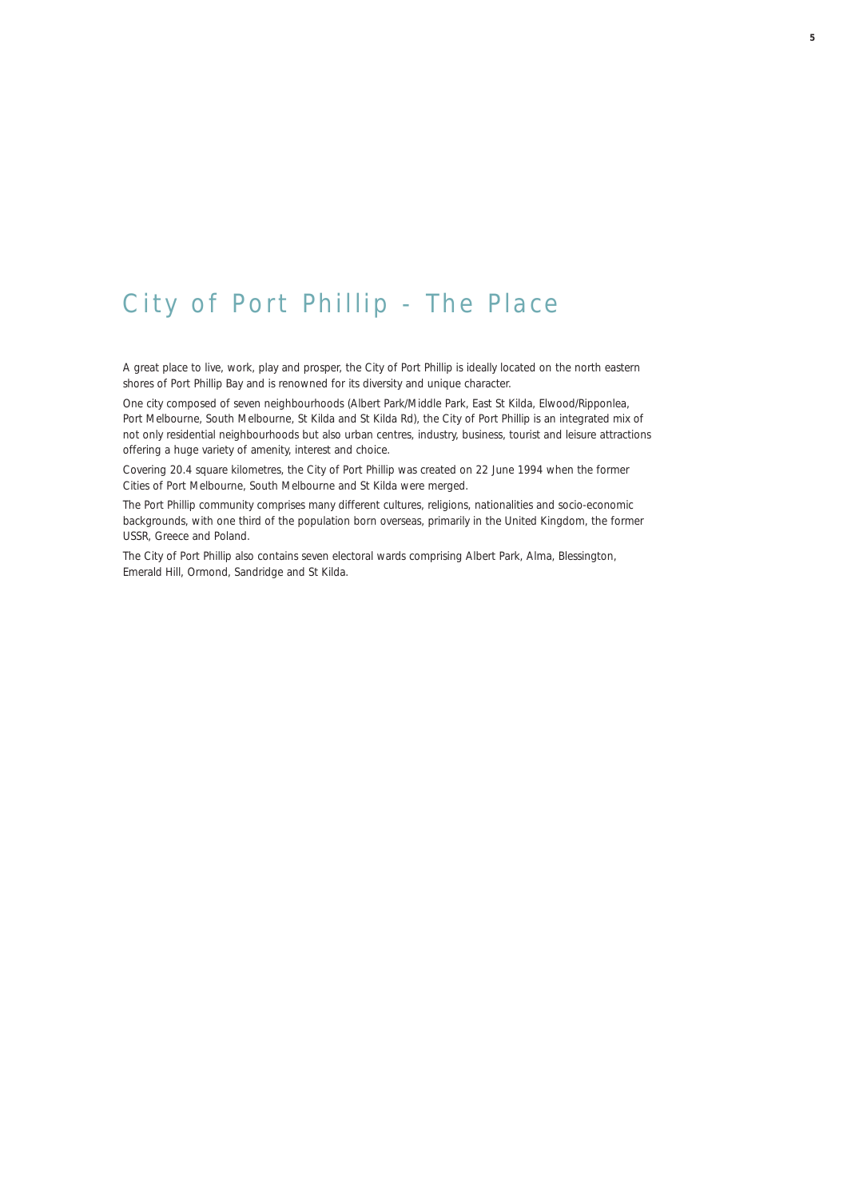## City of Port Phillip - The Place

A great place to live, work, play and prosper, the City of Port Phillip is ideally located on the north eastern shores of Port Phillip Bay and is renowned for its diversity and unique character.

One city composed of seven neighbourhoods (Albert Park/Middle Park, East St Kilda, Elwood/Ripponlea, Port Melbourne, South Melbourne, St Kilda and St Kilda Rd), the City of Port Phillip is an integrated mix of not only residential neighbourhoods but also urban centres, industry, business, tourist and leisure attractions offering a huge variety of amenity, interest and choice.

Covering 20.4 square kilometres, the City of Port Phillip was created on 22 June 1994 when the former Cities of Port Melbourne, South Melbourne and St Kilda were merged.

The Port Phillip community comprises many different cultures, religions, nationalities and socio-economic backgrounds, with one third of the population born overseas, primarily in the United Kingdom, the former USSR, Greece and Poland.

The City of Port Phillip also contains seven electoral wards comprising Albert Park, Alma, Blessington, Emerald Hill, Ormond, Sandridge and St Kilda.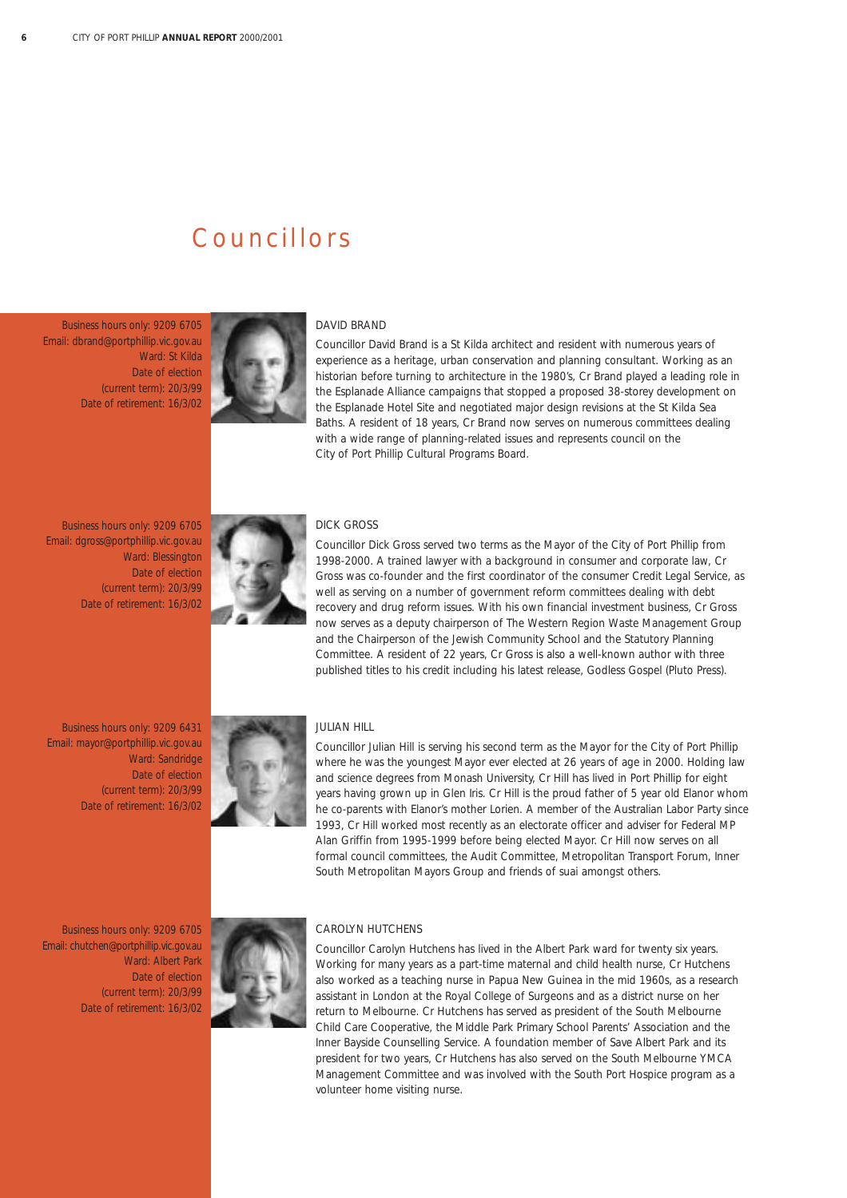## Councillors

Business hours only: 9209 6705 Email: dbrand@portphillip.vic.gov.au Ward: St Kilda Date of election (current term): 20/3/99 Date of retirement: 16/3/02



#### DAVID BRAND

Councillor David Brand is a St Kilda architect and resident with numerous years of experience as a heritage, urban conservation and planning consultant. Working as an historian before turning to architecture in the 1980's, Cr Brand played a leading role in the Esplanade Alliance campaigns that stopped a proposed 38-storey development on the Esplanade Hotel Site and negotiated major design revisions at the St Kilda Sea Baths. A resident of 18 years, Cr Brand now serves on numerous committees dealing with a wide range of planning-related issues and represents council on the City of Port Phillip Cultural Programs Board.

Business hours only: 9209 6705 Email: dgross@portphillip.vic.gov.au Ward: Blessington Date of election (current term): 20/3/99 Date of retirement: 16/3/02



#### DICK GROSS

Councillor Dick Gross served two terms as the Mayor of the City of Port Phillip from 1998-2000. A trained lawyer with a background in consumer and corporate law, Cr Gross was co-founder and the first coordinator of the consumer Credit Legal Service, as well as serving on a number of government reform committees dealing with debt recovery and drug reform issues. With his own financial investment business, Cr Gross now serves as a deputy chairperson of The Western Region Waste Management Group and the Chairperson of the Jewish Community School and the Statutory Planning Committee. A resident of 22 years, Cr Gross is also a well-known author with three published titles to his credit including his latest release, *Godless Gospel* (Pluto Press).

Business hours only: 9209 6431 Email: mayor@portphillip.vic.gov.au Ward: Sandridge Date of election (current term): 20/3/99 Date of retirement: 16/3/02



#### JULIAN HILL

Councillor Julian Hill is serving his second term as the Mayor for the City of Port Phillip where he was the youngest Mayor ever elected at 26 years of age in 2000. Holding law and science degrees from Monash University, Cr Hill has lived in Port Phillip for eight years having grown up in Glen Iris. Cr Hill is the proud father of 5 year old Elanor whom he co-parents with Elanor's mother Lorien. A member of the Australian Labor Party since 1993, Cr Hill worked most recently as an electorate officer and adviser for Federal MP Alan Griffin from 1995-1999 before being elected Mayor. Cr Hill now serves on all formal council committees, the Audit Committee, Metropolitan Transport Forum, Inner South Metropolitan Mayors Group and *friends of suai* amongst others.

Business hours only: 9209 6705 Email: chutchen@portphillip.vic.gov.au Ward: Albert Park Date of election (current term): 20/3/99 Date of retirement: 16/3/02



#### CAROLYN HUTCHENS

Councillor Carolyn Hutchens has lived in the Albert Park ward for twenty six years. Working for many years as a part-time maternal and child health nurse, Cr Hutchens also worked as a teaching nurse in Papua New Guinea in the mid 1960s, as a research assistant in London at the Royal College of Surgeons and as a district nurse on her return to Melbourne. Cr Hutchens has served as president of the South Melbourne Child Care Cooperative, the Middle Park Primary School Parents' Association and the Inner Bayside Counselling Service. A foundation member of Save Albert Park and its president for two years, Cr Hutchens has also served on the South Melbourne YMCA Management Committee and was involved with the South Port Hospice program as a volunteer home visiting nurse.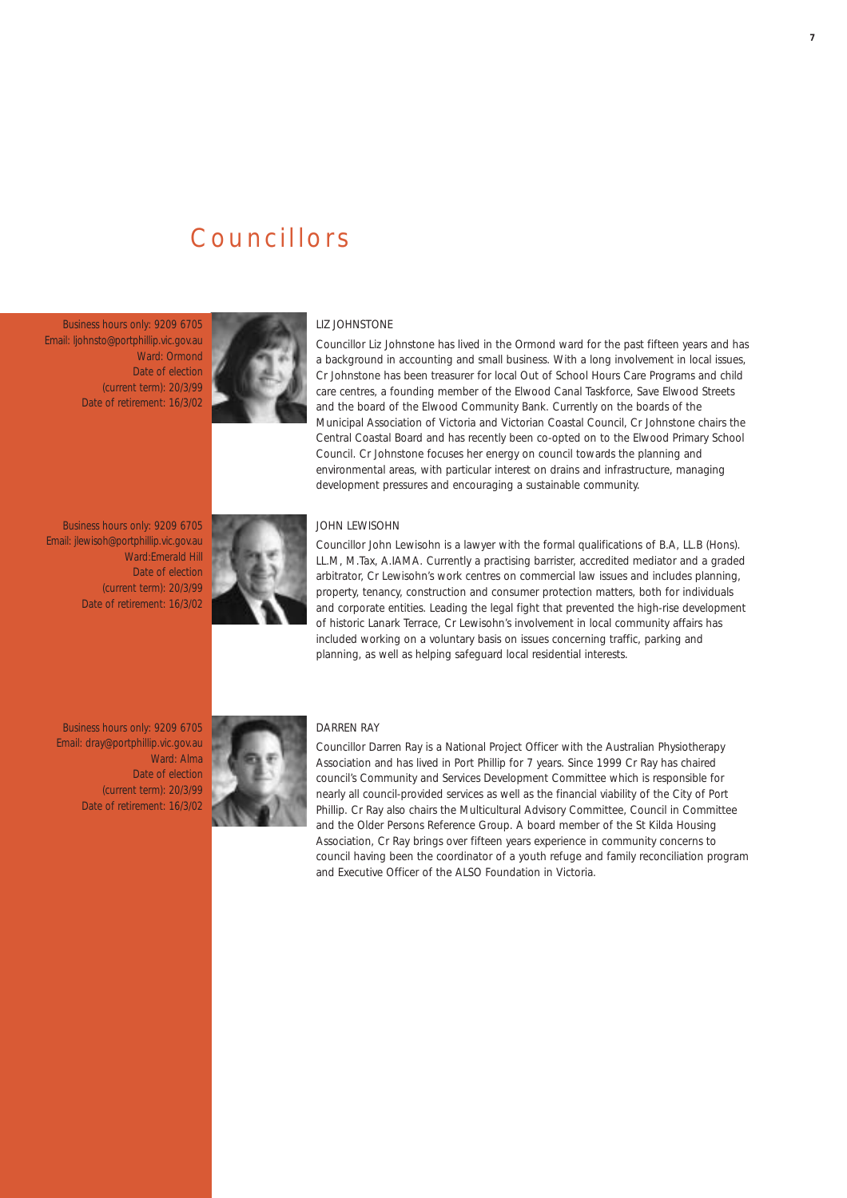## Councillors

Business hours only: 9209 6705 Email: ljohnsto@portphillip.vic.gov.au Ward: Ormond Date of election (current term): 20/3/99 Date of retirement: 16/3/02



#### LIZ JOHNSTONE

Councillor Liz Johnstone has lived in the Ormond ward for the past fifteen years and has a background in accounting and small business. With a long involvement in local issues, Cr Johnstone has been treasurer for local Out of School Hours Care Programs and child care centres, a founding member of the Elwood Canal Taskforce, Save Elwood Streets and the board of the Elwood Community Bank. Currently on the boards of the Municipal Association of Victoria and Victorian Coastal Council, Cr Johnstone chairs the Central Coastal Board and has recently been co-opted on to the Elwood Primary School Council. Cr Johnstone focuses her energy on council towards the planning and environmental areas, with particular interest on drains and infrastructure, managing development pressures and encouraging a sustainable community.

Business hours only: 9209 6705 Email: jlewisoh@portphillip.vic.gov.au Ward:Emerald Hill Date of election (current term): 20/3/99 Date of retirement: 16/3/02



#### JOHN LEWISOHN

Councillor John Lewisohn is a lawyer with the formal qualifications of B.A, LL.B (Hons). LL.M, M.Tax, A.IAMA. Currently a practising barrister, accredited mediator and a graded arbitrator, Cr Lewisohn's work centres on commercial law issues and includes planning, property, tenancy, construction and consumer protection matters, both for individuals and corporate entities. Leading the legal fight that prevented the high-rise development of historic Lanark Terrace, Cr Lewisohn's involvement in local community affairs has included working on a voluntary basis on issues concerning traffic, parking and planning, as well as helping safeguard local residential interests.

Business hours only: 9209 6705 Email: dray@portphillip.vic.gov.au Ward: Alma Date of election (current term): 20/3/99 Date of retirement: 16/3/02



#### DARREN RAY

Councillor Darren Ray is a National Project Officer with the Australian Physiotherapy Association and has lived in Port Phillip for 7 years. Since 1999 Cr Ray has chaired council's Community and Services Development Committee which is responsible for nearly all council-provided services as well as the financial viability of the City of Port Phillip. Cr Ray also chairs the Multicultural Advisory Committee, Council in Committee and the Older Persons Reference Group. A board member of the St Kilda Housing Association, Cr Ray brings over fifteen years experience in community concerns to council having been the coordinator of a youth refuge and family reconciliation program and Executive Officer of the ALSO Foundation in Victoria.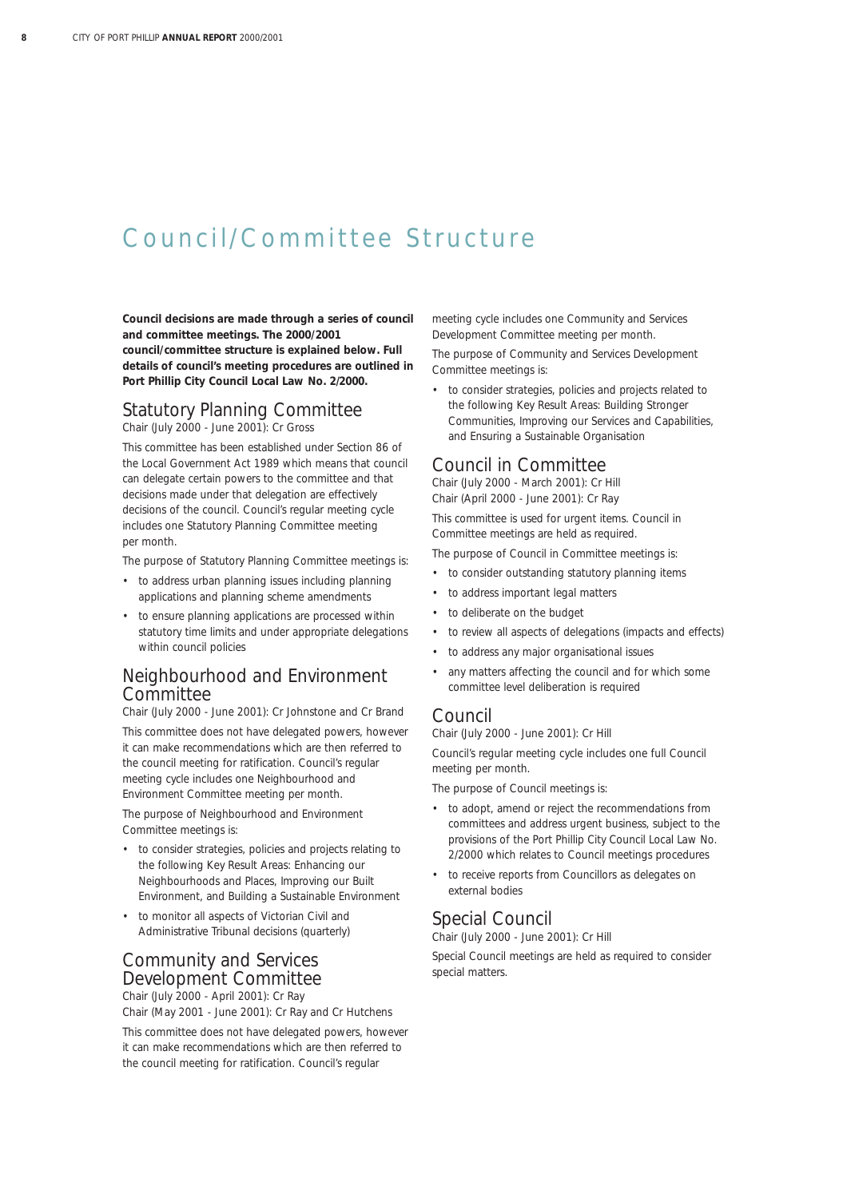## Council/Committee Structure

**Council decisions are made through a series of council and committee meetings. The 2000/2001 council/committee structure is explained below. Full details of council's meeting procedures are outlined in** *Port Phillip City Council Local Law No. 2/2000.*

## Statutory Planning Committee

*Chair (July 2000 - June 2001): Cr Gross*

This committee has been established under Section 86 of the *Local Government Act 1989* which means that council can delegate certain powers to the committee and that decisions made under that delegation are effectively decisions of the council. Council's regular meeting cycle includes one Statutory Planning Committee meeting per month.

The purpose of Statutory Planning Committee meetings is:

- to address urban planning issues including planning applications and planning scheme amendments
- to ensure planning applications are processed within statutory time limits and under appropriate delegations within council policies

### Neighbourhood and Environment **Committee**

*Chair (July 2000 - June 2001): Cr Johnstone and Cr Brand*

This committee does not have delegated powers, however it can make recommendations which are then referred to the council meeting for ratification. Council's regular meeting cycle includes one Neighbourhood and Environment Committee meeting per month.

The purpose of Neighbourhood and Environment Committee meetings is:

- to consider strategies, policies and projects relating to the following Key Result Areas: Enhancing our Neighbourhoods and Places, Improving our Built Environment, and Building a Sustainable Environment
- to monitor all aspects of Victorian Civil and Administrative Tribunal decisions (quarterly)

## Community and Services Development Committee

*Chair (July 2000 - April 2001): Cr Ray Chair (May 2001 - June 2001): Cr Ray and Cr Hutchens*

This committee does not have delegated powers, however it can make recommendations which are then referred to the council meeting for ratification. Council's regular

meeting cycle includes one Community and Services Development Committee meeting per month.

The purpose of Community and Services Development Committee meetings is:

• to consider strategies, policies and projects related to the following Key Result Areas: Building Stronger Communities, Improving our Services and Capabilities, and Ensuring a Sustainable Organisation

### Council in Committee

*Chair (July 2000 - March 2001): Cr Hill Chair (April 2000 - June 2001): Cr Ray*

This committee is used for urgent items. Council in Committee meetings are held as required.

The purpose of Council in Committee meetings is:

- to consider outstanding statutory planning items
- to address important legal matters
- to deliberate on the budget
- to review all aspects of delegations (impacts and effects)
- to address any major organisational issues
- any matters affecting the council and for which some committee level deliberation is required

#### Council

*Chair (July 2000 - June 2001): Cr Hill*

Council's regular meeting cycle includes one full Council meeting per month.

The purpose of Council meetings is:

- to adopt, amend or reject the recommendations from committees and address urgent business, subject to the provisions of the *Port Phillip City Council Local Law No. 2/2000* which relates to Council meetings procedures
- to receive reports from Councillors as delegates on external bodies

### Special Council

*Chair (July 2000 - June 2001): Cr Hill*

Special Council meetings are held as required to consider special matters.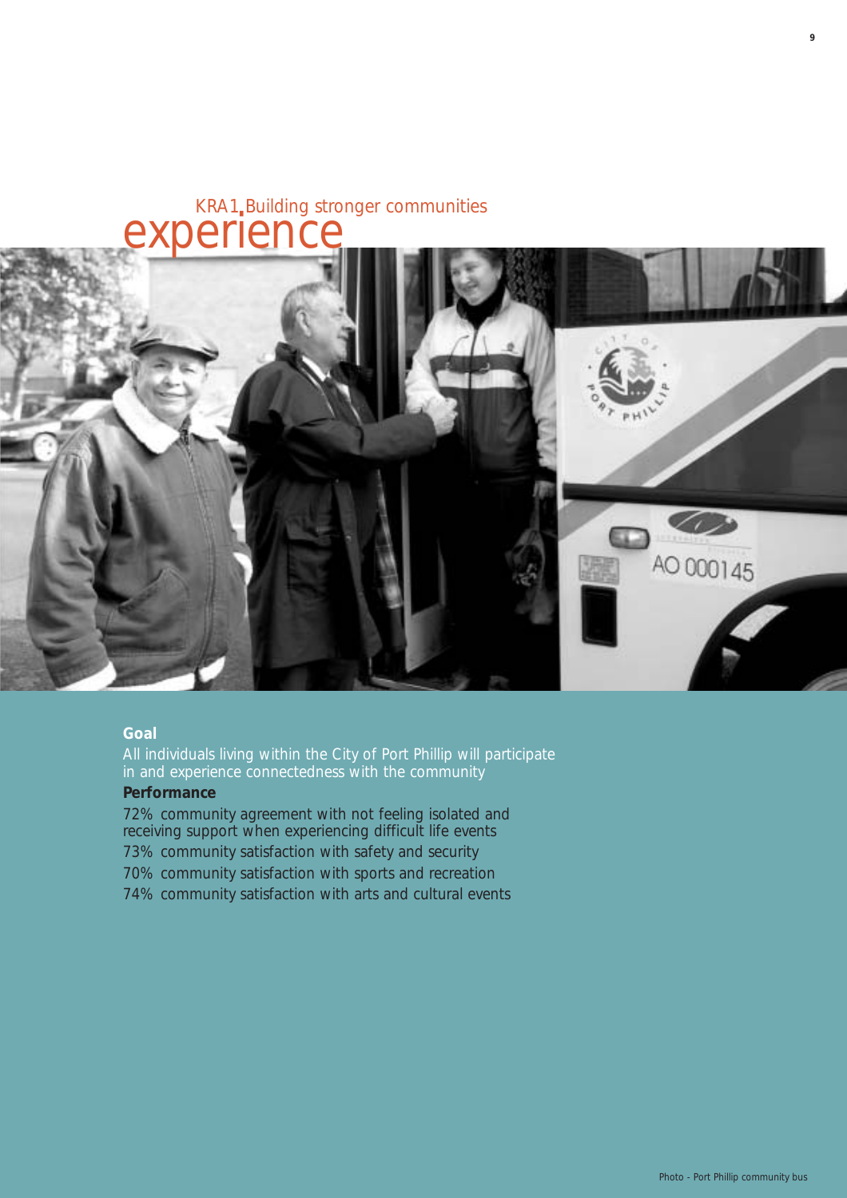# KRA1 Building stronger communities **experience**



#### **Goal**

All individuals living within the City of Port Phillip will participate in and experience connectedness with the community

### **Performance**

72% community agreement with not feeling isolated and receiving support when experiencing difficult life events 73% community satisfaction with safety and security 70% community satisfaction with sports and recreation 74% community satisfaction with arts and cultural events **9**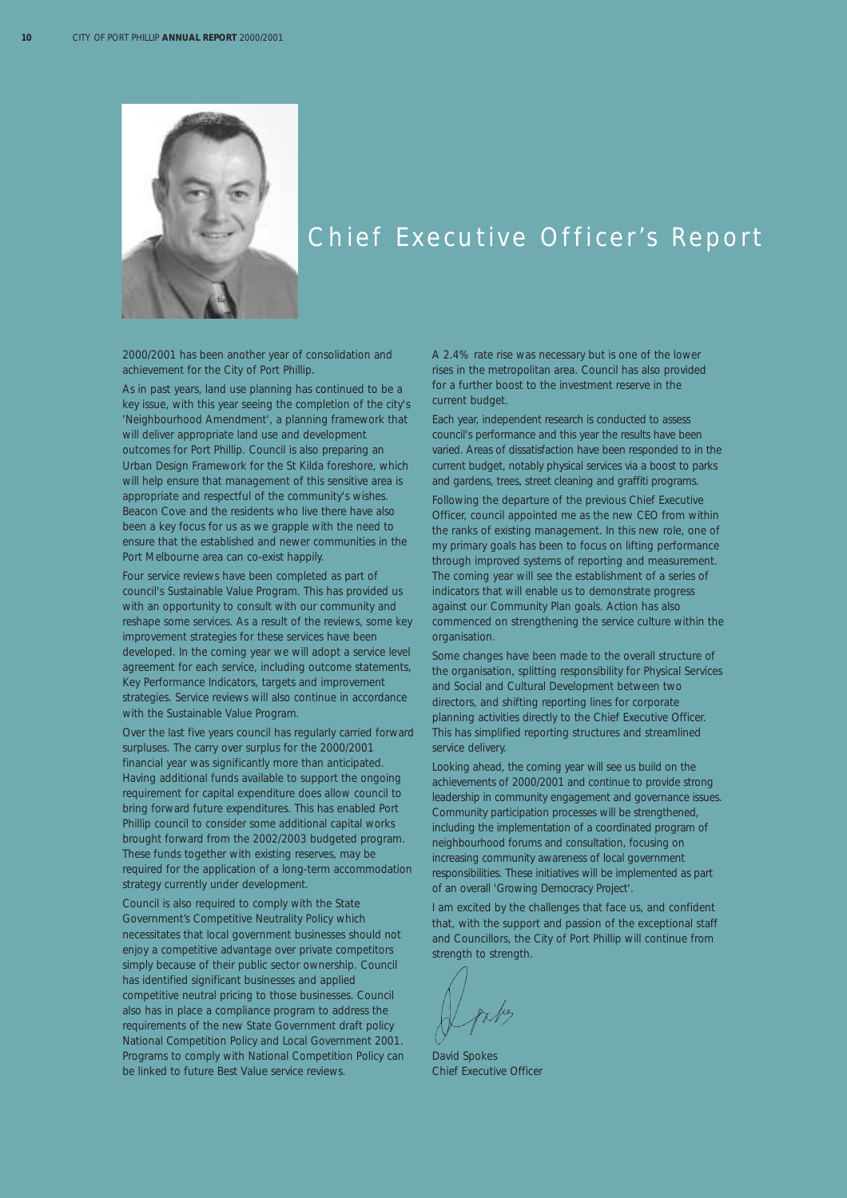

## Chief Executive Officer's Report

2000/2001 has been another year of consolidation and achievement for the City of Port Phillip.

As in past years, land use planning has continued to be a key issue, with this year seeing the completion of the city's 'Neighbourhood Amendment', a planning framework that will deliver appropriate land use and development outcomes for Port Phillip. Council is also preparing an Urban Design Framework for the St Kilda foreshore, which will help ensure that management of this sensitive area is appropriate and respectful of the community's wishes. Beacon Cove and the residents who live there have also been a key focus for us as we grapple with the need to ensure that the established and newer communities in the Port Melbourne area can co-exist happily.

Four service reviews have been completed as part of council's Sustainable Value Program. This has provided us with an opportunity to consult with our community and reshape some services. As a result of the reviews, some key improvement strategies for these services have been developed. In the coming year we will adopt a service level agreement for each service, including outcome statements, Key Performance Indicators, targets and improvement strategies. Service reviews will also continue in accordance with the Sustainable Value Program.

Over the last five years council has regularly carried forward surpluses. The carry over surplus for the 2000/2001 financial year was significantly more than anticipated. Having additional funds available to support the ongoing requirement for capital expenditure does allow council to bring forward future expenditures. This has enabled Port Phillip council to consider some additional capital works brought forward from the 2002/2003 budgeted program. These funds together with existing reserves, may be required for the application of a long-term accommodation strategy currently under development.

Council is also required to comply with the State Government's Competitive Neutrality Policy which necessitates that local government businesses should not enjoy a competitive advantage over private competitors simply because of their public sector ownership. Council has identified significant businesses and applied competitive neutral pricing to those businesses. Council also has in place a compliance program to address the requirements of the new State Government draft policy *National Competition Policy and Local Government 2001*. Programs to comply with National Competition Policy can be linked to future Best Value service reviews.

A 2.4% rate rise was necessary but is one of the lower rises in the metropolitan area. Council has also provided for a further boost to the investment reserve in the current budget.

Each year, independent research is conducted to assess council's performance and this year the results have been varied. Areas of dissatisfaction have been responded to in the current budget, notably physical services via a boost to parks and gardens, trees, street cleaning and graffiti programs.

Following the departure of the previous Chief Executive Officer, council appointed me as the new CEO from within the ranks of existing management. In this new role, one of my primary goals has been to focus on lifting performance through improved systems of reporting and measurement. The coming year will see the establishment of a series of indicators that will enable us to demonstrate progress against our Community Plan goals. Action has also commenced on strengthening the service culture within the organisation.

Some changes have been made to the overall structure of the organisation, splitting responsibility for Physical Services and Social and Cultural Development between two directors, and shifting reporting lines for corporate planning activities directly to the Chief Executive Officer. This has simplified reporting structures and streamlined service delivery.

Looking ahead, the coming year will see us build on the achievements of 2000/2001 and continue to provide strong leadership in community engagement and governance issues. Community participation processes will be strengthened, including the implementation of a coordinated program of neighbourhood forums and consultation, focusing on increasing community awareness of local government responsibilities. These initiatives will be implemented as part of an overall 'Growing Democracy Project'.

I am excited by the challenges that face us, and confident that, with the support and passion of the exceptional staff and Councillors, the City of Port Phillip will continue from strength to strength.

David Spokes Chief Executive Officer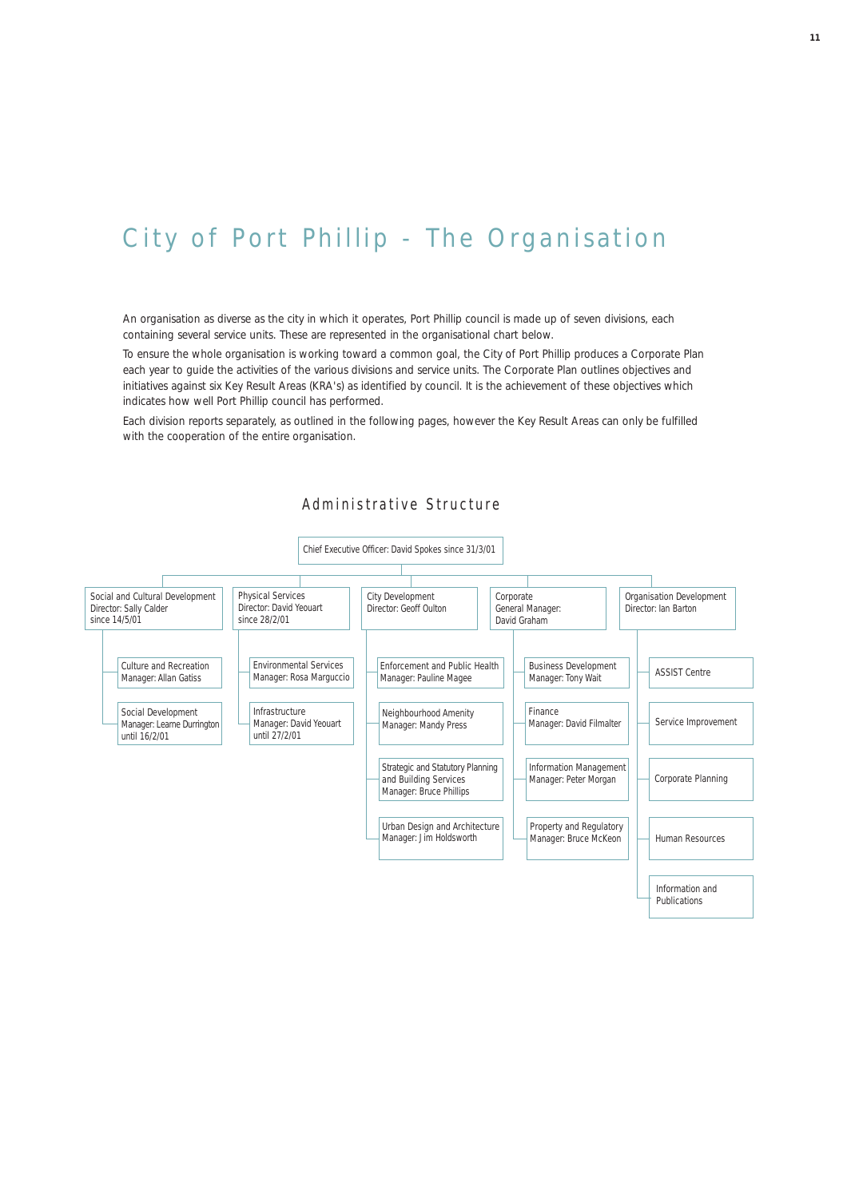# City of Port Phillip - The Organisation

An organisation as diverse as the city in which it operates, Port Phillip council is made up of seven divisions, each containing several service units. These are represented in the organisational chart below.

To ensure the whole organisation is working toward a common goal, the City of Port Phillip produces a Corporate Plan each year to guide the activities of the various divisions and service units. The Corporate Plan outlines objectives and initiatives against six Key Result Areas (KRA's) as identified by council. It is the achievement of these objectives which indicates how well Port Phillip council has performed.

Each division reports separately, as outlined in the following pages, however the Key Result Areas can only be fulfilled with the cooperation of the entire organisation.

#### Administrative Structure

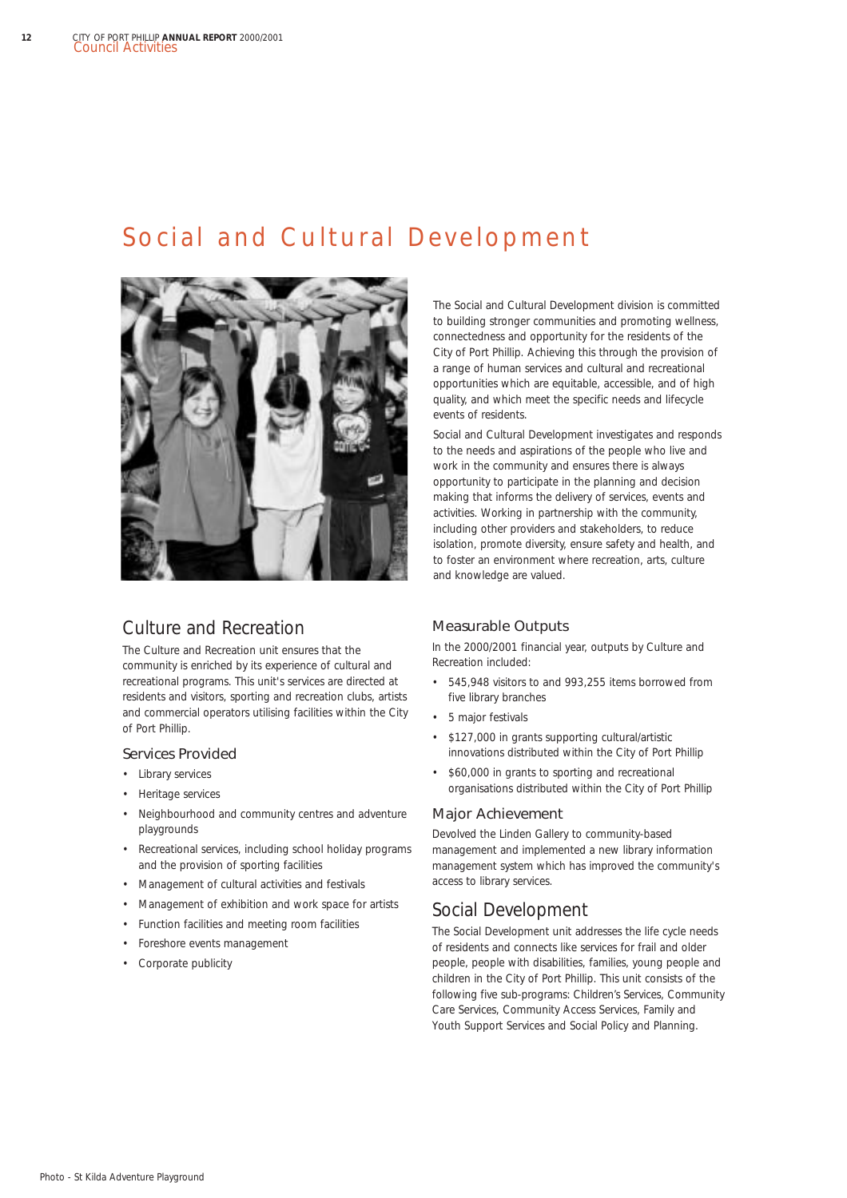## Social and Cultural Development



## Culture and Recreation

The Culture and Recreation unit ensures that the community is enriched by its experience of cultural and recreational programs. This unit's services are directed at residents and visitors, sporting and recreation clubs, artists and commercial operators utilising facilities within the City of Port Phillip.

#### Services Provided

- Library services
- Heritage services
- Neighbourhood and community centres and adventure playgrounds
- Recreational services, including school holiday programs and the provision of sporting facilities
- Management of cultural activities and festivals
- Management of exhibition and work space for artists
- Function facilities and meeting room facilities
- Foreshore events management
- Corporate publicity

The Social and Cultural Development division is committed to building stronger communities and promoting wellness, connectedness and opportunity for the residents of the City of Port Phillip. Achieving this through the provision of a range of human services and cultural and recreational opportunities which are equitable, accessible, and of high quality, and which meet the specific needs and lifecycle events of residents.

Social and Cultural Development investigates and responds to the needs and aspirations of the people who live and work in the community and ensures there is always opportunity to participate in the planning and decision making that informs the delivery of services, events and activities. Working in partnership with the community, including other providers and stakeholders, to reduce isolation, promote diversity, ensure safety and health, and to foster an environment where recreation, arts, culture and knowledge are valued.

#### Measurable Outputs

In the 2000/2001 financial year, outputs by Culture and Recreation included:

- 545,948 visitors to and 993,255 items borrowed from five library branches
- 5 major festivals
- \$127,000 in grants supporting cultural/artistic innovations distributed within the City of Port Phillip
- \$60,000 in grants to sporting and recreational organisations distributed within the City of Port Phillip

#### Major Achievement

Devolved the Linden Gallery to community-based management and implemented a new library information management system which has improved the community's access to library services.

## Social Development

The Social Development unit addresses the life cycle needs of residents and connects like services for frail and older people, people with disabilities, families, young people and children in the City of Port Phillip. This unit consists of the following five sub-programs: Children's Services, Community Care Services, Community Access Services, Family and Youth Support Services and Social Policy and Planning.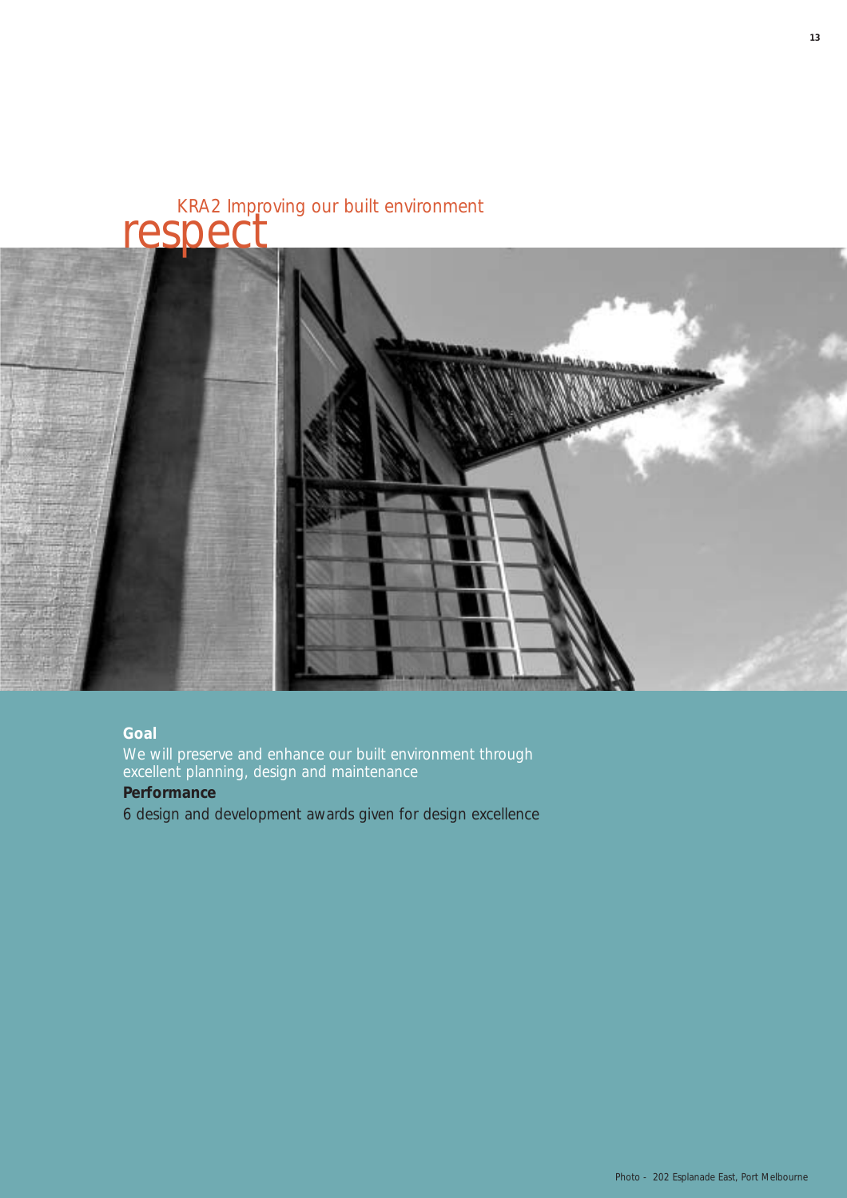

### **Goal**

We will preserve and enhance our built environment through excellent planning, design and maintenance

### **Performance**

6 design and development awards given for design excellence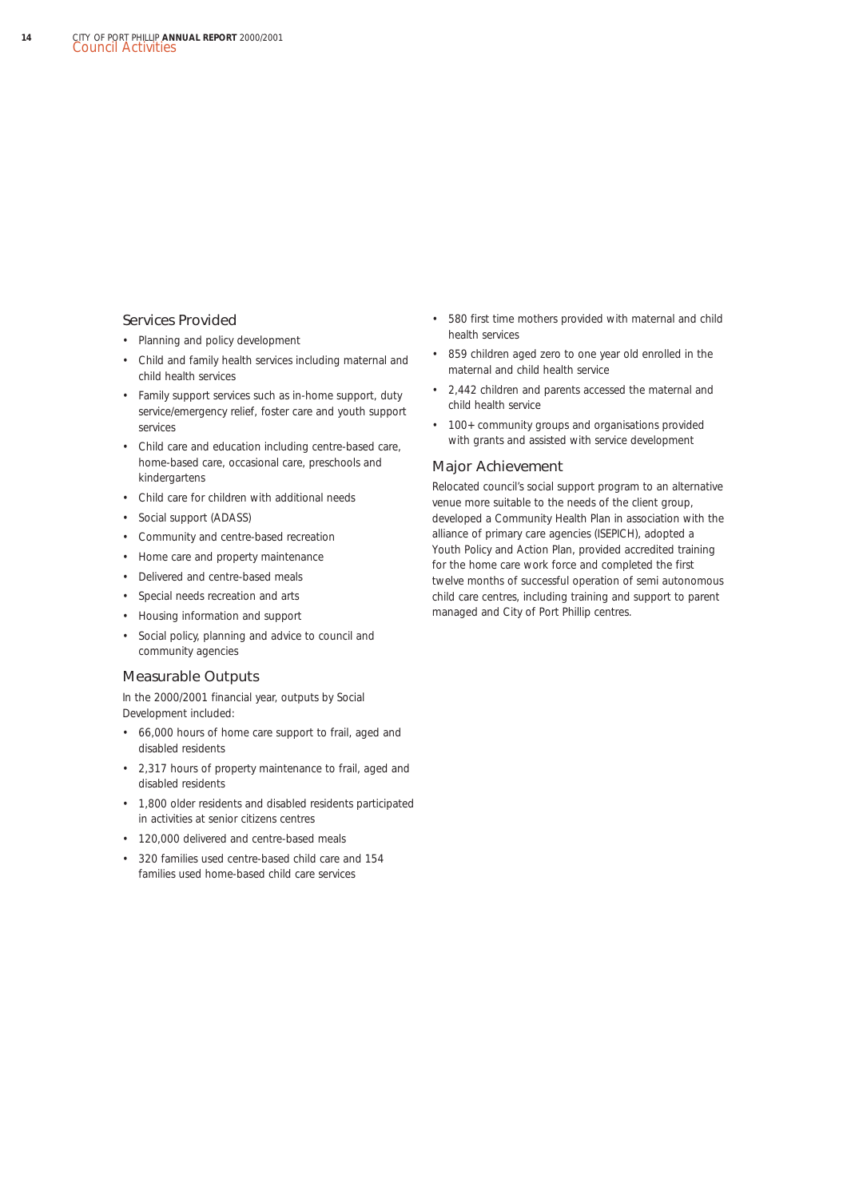#### Services Provided

- Planning and policy development
- Child and family health services including maternal and child health services
- Family support services such as in-home support, duty service/emergency relief, foster care and youth support services
- Child care and education including centre-based care, home-based care, occasional care, preschools and kindergartens
- Child care for children with additional needs
- Social support (ADASS)
- Community and centre-based recreation
- Home care and property maintenance
- Delivered and centre-based meals
- Special needs recreation and arts
- Housing information and support
- Social policy, planning and advice to council and community agencies

#### Measurable Outputs

In the 2000/2001 financial year, outputs by Social Development included:

- 66,000 hours of home care support to frail, aged and disabled residents
- 2,317 hours of property maintenance to frail, aged and disabled residents
- 1,800 older residents and disabled residents participated in activities at senior citizens centres
- 120,000 delivered and centre-based meals
- 320 families used centre-based child care and 154 families used home-based child care services
- 580 first time mothers provided with maternal and child health services
- 859 children aged zero to one year old enrolled in the maternal and child health service
- 2,442 children and parents accessed the maternal and child health service
- 100+ community groups and organisations provided with grants and assisted with service development

#### Major Achievement

Relocated council's social support program to an alternative venue more suitable to the needs of the client group, developed a Community Health Plan in association with the alliance of primary care agencies (ISEPICH), adopted a Youth Policy and Action Plan, provided accredited training for the home care work force and completed the first twelve months of successful operation of semi autonomous child care centres, including training and support to parent managed and City of Port Phillip centres.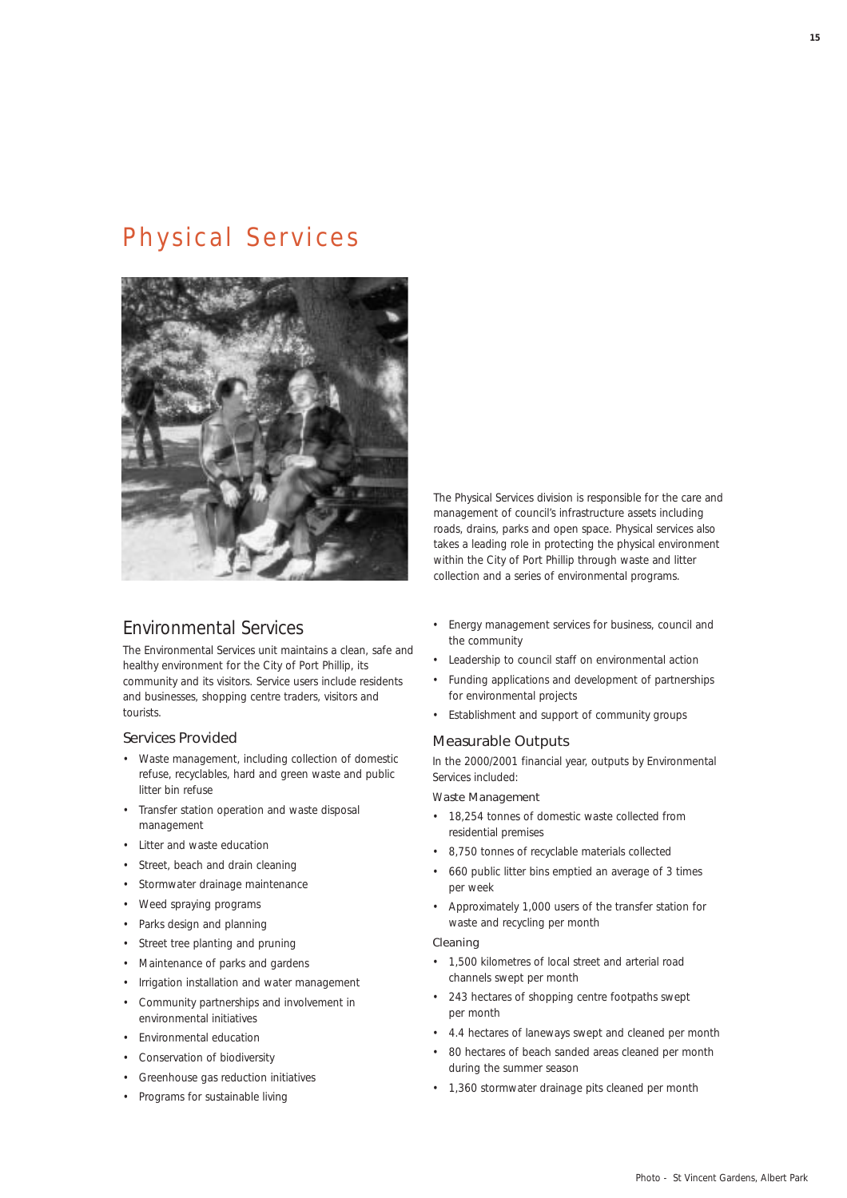## Physical Services



## Environmental Services

The Environmental Services unit maintains a clean, safe and healthy environment for the City of Port Phillip, its community and its visitors. Service users include residents and businesses, shopping centre traders, visitors and tourists.

#### Services Provided

- Waste management, including collection of domestic refuse, recyclables, hard and green waste and public litter bin refuse
- Transfer station operation and waste disposal management
- Litter and waste education
- Street, beach and drain cleaning
- Stormwater drainage maintenance
- Weed spraying programs
- Parks design and planning
- Street tree planting and pruning
- Maintenance of parks and gardens
- Irrigation installation and water management
- Community partnerships and involvement in environmental initiatives
- Environmental education
- Conservation of biodiversity
- Greenhouse gas reduction initiatives
- Programs for sustainable living

The Physical Services division is responsible for the care and management of council's infrastructure assets including roads, drains, parks and open space. Physical services also takes a leading role in protecting the physical environment within the City of Port Phillip through waste and litter collection and a series of environmental programs.

- Energy management services for business, council and the community
- Leadership to council staff on environmental action
- Funding applications and development of partnerships for environmental projects
- Establishment and support of community groups

#### Measurable Outputs

In the 2000/2001 financial year, outputs by Environmental Services included:

#### Waste Management

- 18,254 tonnes of domestic waste collected from residential premises
- 8,750 tonnes of recyclable materials collected
- 660 public litter bins emptied an average of 3 times per week
- Approximately 1,000 users of the transfer station for waste and recycling per month

#### Cleaning

- 1,500 kilometres of local street and arterial road channels swept per month
- 243 hectares of shopping centre footpaths swept per month
- 4.4 hectares of laneways swept and cleaned per month
- 80 hectares of beach sanded areas cleaned per month during the summer season
- 1,360 stormwater drainage pits cleaned per month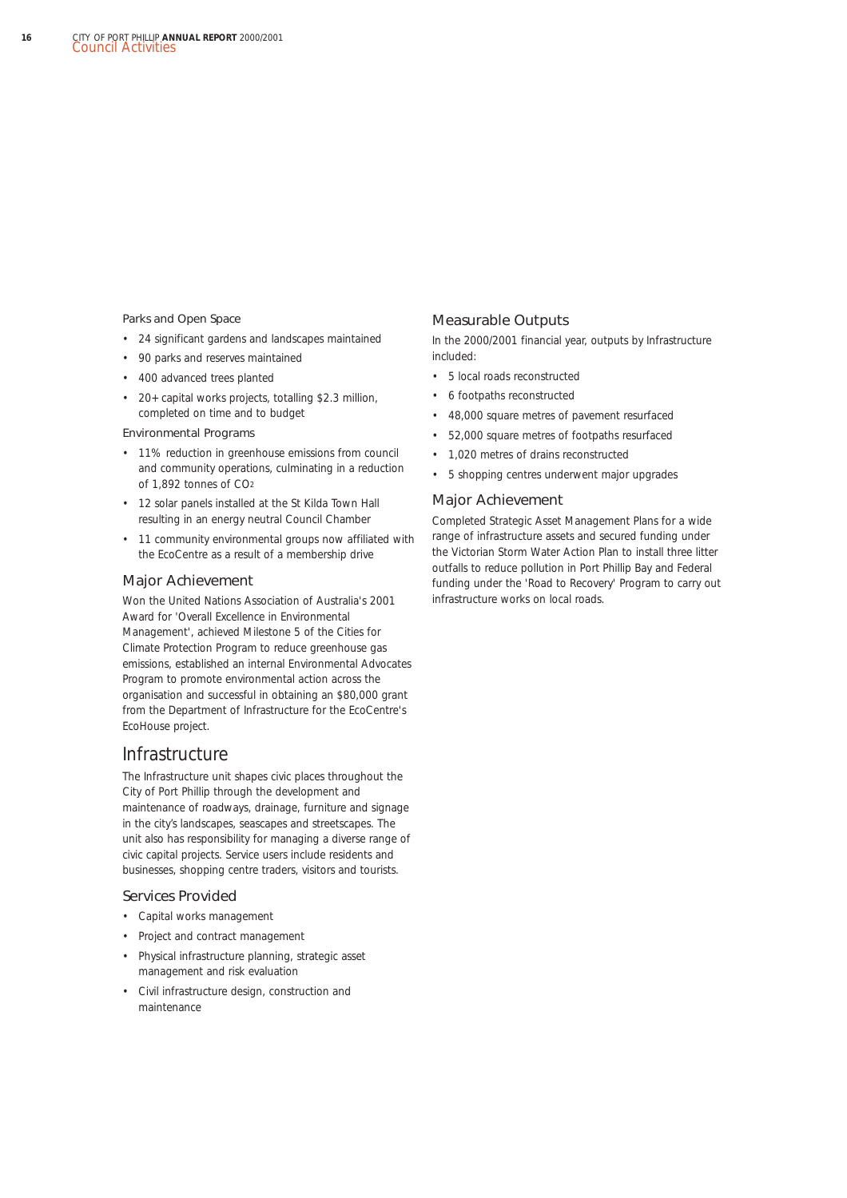#### Parks and Open Space

- 24 significant gardens and landscapes maintained
- 90 parks and reserves maintained
- 400 advanced trees planted
- 20+ capital works projects, totalling \$2.3 million, completed on time and to budget

#### Environmental Programs

- 11% reduction in greenhouse emissions from council and community operations, culminating in a reduction of 1,892 tonnes of CO2
- 12 solar panels installed at the St Kilda Town Hall resulting in an energy neutral Council Chamber
- 11 community environmental groups now affiliated with the EcoCentre as a result of a membership drive

#### Major Achievement

Won the United Nations Association of Australia's 2001 Award for 'Overall Excellence in Environmental Management', achieved Milestone 5 of the Cities for Climate Protection Program to reduce greenhouse gas emissions, established an internal Environmental Advocates Program to promote environmental action across the organisation and successful in obtaining an \$80,000 grant from the Department of Infrastructure for the EcoCentre's EcoHouse project.

### Infrastructure

The Infrastructure unit shapes civic places throughout the City of Port Phillip through the development and maintenance of roadways, drainage, furniture and signage in the city's landscapes, seascapes and streetscapes. The unit also has responsibility for managing a diverse range of civic capital projects. Service users include residents and businesses, shopping centre traders, visitors and tourists.

#### Services Provided

- Capital works management
- Project and contract management
- Physical infrastructure planning, strategic asset management and risk evaluation
- Civil infrastructure design, construction and maintenance

#### Measurable Outputs

In the 2000/2001 financial year, outputs by Infrastructure included:

- 5 local roads reconstructed
- 6 footpaths reconstructed
- 48,000 square metres of pavement resurfaced
- 52,000 square metres of footpaths resurfaced
- 1,020 metres of drains reconstructed
- 5 shopping centres underwent major upgrades

#### Major Achievement

Completed Strategic Asset Management Plans for a wide range of infrastructure assets and secured funding under the Victorian Storm Water Action Plan to install three litter outfalls to reduce pollution in Port Phillip Bay and Federal funding under the 'Road to Recovery' Program to carry out infrastructure works on local roads.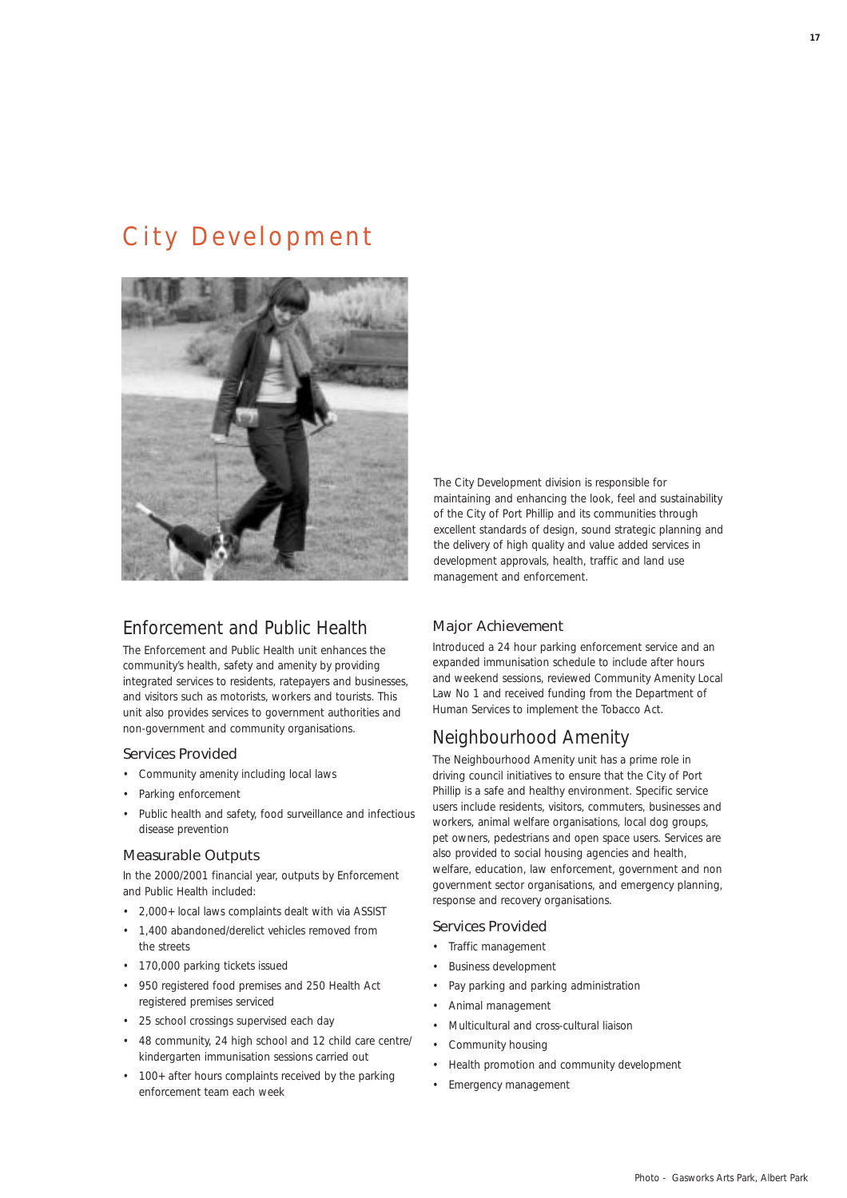## City Development



## Enforcement and Public Health

The Enforcement and Public Health unit enhances the community's health, safety and amenity by providing integrated services to residents, ratepayers and businesses, and visitors such as motorists, workers and tourists. This unit also provides services to government authorities and non-government and community organisations.

#### Services Provided

- Community amenity including local laws
- Parking enforcement
- Public health and safety, food surveillance and infectious disease prevention

#### Measurable Outputs

In the 2000/2001 financial year, outputs by Enforcement and Public Health included:

- 2,000+ local laws complaints dealt with via ASSIST
- 1,400 abandoned/derelict vehicles removed from the streets
- 170,000 parking tickets issued
- 950 registered food premises and 250 Health Act registered premises serviced
- 25 school crossings supervised each day
- 48 community, 24 high school and 12 child care centre/ kindergarten immunisation sessions carried out
- 100+ after hours complaints received by the parking enforcement team each week

The City Development division is responsible for maintaining and enhancing the look, feel and sustainability of the City of Port Phillip and its communities through excellent standards of design, sound strategic planning and the delivery of high quality and value added services in development approvals, health, traffic and land use management and enforcement.

#### Major Achievement

Introduced a 24 hour parking enforcement service and an expanded immunisation schedule to include after hours and weekend sessions, reviewed *Community Amenity Local Law No 1* and received funding from the Department of Human Services to implement the *Tobacco Act.*

### Neighbourhood Amenity

The Neighbourhood Amenity unit has a prime role in driving council initiatives to ensure that the City of Port Phillip is a safe and healthy environment. Specific service users include residents, visitors, commuters, businesses and workers, animal welfare organisations, local dog groups, pet owners, pedestrians and open space users. Services are also provided to social housing agencies and health, welfare, education, law enforcement, government and non government sector organisations, and emergency planning, response and recovery organisations.

#### Services Provided

- Traffic management
- Business development
- Pay parking and parking administration
- Animal management
- Multicultural and cross-cultural liaison
- Community housing
- Health promotion and community development
- Emergency management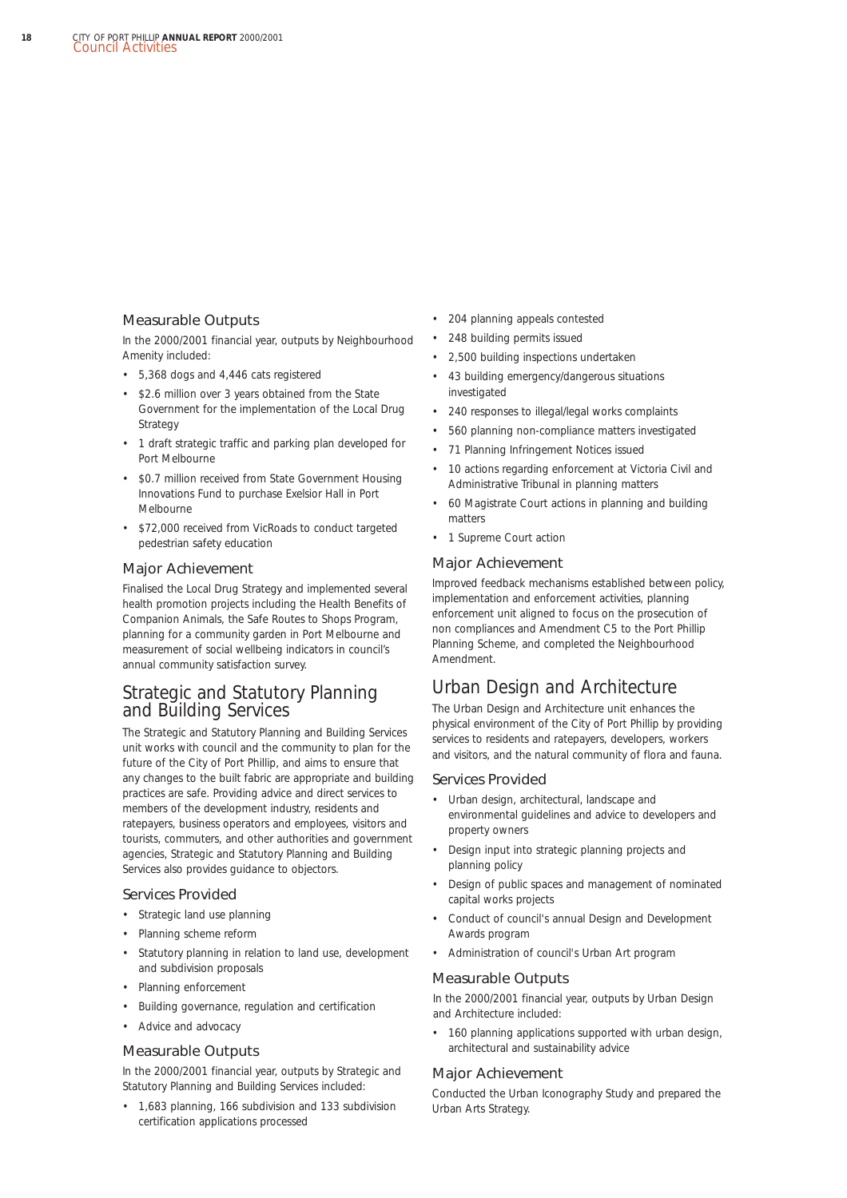#### Measurable Outputs

In the 2000/2001 financial year, outputs by Neighbourhood Amenity included:

- 5,368 dogs and 4,446 cats registered
- \$2.6 million over 3 years obtained from the State Government for the implementation of the Local Drug Strategy
- 1 draft strategic traffic and parking plan developed for Port Melbourne
- \$0.7 million received from State Government Housing Innovations Fund to purchase Exelsior Hall in Port Melbourne
- \$72,000 received from VicRoads to conduct targeted pedestrian safety education

#### Major Achievement

Finalised the Local Drug Strategy and implemented several health promotion projects including the Health Benefits of Companion Animals, the Safe Routes to Shops Program, planning for a community garden in Port Melbourne and measurement of social wellbeing indicators in council's annual community satisfaction survey.

### Strategic and Statutory Planning and Building Services

The Strategic and Statutory Planning and Building Services unit works with council and the community to plan for the future of the City of Port Phillip, and aims to ensure that any changes to the built fabric are appropriate and building practices are safe. Providing advice and direct services to members of the development industry, residents and ratepayers, business operators and employees, visitors and tourists, commuters, and other authorities and government agencies, Strategic and Statutory Planning and Building Services also provides guidance to objectors.

#### Services Provided

- Strategic land use planning
- Planning scheme reform
- Statutory planning in relation to land use, development and subdivision proposals
- Planning enforcement
- Building governance, regulation and certification
- Advice and advocacy

#### Measurable Outputs

In the 2000/2001 financial year, outputs by Strategic and Statutory Planning and Building Services included:

• 1,683 planning, 166 subdivision and 133 subdivision certification applications processed

- 204 planning appeals contested
- 248 building permits issued
- 2,500 building inspections undertaken
- 43 building emergency/dangerous situations investigated
- 240 responses to illegal/legal works complaints
- 560 planning non-compliance matters investigated
- 71 Planning Infringement Notices issued
- 10 actions regarding enforcement at Victoria Civil and Administrative Tribunal in planning matters
- 60 Magistrate Court actions in planning and building matters
- 1 Supreme Court action

#### Major Achievement

Improved feedback mechanisms established between policy, implementation and enforcement activities, planning enforcement unit aligned to focus on the prosecution of non compliances and Amendment C5 to the Port Phillip Planning Scheme, and completed the Neighbourhood Amendment.

## Urban Design and Architecture

The Urban Design and Architecture unit enhances the physical environment of the City of Port Phillip by providing services to residents and ratepayers, developers, workers and visitors, and the natural community of flora and fauna.

#### Services Provided

- Urban design, architectural, landscape and environmental guidelines and advice to developers and property owners
- Design input into strategic planning projects and planning policy
- Design of public spaces and management of nominated capital works projects
- Conduct of council's annual Design and Development Awards program
- Administration of council's Urban Art program

#### Measurable Outputs

In the 2000/2001 financial year, outputs by Urban Design and Architecture included:

• 160 planning applications supported with urban design, architectural and sustainability advice

#### Major Achievement

Conducted the Urban Iconography Study and prepared the Urban Arts Strategy.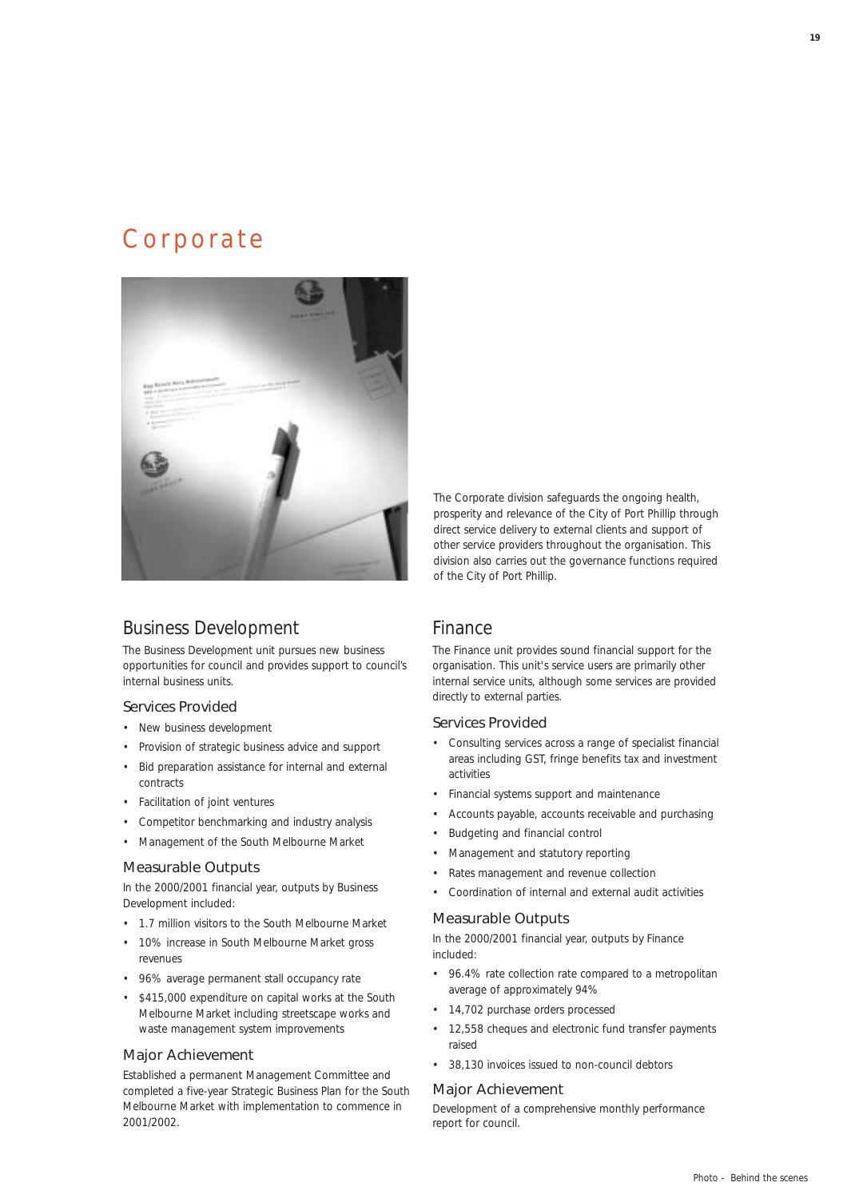## Corporate



## Business Development

The Business Development unit pursues new business opportunities for council and provides support to council's internal business units.

#### Services Provided

- New business development
- Provision of strategic business advice and support
- Bid preparation assistance for internal and external contracts
- Facilitation of joint ventures
- Competitor benchmarking and industry analysis
- Management of the South Melbourne Market

#### Measurable Outputs

In the 2000/2001 financial year, outputs by Business Development included:

- 1.7 million visitors to the South Melbourne Market
- 10% increase in South Melbourne Market gross revenues
- 96% average permanent stall occupancy rate
- \$415,000 expenditure on capital works at the South Melbourne Market including streetscape works and waste management system improvements

#### Major Achievement

Established a permanent Management Committee and completed a five-year Strategic Business Plan for the South Melbourne Market with implementation to commence in 2001/2002.

The Corporate division safeguards the ongoing health, prosperity and relevance of the City of Port Phillip through direct service delivery to external clients and support of other service providers throughout the organisation. This division also carries out the governance functions required of the City of Port Phillip.

#### Finance

The Finance unit provides sound financial support for the organisation. This unit's service users are primarily other internal service units, although some services are provided directly to external parties.

#### Services Provided

- Consulting services across a range of specialist financial areas including GST, fringe benefits tax and investment activities
- Financial systems support and maintenance
- Accounts payable, accounts receivable and purchasing
- Budgeting and financial control
- Management and statutory reporting
- Rates management and revenue collection
- Coordination of internal and external audit activities

#### Measurable Outputs

In the 2000/2001 financial year, outputs by Finance included:

- 96.4% rate collection rate compared to a metropolitan average of approximately 94%
- 14,702 purchase orders processed
- 12,558 cheques and electronic fund transfer payments raised
- 38,130 invoices issued to non-council debtors

#### Major Achievement

Development of a comprehensive monthly performance report for council.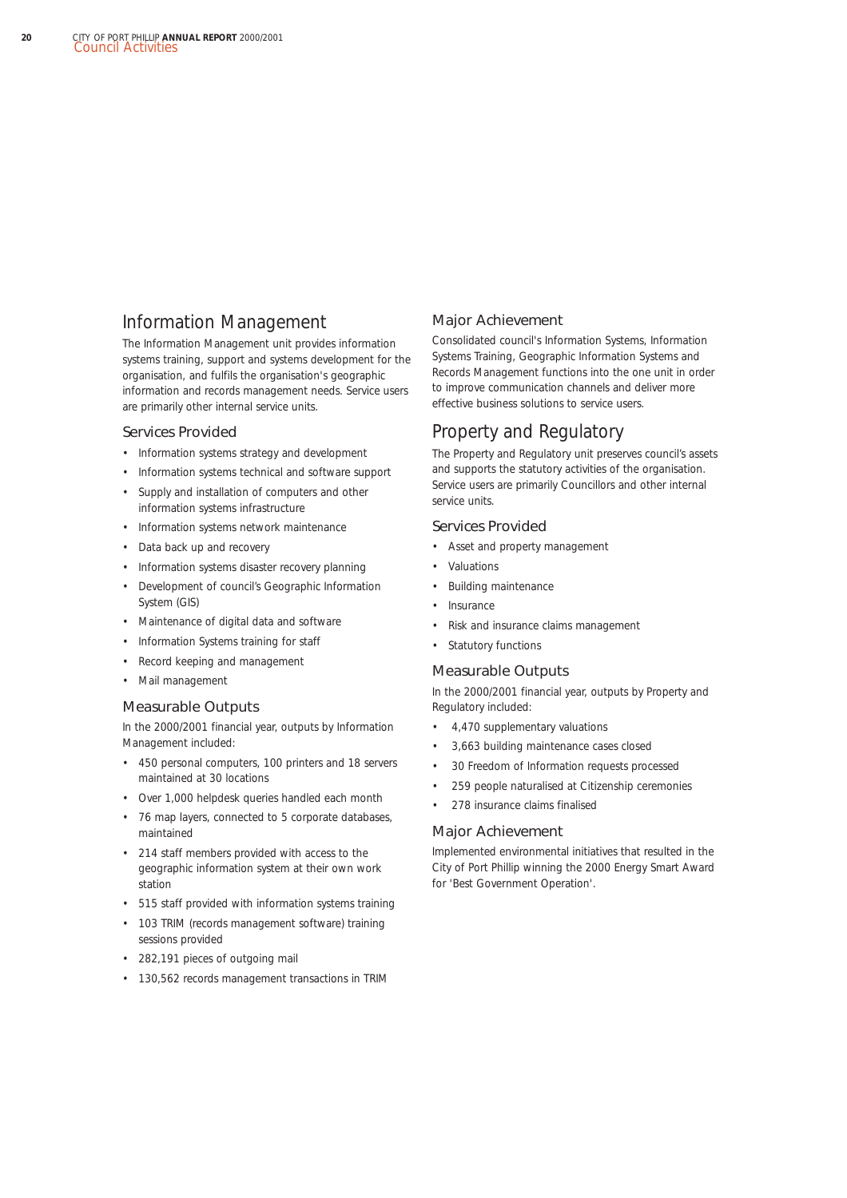## Information Management

The Information Management unit provides information systems training, support and systems development for the organisation, and fulfils the organisation's geographic information and records management needs. Service users are primarily other internal service units.

#### Services Provided

- Information systems strategy and development
- Information systems technical and software support
- Supply and installation of computers and other information systems infrastructure
- Information systems network maintenance
- Data back up and recovery
- Information systems disaster recovery planning
- Development of council's Geographic Information System (GIS)
- Maintenance of digital data and software
- Information Systems training for staff
- Record keeping and management
- Mail management

#### Measurable Outputs

In the 2000/2001 financial year, outputs by Information Management included:

- 450 personal computers, 100 printers and 18 servers maintained at 30 locations
- Over 1,000 helpdesk queries handled each month
- 76 map layers, connected to 5 corporate databases, maintained
- 214 staff members provided with access to the geographic information system at their own work station
- 515 staff provided with information systems training
- 103 TRIM (records management software) training sessions provided
- 282,191 pieces of outgoing mail
- 130,562 records management transactions in TRIM

#### Major Achievement

Consolidated council's Information Systems, Information Systems Training, Geographic Information Systems and Records Management functions into the one unit in order to improve communication channels and deliver more effective business solutions to service users.

### Property and Regulatory

The Property and Regulatory unit preserves council's assets and supports the statutory activities of the organisation. Service users are primarily Councillors and other internal service units.

#### Services Provided

- Asset and property management
- **Valuations**
- Building maintenance
- **Insurance**
- Risk and insurance claims management
- Statutory functions

## Measurable Outputs

In the 2000/2001 financial year, outputs by Property and Regulatory included:

- 4,470 supplementary valuations
- 3,663 building maintenance cases closed
- 30 Freedom of Information requests processed
- 259 people naturalised at Citizenship ceremonies
- 278 insurance claims finalised

#### Major Achievement

Implemented environmental initiatives that resulted in the City of Port Phillip winning the 2000 Energy Smart Award for 'Best Government Operation'.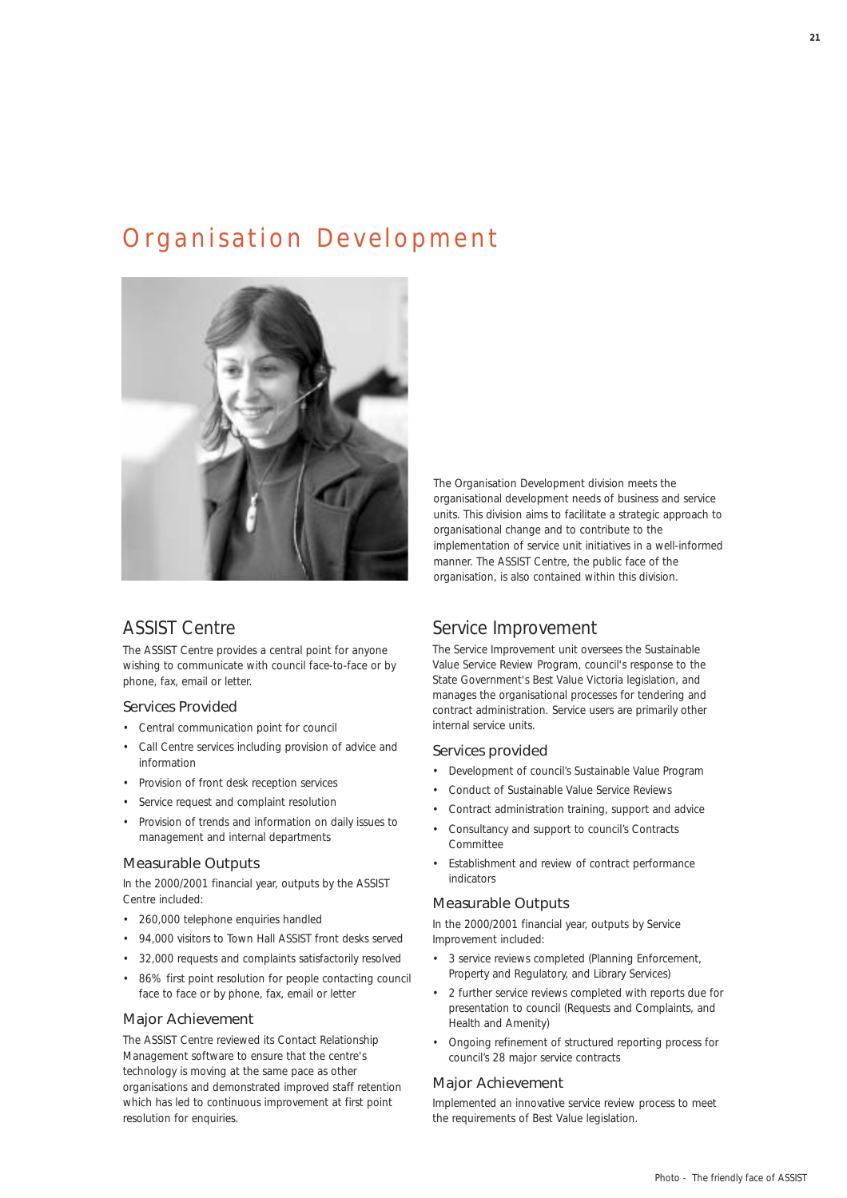## Organisation Development



## ASSIST Centre

The ASSIST Centre provides a central point for anyone wishing to communicate with council face-to-face or by phone, fax, email or letter.

#### Services Provided

- Central communication point for council
- Call Centre services including provision of advice and information
- Provision of front desk reception services
- Service request and complaint resolution
- Provision of trends and information on daily issues to management and internal departments

#### Measurable Outputs

In the 2000/2001 financial year, outputs by the ASSIST Centre included:

- 260,000 telephone enquiries handled
- 94,000 visitors to Town Hall ASSIST front desks served
- 32,000 requests and complaints satisfactorily resolved
- 86% first point resolution for people contacting council face to face or by phone, fax, email or letter

#### Major Achievement

The ASSIST Centre reviewed its Contact Relationship Management software to ensure that the centre's technology is moving at the same pace as other organisations and demonstrated improved staff retention which has led to continuous improvement at first point resolution for enquiries.

The Organisation Development division meets the organisational development needs of business and service units. This division aims to facilitate a strategic approach to organisational change and to contribute to the implementation of service unit initiatives in a well-informed manner. The ASSIST Centre, the public face of the organisation, is also contained within this division.

### Service Improvement

The Service Improvement unit oversees the Sustainable Value Service Review Program, council's response to the State Government's Best Value Victoria legislation, and manages the organisational processes for tendering and contract administration. Service users are primarily other internal service units.

#### Services provided

- Development of council's Sustainable Value Program
- Conduct of Sustainable Value Service Reviews
- Contract administration training, support and advice
- Consultancy and support to council's Contracts Committee
- Establishment and review of contract performance indicators

#### Measurable Outputs

In the 2000/2001 financial year, outputs by Service Improvement included:

- 3 service reviews completed (Planning Enforcement, Property and Regulatory, and Library Services)
- 2 further service reviews completed with reports due for presentation to council (Requests and Complaints, and Health and Amenity)
- Ongoing refinement of structured reporting process for council's 28 major service contracts

#### Major Achievement

Implemented an innovative service review process to meet the requirements of Best Value legislation.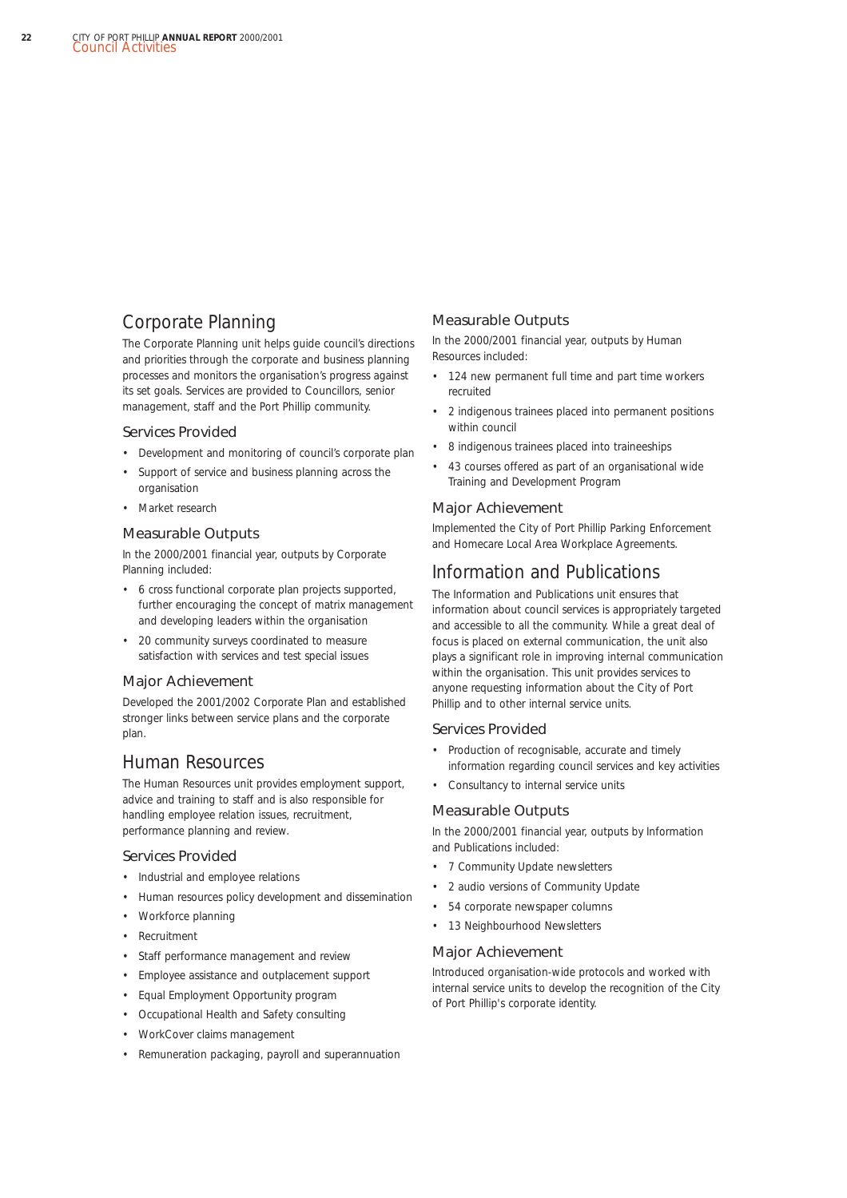## Corporate Planning

The Corporate Planning unit helps guide council's directions and priorities through the corporate and business planning processes and monitors the organisation's progress against its set goals. Services are provided to Councillors, senior management, staff and the Port Phillip community.

#### Services Provided

- Development and monitoring of council's corporate plan
- Support of service and business planning across the organisation
- Market research

#### Measurable Outputs

In the 2000/2001 financial year, outputs by Corporate Planning included:

- 6 cross functional corporate plan projects supported, further encouraging the concept of matrix management and developing leaders within the organisation
- 20 community surveys coordinated to measure satisfaction with services and test special issues

#### Major Achievement

Developed the 2001/2002 Corporate Plan and established stronger links between service plans and the corporate plan.

### Human Resources

The Human Resources unit provides employment support, advice and training to staff and is also responsible for handling employee relation issues, recruitment, performance planning and review.

#### Services Provided

- Industrial and employee relations
- Human resources policy development and dissemination
- Workforce planning
- Recruitment
- Staff performance management and review
- Employee assistance and outplacement support
- Equal Employment Opportunity program
- Occupational Health and Safety consulting
- WorkCover claims management
- Remuneration packaging, payroll and superannuation

#### Measurable Outputs

In the 2000/2001 financial year, outputs by Human Resources included:

- 124 new permanent full time and part time workers recruited
- 2 indigenous trainees placed into permanent positions within council
- 8 indigenous trainees placed into traineeships
- 43 courses offered as part of an organisational wide Training and Development Program

#### Major Achievement

Implemented the City of Port Phillip Parking Enforcement and Homecare Local Area Workplace Agreements.

### Information and Publications

The Information and Publications unit ensures that information about council services is appropriately targeted and accessible to all the community. While a great deal of focus is placed on external communication, the unit also plays a significant role in improving internal communication within the organisation. This unit provides services to anyone requesting information about the City of Port Phillip and to other internal service units.

#### Services Provided

- Production of recognisable, accurate and timely information regarding council services and key activities
- Consultancy to internal service units

#### Measurable Outputs

In the 2000/2001 financial year, outputs by Information and Publications included:

- 7 *Community Update* newsletters
- 2 audio versions of *Community Update*
- 54 corporate newspaper columns
- 13 *Neighbourhood Newsletters*

#### Major Achievement

Introduced organisation-wide protocols and worked with internal service units to develop the recognition of the City of Port Phillip's corporate identity.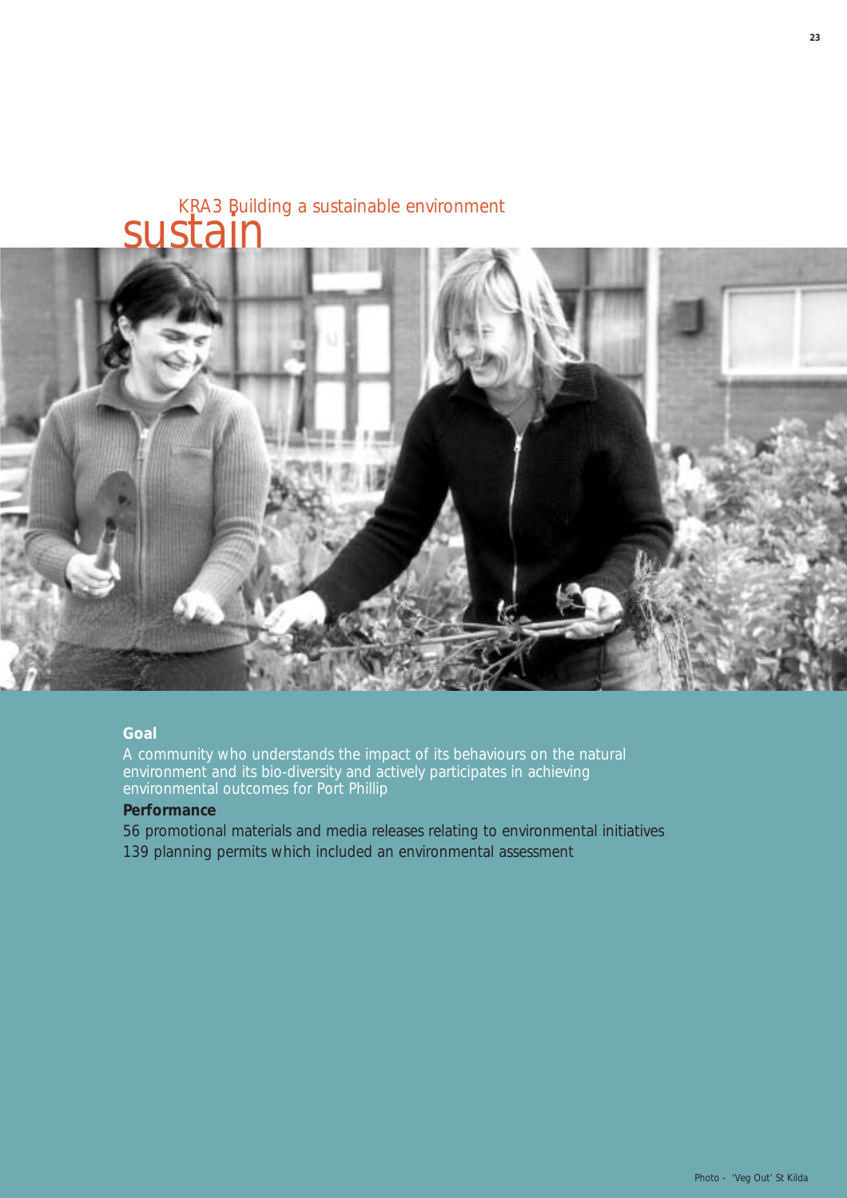# KRA3 Building a sustainable environment sustain



### **Goal**

A community who understands the impact of its behaviours on the natural environment and its bio-diversity and actively participates in achieving environmental outcomes for Port Phillip

### **Performance**

56 promotional materials and media releases relating to environmental initiatives 139 planning permits which included an environmental assessment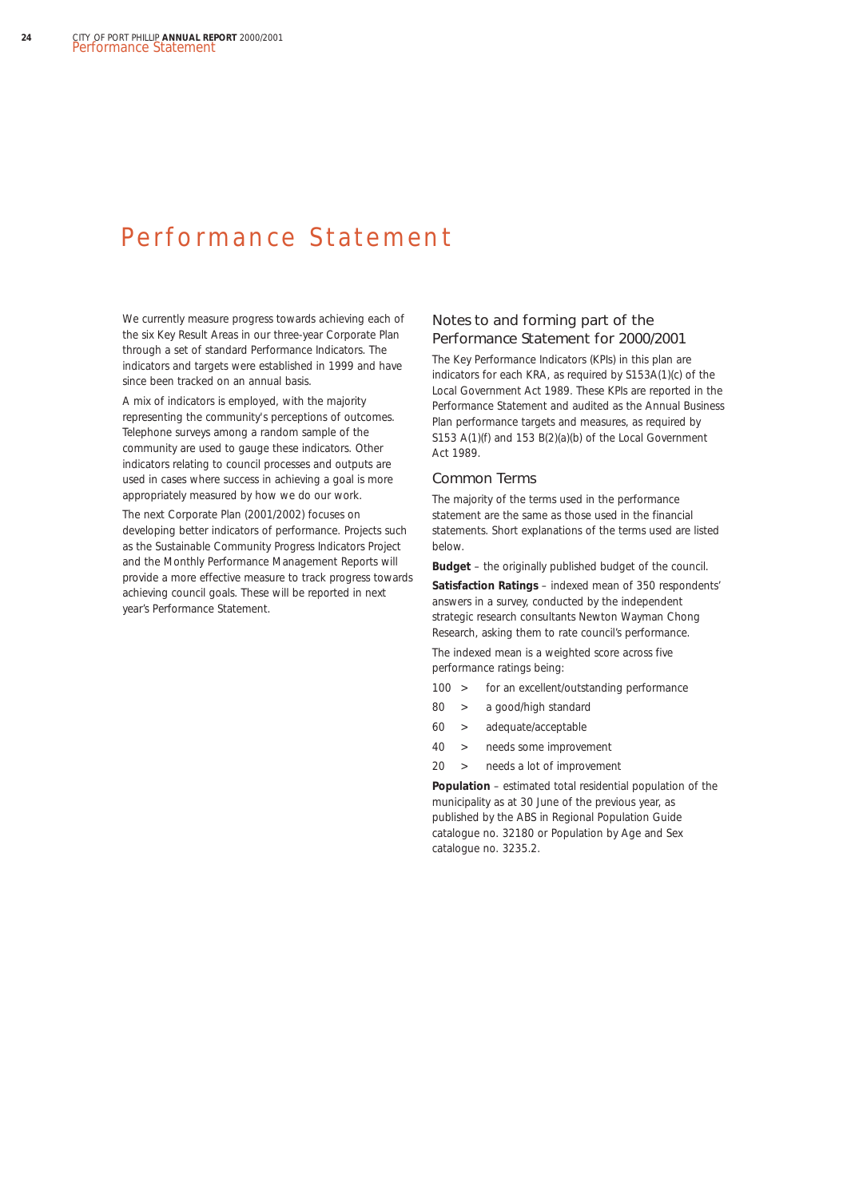## Performance Statement

We currently measure progress towards achieving each of the six Key Result Areas in our three-year Corporate Plan through a set of standard Performance Indicators. The indicators and targets were established in 1999 and have since been tracked on an annual basis.

A mix of indicators is employed, with the majority representing the community's perceptions of outcomes. Telephone surveys among a random sample of the community are used to gauge these indicators. Other indicators relating to council processes and outputs are used in cases where success in achieving a goal is more appropriately measured by how we do our work.

The next Corporate Plan (2001/2002) focuses on developing better indicators of performance. Projects such as the Sustainable Community Progress Indicators Project and the Monthly Performance Management Reports will provide a more effective measure to track progress towards achieving council goals. These will be reported in next year's Performance Statement.

#### Notes to and forming part of the Performance Statement for 2000/2001

The Key Performance Indicators (KPIs) in this plan are indicators for each KRA, as required by S153A(1)(c) of the *Local Government Act 1989*. These KPIs are reported in the Performance Statement and audited as the Annual Business Plan performance targets and measures, as required by S153 A(1)(f) and 153 B(2)(a)(b) of the *Local Government Act 1989.*

#### Common Terms

The majority of the terms used in the performance statement are the same as those used in the financial statements. Short explanations of the terms used are listed below.

**Budget** – the originally published budget of the council.

**Satisfaction Ratings** – indexed mean of 350 respondents' answers in a survey, conducted by the independent strategic research consultants Newton Wayman Chong Research, asking them to rate council's performance.

The indexed mean is a weighted score across five performance ratings being:

- 100 > for an excellent/outstanding performance
- 80 > a good/high standard
- 60 > adequate/acceptable
- 40 > needs some improvement
- 20 > needs a lot of improvement

**Population** – estimated total residential population of the municipality as at 30 June of the previous year, as published by the ABS in *Regional Population Guide* catalogue no. 32180 or *Population by Age and Sex* catalogue no. 3235.2.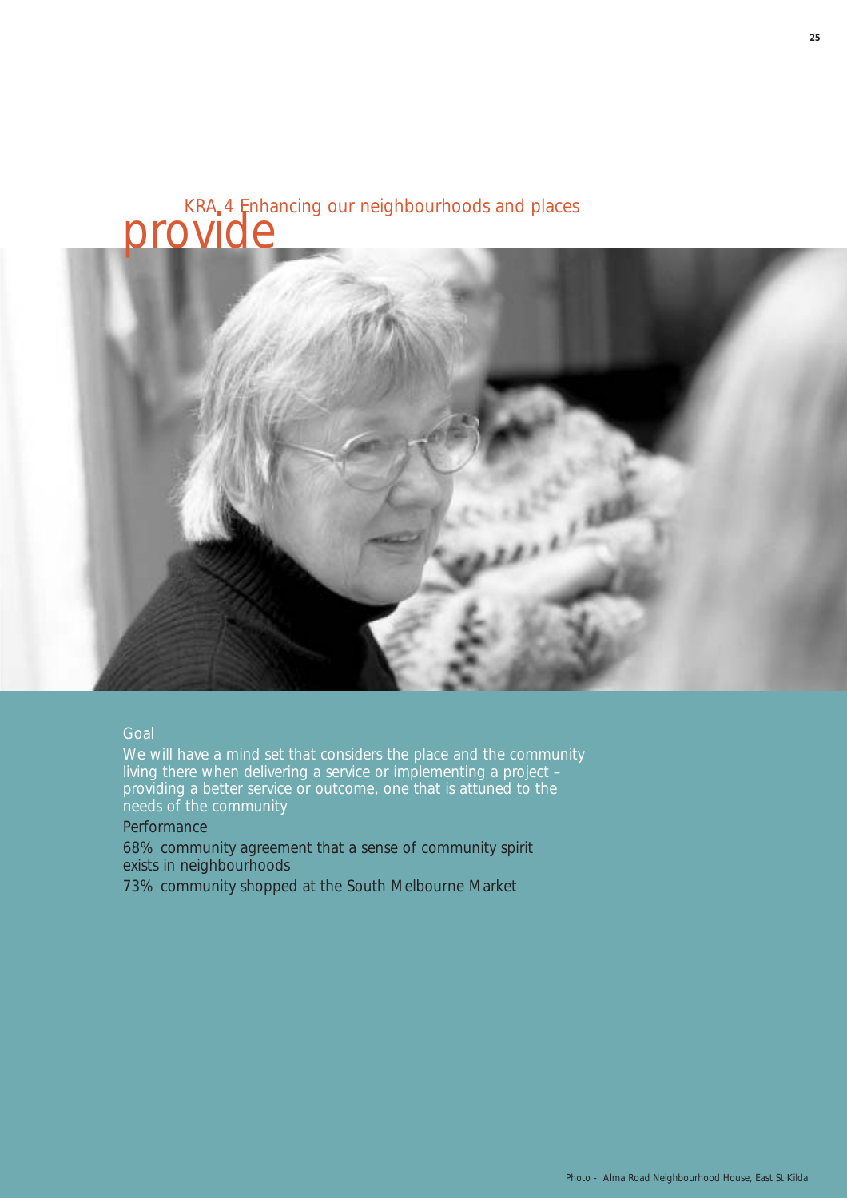# KRA 4 Enhancing our neighbourhoods and places provide



#### Goal

We will have a mind set that considers the place and the community living there when delivering a service or implementing a project – providing a better service or outcome, one that is attuned to the needs of the community

**Performance** 

68% community agreement that a sense of community spirit exists in neighbourhoods

73% community shopped at the South Melbourne Market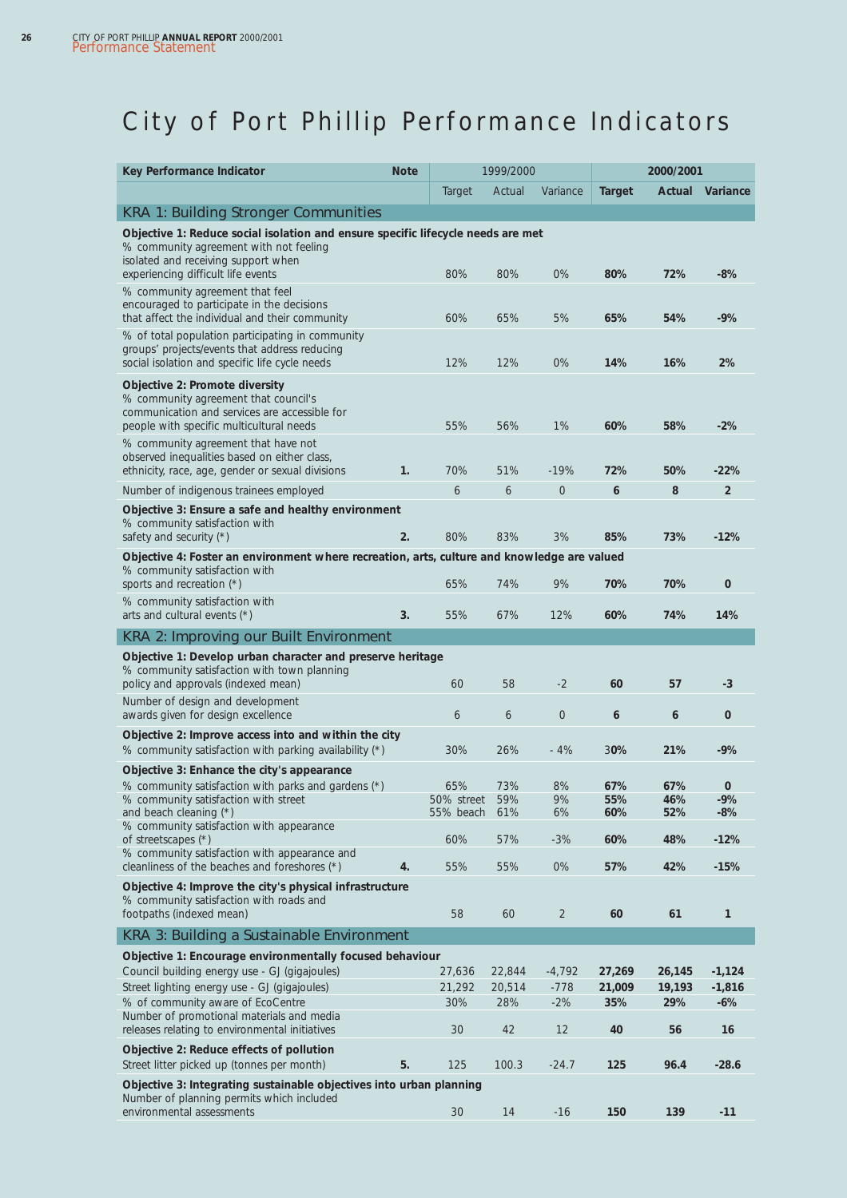# City of Port Phillip Performance Indicators

| Variance<br><b>Actual</b><br>Actual<br><b>Target</b><br>Variance<br>Target<br><b>KRA 1: Building Stronger Communities</b><br>Objective 1: Reduce social isolation and ensure specific lifecycle needs are met<br>% community agreement with not feeling<br>isolated and receiving support when<br>80%<br>$0\%$<br>80%<br>72%<br>$-8%$<br>experiencing difficult life events<br>80%<br>% community agreement that feel<br>encouraged to participate in the decisions<br>that affect the individual and their community<br>60%<br>65%<br>5%<br>65%<br>54%<br>$-9%$<br>% of total population participating in community<br>groups' projects/events that address reducing<br>12%<br>12%<br>$0\%$<br>14%<br>16%<br>2%<br>social isolation and specific life cycle needs<br>Objective 2: Promote diversity<br>% community agreement that council's<br>communication and services are accessible for<br>1%<br>60%<br>people with specific multicultural needs<br>55%<br>56%<br>58%<br>$-2%$<br>% community agreement that have not<br>observed inequalities based on either class,<br>1.<br>70%<br>51%<br>$-19%$<br>72%<br>50%<br>$-22%$<br>ethnicity, race, age, gender or sexual divisions<br>6<br>6<br>6<br>8<br>$\overline{2}$<br>Number of indigenous trainees employed<br>0<br>Objective 3: Ensure a safe and healthy environment<br>% community satisfaction with<br>2.<br>80%<br>83%<br>3%<br>85%<br>73%<br>$-12%$<br>safety and security (*)<br>Objective 4: Foster an environment where recreation, arts, culture and knowledge are valued<br>% community satisfaction with<br>65%<br>74%<br>9%<br>70%<br>70%<br>0<br>sports and recreation (*)<br>% community satisfaction with<br>3.<br>67%<br>12%<br>60%<br>74%<br>arts and cultural events (*)<br>55%<br>14%<br><b>KRA 2: Improving our Built Environment</b><br>Objective 1: Develop urban character and preserve heritage<br>% community satisfaction with town planning<br>58<br>$-2$<br>60<br>$-3$<br>policy and approvals (indexed mean)<br>60<br>57<br>Number of design and development<br>6<br>6<br>0<br>awards given for design excellence<br>6<br>6<br>0<br>Objective 2: Improve access into and within the city<br>% community satisfaction with parking availability (*)<br>30%<br>26%<br>$-4%$<br>30%<br>21%<br>$-9%$<br>Objective 3: Enhance the city's appearance<br>% community satisfaction with parks and gardens (*)<br>65%<br>73%<br>8%<br>67%<br>67%<br>0<br>% community satisfaction with street<br>50% street<br>59%<br>9%<br>55%<br>46%<br>$-9%$<br>and beach cleaning (*)<br>6%<br>60%<br>52%<br>$-8%$<br>55% beach<br>61%<br>% community satisfaction with appearance<br>60%<br>57%<br>$-3%$<br>60%<br>48%<br>$-12%$<br>of streetscapes (*)<br>% community satisfaction with appearance and<br>cleanliness of the beaches and foreshores (*)<br>4.<br>55%<br>55%<br>$0\%$<br>57%<br>42%<br>$-15%$<br>Objective 4: Improve the city's physical infrastructure<br>% community satisfaction with roads and<br>footpaths (indexed mean)<br>58<br>$\overline{2}$<br>$\mathbf{1}$<br>60<br>60<br>61<br>KRA 3: Building a Sustainable Environment<br>Objective 1: Encourage environmentally focused behaviour<br>Council building energy use - GJ (gigajoules)<br>22,844<br>$-4,792$<br>27,269<br>27,636<br>26,145<br>$-1,124$<br>Street lighting energy use - GJ (gigajoules)<br>21,292<br>20,514<br>$-778$<br>19,193<br>$-1,816$<br>21,009<br>% of community aware of EcoCentre<br>28%<br>$-2%$<br>$-6%$<br>30%<br>35%<br>29% |                                           | <b>Note</b> | 1999/2000 |  |  | 2000/2001 |  |  |
|----------------------------------------------------------------------------------------------------------------------------------------------------------------------------------------------------------------------------------------------------------------------------------------------------------------------------------------------------------------------------------------------------------------------------------------------------------------------------------------------------------------------------------------------------------------------------------------------------------------------------------------------------------------------------------------------------------------------------------------------------------------------------------------------------------------------------------------------------------------------------------------------------------------------------------------------------------------------------------------------------------------------------------------------------------------------------------------------------------------------------------------------------------------------------------------------------------------------------------------------------------------------------------------------------------------------------------------------------------------------------------------------------------------------------------------------------------------------------------------------------------------------------------------------------------------------------------------------------------------------------------------------------------------------------------------------------------------------------------------------------------------------------------------------------------------------------------------------------------------------------------------------------------------------------------------------------------------------------------------------------------------------------------------------------------------------------------------------------------------------------------------------------------------------------------------------------------------------------------------------------------------------------------------------------------------------------------------------------------------------------------------------------------------------------------------------------------------------------------------------------------------------------------------------------------------------------------------------------------------------------------------------------------------------------------------------------------------------------------------------------------------------------------------------------------------------------------------------------------------------------------------------------------------------------------------------------------------------------------------------------------------------------------------------------------------------------------------------------------------------------------------------------------------------------------------------------------------------------------------------------------------------------------------------------------------------------------------------------------------------------------------------------------------------------------------------------------------------------------------------------------|-------------------------------------------|-------------|-----------|--|--|-----------|--|--|
|                                                                                                                                                                                                                                                                                                                                                                                                                                                                                                                                                                                                                                                                                                                                                                                                                                                                                                                                                                                                                                                                                                                                                                                                                                                                                                                                                                                                                                                                                                                                                                                                                                                                                                                                                                                                                                                                                                                                                                                                                                                                                                                                                                                                                                                                                                                                                                                                                                                                                                                                                                                                                                                                                                                                                                                                                                                                                                                                                                                                                                                                                                                                                                                                                                                                                                                                                                                                                                                                                                          |                                           |             |           |  |  |           |  |  |
|                                                                                                                                                                                                                                                                                                                                                                                                                                                                                                                                                                                                                                                                                                                                                                                                                                                                                                                                                                                                                                                                                                                                                                                                                                                                                                                                                                                                                                                                                                                                                                                                                                                                                                                                                                                                                                                                                                                                                                                                                                                                                                                                                                                                                                                                                                                                                                                                                                                                                                                                                                                                                                                                                                                                                                                                                                                                                                                                                                                                                                                                                                                                                                                                                                                                                                                                                                                                                                                                                                          |                                           |             |           |  |  |           |  |  |
|                                                                                                                                                                                                                                                                                                                                                                                                                                                                                                                                                                                                                                                                                                                                                                                                                                                                                                                                                                                                                                                                                                                                                                                                                                                                                                                                                                                                                                                                                                                                                                                                                                                                                                                                                                                                                                                                                                                                                                                                                                                                                                                                                                                                                                                                                                                                                                                                                                                                                                                                                                                                                                                                                                                                                                                                                                                                                                                                                                                                                                                                                                                                                                                                                                                                                                                                                                                                                                                                                                          |                                           |             |           |  |  |           |  |  |
|                                                                                                                                                                                                                                                                                                                                                                                                                                                                                                                                                                                                                                                                                                                                                                                                                                                                                                                                                                                                                                                                                                                                                                                                                                                                                                                                                                                                                                                                                                                                                                                                                                                                                                                                                                                                                                                                                                                                                                                                                                                                                                                                                                                                                                                                                                                                                                                                                                                                                                                                                                                                                                                                                                                                                                                                                                                                                                                                                                                                                                                                                                                                                                                                                                                                                                                                                                                                                                                                                                          |                                           |             |           |  |  |           |  |  |
|                                                                                                                                                                                                                                                                                                                                                                                                                                                                                                                                                                                                                                                                                                                                                                                                                                                                                                                                                                                                                                                                                                                                                                                                                                                                                                                                                                                                                                                                                                                                                                                                                                                                                                                                                                                                                                                                                                                                                                                                                                                                                                                                                                                                                                                                                                                                                                                                                                                                                                                                                                                                                                                                                                                                                                                                                                                                                                                                                                                                                                                                                                                                                                                                                                                                                                                                                                                                                                                                                                          |                                           |             |           |  |  |           |  |  |
|                                                                                                                                                                                                                                                                                                                                                                                                                                                                                                                                                                                                                                                                                                                                                                                                                                                                                                                                                                                                                                                                                                                                                                                                                                                                                                                                                                                                                                                                                                                                                                                                                                                                                                                                                                                                                                                                                                                                                                                                                                                                                                                                                                                                                                                                                                                                                                                                                                                                                                                                                                                                                                                                                                                                                                                                                                                                                                                                                                                                                                                                                                                                                                                                                                                                                                                                                                                                                                                                                                          |                                           |             |           |  |  |           |  |  |
|                                                                                                                                                                                                                                                                                                                                                                                                                                                                                                                                                                                                                                                                                                                                                                                                                                                                                                                                                                                                                                                                                                                                                                                                                                                                                                                                                                                                                                                                                                                                                                                                                                                                                                                                                                                                                                                                                                                                                                                                                                                                                                                                                                                                                                                                                                                                                                                                                                                                                                                                                                                                                                                                                                                                                                                                                                                                                                                                                                                                                                                                                                                                                                                                                                                                                                                                                                                                                                                                                                          |                                           |             |           |  |  |           |  |  |
|                                                                                                                                                                                                                                                                                                                                                                                                                                                                                                                                                                                                                                                                                                                                                                                                                                                                                                                                                                                                                                                                                                                                                                                                                                                                                                                                                                                                                                                                                                                                                                                                                                                                                                                                                                                                                                                                                                                                                                                                                                                                                                                                                                                                                                                                                                                                                                                                                                                                                                                                                                                                                                                                                                                                                                                                                                                                                                                                                                                                                                                                                                                                                                                                                                                                                                                                                                                                                                                                                                          |                                           |             |           |  |  |           |  |  |
|                                                                                                                                                                                                                                                                                                                                                                                                                                                                                                                                                                                                                                                                                                                                                                                                                                                                                                                                                                                                                                                                                                                                                                                                                                                                                                                                                                                                                                                                                                                                                                                                                                                                                                                                                                                                                                                                                                                                                                                                                                                                                                                                                                                                                                                                                                                                                                                                                                                                                                                                                                                                                                                                                                                                                                                                                                                                                                                                                                                                                                                                                                                                                                                                                                                                                                                                                                                                                                                                                                          |                                           |             |           |  |  |           |  |  |
|                                                                                                                                                                                                                                                                                                                                                                                                                                                                                                                                                                                                                                                                                                                                                                                                                                                                                                                                                                                                                                                                                                                                                                                                                                                                                                                                                                                                                                                                                                                                                                                                                                                                                                                                                                                                                                                                                                                                                                                                                                                                                                                                                                                                                                                                                                                                                                                                                                                                                                                                                                                                                                                                                                                                                                                                                                                                                                                                                                                                                                                                                                                                                                                                                                                                                                                                                                                                                                                                                                          |                                           |             |           |  |  |           |  |  |
|                                                                                                                                                                                                                                                                                                                                                                                                                                                                                                                                                                                                                                                                                                                                                                                                                                                                                                                                                                                                                                                                                                                                                                                                                                                                                                                                                                                                                                                                                                                                                                                                                                                                                                                                                                                                                                                                                                                                                                                                                                                                                                                                                                                                                                                                                                                                                                                                                                                                                                                                                                                                                                                                                                                                                                                                                                                                                                                                                                                                                                                                                                                                                                                                                                                                                                                                                                                                                                                                                                          |                                           |             |           |  |  |           |  |  |
|                                                                                                                                                                                                                                                                                                                                                                                                                                                                                                                                                                                                                                                                                                                                                                                                                                                                                                                                                                                                                                                                                                                                                                                                                                                                                                                                                                                                                                                                                                                                                                                                                                                                                                                                                                                                                                                                                                                                                                                                                                                                                                                                                                                                                                                                                                                                                                                                                                                                                                                                                                                                                                                                                                                                                                                                                                                                                                                                                                                                                                                                                                                                                                                                                                                                                                                                                                                                                                                                                                          |                                           |             |           |  |  |           |  |  |
|                                                                                                                                                                                                                                                                                                                                                                                                                                                                                                                                                                                                                                                                                                                                                                                                                                                                                                                                                                                                                                                                                                                                                                                                                                                                                                                                                                                                                                                                                                                                                                                                                                                                                                                                                                                                                                                                                                                                                                                                                                                                                                                                                                                                                                                                                                                                                                                                                                                                                                                                                                                                                                                                                                                                                                                                                                                                                                                                                                                                                                                                                                                                                                                                                                                                                                                                                                                                                                                                                                          |                                           |             |           |  |  |           |  |  |
|                                                                                                                                                                                                                                                                                                                                                                                                                                                                                                                                                                                                                                                                                                                                                                                                                                                                                                                                                                                                                                                                                                                                                                                                                                                                                                                                                                                                                                                                                                                                                                                                                                                                                                                                                                                                                                                                                                                                                                                                                                                                                                                                                                                                                                                                                                                                                                                                                                                                                                                                                                                                                                                                                                                                                                                                                                                                                                                                                                                                                                                                                                                                                                                                                                                                                                                                                                                                                                                                                                          |                                           |             |           |  |  |           |  |  |
|                                                                                                                                                                                                                                                                                                                                                                                                                                                                                                                                                                                                                                                                                                                                                                                                                                                                                                                                                                                                                                                                                                                                                                                                                                                                                                                                                                                                                                                                                                                                                                                                                                                                                                                                                                                                                                                                                                                                                                                                                                                                                                                                                                                                                                                                                                                                                                                                                                                                                                                                                                                                                                                                                                                                                                                                                                                                                                                                                                                                                                                                                                                                                                                                                                                                                                                                                                                                                                                                                                          |                                           |             |           |  |  |           |  |  |
|                                                                                                                                                                                                                                                                                                                                                                                                                                                                                                                                                                                                                                                                                                                                                                                                                                                                                                                                                                                                                                                                                                                                                                                                                                                                                                                                                                                                                                                                                                                                                                                                                                                                                                                                                                                                                                                                                                                                                                                                                                                                                                                                                                                                                                                                                                                                                                                                                                                                                                                                                                                                                                                                                                                                                                                                                                                                                                                                                                                                                                                                                                                                                                                                                                                                                                                                                                                                                                                                                                          |                                           |             |           |  |  |           |  |  |
|                                                                                                                                                                                                                                                                                                                                                                                                                                                                                                                                                                                                                                                                                                                                                                                                                                                                                                                                                                                                                                                                                                                                                                                                                                                                                                                                                                                                                                                                                                                                                                                                                                                                                                                                                                                                                                                                                                                                                                                                                                                                                                                                                                                                                                                                                                                                                                                                                                                                                                                                                                                                                                                                                                                                                                                                                                                                                                                                                                                                                                                                                                                                                                                                                                                                                                                                                                                                                                                                                                          |                                           |             |           |  |  |           |  |  |
|                                                                                                                                                                                                                                                                                                                                                                                                                                                                                                                                                                                                                                                                                                                                                                                                                                                                                                                                                                                                                                                                                                                                                                                                                                                                                                                                                                                                                                                                                                                                                                                                                                                                                                                                                                                                                                                                                                                                                                                                                                                                                                                                                                                                                                                                                                                                                                                                                                                                                                                                                                                                                                                                                                                                                                                                                                                                                                                                                                                                                                                                                                                                                                                                                                                                                                                                                                                                                                                                                                          |                                           |             |           |  |  |           |  |  |
|                                                                                                                                                                                                                                                                                                                                                                                                                                                                                                                                                                                                                                                                                                                                                                                                                                                                                                                                                                                                                                                                                                                                                                                                                                                                                                                                                                                                                                                                                                                                                                                                                                                                                                                                                                                                                                                                                                                                                                                                                                                                                                                                                                                                                                                                                                                                                                                                                                                                                                                                                                                                                                                                                                                                                                                                                                                                                                                                                                                                                                                                                                                                                                                                                                                                                                                                                                                                                                                                                                          |                                           |             |           |  |  |           |  |  |
|                                                                                                                                                                                                                                                                                                                                                                                                                                                                                                                                                                                                                                                                                                                                                                                                                                                                                                                                                                                                                                                                                                                                                                                                                                                                                                                                                                                                                                                                                                                                                                                                                                                                                                                                                                                                                                                                                                                                                                                                                                                                                                                                                                                                                                                                                                                                                                                                                                                                                                                                                                                                                                                                                                                                                                                                                                                                                                                                                                                                                                                                                                                                                                                                                                                                                                                                                                                                                                                                                                          |                                           |             |           |  |  |           |  |  |
|                                                                                                                                                                                                                                                                                                                                                                                                                                                                                                                                                                                                                                                                                                                                                                                                                                                                                                                                                                                                                                                                                                                                                                                                                                                                                                                                                                                                                                                                                                                                                                                                                                                                                                                                                                                                                                                                                                                                                                                                                                                                                                                                                                                                                                                                                                                                                                                                                                                                                                                                                                                                                                                                                                                                                                                                                                                                                                                                                                                                                                                                                                                                                                                                                                                                                                                                                                                                                                                                                                          |                                           |             |           |  |  |           |  |  |
|                                                                                                                                                                                                                                                                                                                                                                                                                                                                                                                                                                                                                                                                                                                                                                                                                                                                                                                                                                                                                                                                                                                                                                                                                                                                                                                                                                                                                                                                                                                                                                                                                                                                                                                                                                                                                                                                                                                                                                                                                                                                                                                                                                                                                                                                                                                                                                                                                                                                                                                                                                                                                                                                                                                                                                                                                                                                                                                                                                                                                                                                                                                                                                                                                                                                                                                                                                                                                                                                                                          |                                           |             |           |  |  |           |  |  |
|                                                                                                                                                                                                                                                                                                                                                                                                                                                                                                                                                                                                                                                                                                                                                                                                                                                                                                                                                                                                                                                                                                                                                                                                                                                                                                                                                                                                                                                                                                                                                                                                                                                                                                                                                                                                                                                                                                                                                                                                                                                                                                                                                                                                                                                                                                                                                                                                                                                                                                                                                                                                                                                                                                                                                                                                                                                                                                                                                                                                                                                                                                                                                                                                                                                                                                                                                                                                                                                                                                          |                                           |             |           |  |  |           |  |  |
|                                                                                                                                                                                                                                                                                                                                                                                                                                                                                                                                                                                                                                                                                                                                                                                                                                                                                                                                                                                                                                                                                                                                                                                                                                                                                                                                                                                                                                                                                                                                                                                                                                                                                                                                                                                                                                                                                                                                                                                                                                                                                                                                                                                                                                                                                                                                                                                                                                                                                                                                                                                                                                                                                                                                                                                                                                                                                                                                                                                                                                                                                                                                                                                                                                                                                                                                                                                                                                                                                                          |                                           |             |           |  |  |           |  |  |
|                                                                                                                                                                                                                                                                                                                                                                                                                                                                                                                                                                                                                                                                                                                                                                                                                                                                                                                                                                                                                                                                                                                                                                                                                                                                                                                                                                                                                                                                                                                                                                                                                                                                                                                                                                                                                                                                                                                                                                                                                                                                                                                                                                                                                                                                                                                                                                                                                                                                                                                                                                                                                                                                                                                                                                                                                                                                                                                                                                                                                                                                                                                                                                                                                                                                                                                                                                                                                                                                                                          |                                           |             |           |  |  |           |  |  |
|                                                                                                                                                                                                                                                                                                                                                                                                                                                                                                                                                                                                                                                                                                                                                                                                                                                                                                                                                                                                                                                                                                                                                                                                                                                                                                                                                                                                                                                                                                                                                                                                                                                                                                                                                                                                                                                                                                                                                                                                                                                                                                                                                                                                                                                                                                                                                                                                                                                                                                                                                                                                                                                                                                                                                                                                                                                                                                                                                                                                                                                                                                                                                                                                                                                                                                                                                                                                                                                                                                          |                                           |             |           |  |  |           |  |  |
|                                                                                                                                                                                                                                                                                                                                                                                                                                                                                                                                                                                                                                                                                                                                                                                                                                                                                                                                                                                                                                                                                                                                                                                                                                                                                                                                                                                                                                                                                                                                                                                                                                                                                                                                                                                                                                                                                                                                                                                                                                                                                                                                                                                                                                                                                                                                                                                                                                                                                                                                                                                                                                                                                                                                                                                                                                                                                                                                                                                                                                                                                                                                                                                                                                                                                                                                                                                                                                                                                                          |                                           |             |           |  |  |           |  |  |
|                                                                                                                                                                                                                                                                                                                                                                                                                                                                                                                                                                                                                                                                                                                                                                                                                                                                                                                                                                                                                                                                                                                                                                                                                                                                                                                                                                                                                                                                                                                                                                                                                                                                                                                                                                                                                                                                                                                                                                                                                                                                                                                                                                                                                                                                                                                                                                                                                                                                                                                                                                                                                                                                                                                                                                                                                                                                                                                                                                                                                                                                                                                                                                                                                                                                                                                                                                                                                                                                                                          |                                           |             |           |  |  |           |  |  |
|                                                                                                                                                                                                                                                                                                                                                                                                                                                                                                                                                                                                                                                                                                                                                                                                                                                                                                                                                                                                                                                                                                                                                                                                                                                                                                                                                                                                                                                                                                                                                                                                                                                                                                                                                                                                                                                                                                                                                                                                                                                                                                                                                                                                                                                                                                                                                                                                                                                                                                                                                                                                                                                                                                                                                                                                                                                                                                                                                                                                                                                                                                                                                                                                                                                                                                                                                                                                                                                                                                          |                                           |             |           |  |  |           |  |  |
|                                                                                                                                                                                                                                                                                                                                                                                                                                                                                                                                                                                                                                                                                                                                                                                                                                                                                                                                                                                                                                                                                                                                                                                                                                                                                                                                                                                                                                                                                                                                                                                                                                                                                                                                                                                                                                                                                                                                                                                                                                                                                                                                                                                                                                                                                                                                                                                                                                                                                                                                                                                                                                                                                                                                                                                                                                                                                                                                                                                                                                                                                                                                                                                                                                                                                                                                                                                                                                                                                                          |                                           |             |           |  |  |           |  |  |
|                                                                                                                                                                                                                                                                                                                                                                                                                                                                                                                                                                                                                                                                                                                                                                                                                                                                                                                                                                                                                                                                                                                                                                                                                                                                                                                                                                                                                                                                                                                                                                                                                                                                                                                                                                                                                                                                                                                                                                                                                                                                                                                                                                                                                                                                                                                                                                                                                                                                                                                                                                                                                                                                                                                                                                                                                                                                                                                                                                                                                                                                                                                                                                                                                                                                                                                                                                                                                                                                                                          |                                           |             |           |  |  |           |  |  |
|                                                                                                                                                                                                                                                                                                                                                                                                                                                                                                                                                                                                                                                                                                                                                                                                                                                                                                                                                                                                                                                                                                                                                                                                                                                                                                                                                                                                                                                                                                                                                                                                                                                                                                                                                                                                                                                                                                                                                                                                                                                                                                                                                                                                                                                                                                                                                                                                                                                                                                                                                                                                                                                                                                                                                                                                                                                                                                                                                                                                                                                                                                                                                                                                                                                                                                                                                                                                                                                                                                          |                                           |             |           |  |  |           |  |  |
|                                                                                                                                                                                                                                                                                                                                                                                                                                                                                                                                                                                                                                                                                                                                                                                                                                                                                                                                                                                                                                                                                                                                                                                                                                                                                                                                                                                                                                                                                                                                                                                                                                                                                                                                                                                                                                                                                                                                                                                                                                                                                                                                                                                                                                                                                                                                                                                                                                                                                                                                                                                                                                                                                                                                                                                                                                                                                                                                                                                                                                                                                                                                                                                                                                                                                                                                                                                                                                                                                                          |                                           |             |           |  |  |           |  |  |
|                                                                                                                                                                                                                                                                                                                                                                                                                                                                                                                                                                                                                                                                                                                                                                                                                                                                                                                                                                                                                                                                                                                                                                                                                                                                                                                                                                                                                                                                                                                                                                                                                                                                                                                                                                                                                                                                                                                                                                                                                                                                                                                                                                                                                                                                                                                                                                                                                                                                                                                                                                                                                                                                                                                                                                                                                                                                                                                                                                                                                                                                                                                                                                                                                                                                                                                                                                                                                                                                                                          |                                           |             |           |  |  |           |  |  |
|                                                                                                                                                                                                                                                                                                                                                                                                                                                                                                                                                                                                                                                                                                                                                                                                                                                                                                                                                                                                                                                                                                                                                                                                                                                                                                                                                                                                                                                                                                                                                                                                                                                                                                                                                                                                                                                                                                                                                                                                                                                                                                                                                                                                                                                                                                                                                                                                                                                                                                                                                                                                                                                                                                                                                                                                                                                                                                                                                                                                                                                                                                                                                                                                                                                                                                                                                                                                                                                                                                          |                                           |             |           |  |  |           |  |  |
|                                                                                                                                                                                                                                                                                                                                                                                                                                                                                                                                                                                                                                                                                                                                                                                                                                                                                                                                                                                                                                                                                                                                                                                                                                                                                                                                                                                                                                                                                                                                                                                                                                                                                                                                                                                                                                                                                                                                                                                                                                                                                                                                                                                                                                                                                                                                                                                                                                                                                                                                                                                                                                                                                                                                                                                                                                                                                                                                                                                                                                                                                                                                                                                                                                                                                                                                                                                                                                                                                                          |                                           |             |           |  |  |           |  |  |
|                                                                                                                                                                                                                                                                                                                                                                                                                                                                                                                                                                                                                                                                                                                                                                                                                                                                                                                                                                                                                                                                                                                                                                                                                                                                                                                                                                                                                                                                                                                                                                                                                                                                                                                                                                                                                                                                                                                                                                                                                                                                                                                                                                                                                                                                                                                                                                                                                                                                                                                                                                                                                                                                                                                                                                                                                                                                                                                                                                                                                                                                                                                                                                                                                                                                                                                                                                                                                                                                                                          |                                           |             |           |  |  |           |  |  |
|                                                                                                                                                                                                                                                                                                                                                                                                                                                                                                                                                                                                                                                                                                                                                                                                                                                                                                                                                                                                                                                                                                                                                                                                                                                                                                                                                                                                                                                                                                                                                                                                                                                                                                                                                                                                                                                                                                                                                                                                                                                                                                                                                                                                                                                                                                                                                                                                                                                                                                                                                                                                                                                                                                                                                                                                                                                                                                                                                                                                                                                                                                                                                                                                                                                                                                                                                                                                                                                                                                          |                                           |             |           |  |  |           |  |  |
|                                                                                                                                                                                                                                                                                                                                                                                                                                                                                                                                                                                                                                                                                                                                                                                                                                                                                                                                                                                                                                                                                                                                                                                                                                                                                                                                                                                                                                                                                                                                                                                                                                                                                                                                                                                                                                                                                                                                                                                                                                                                                                                                                                                                                                                                                                                                                                                                                                                                                                                                                                                                                                                                                                                                                                                                                                                                                                                                                                                                                                                                                                                                                                                                                                                                                                                                                                                                                                                                                                          |                                           |             |           |  |  |           |  |  |
|                                                                                                                                                                                                                                                                                                                                                                                                                                                                                                                                                                                                                                                                                                                                                                                                                                                                                                                                                                                                                                                                                                                                                                                                                                                                                                                                                                                                                                                                                                                                                                                                                                                                                                                                                                                                                                                                                                                                                                                                                                                                                                                                                                                                                                                                                                                                                                                                                                                                                                                                                                                                                                                                                                                                                                                                                                                                                                                                                                                                                                                                                                                                                                                                                                                                                                                                                                                                                                                                                                          |                                           |             |           |  |  |           |  |  |
|                                                                                                                                                                                                                                                                                                                                                                                                                                                                                                                                                                                                                                                                                                                                                                                                                                                                                                                                                                                                                                                                                                                                                                                                                                                                                                                                                                                                                                                                                                                                                                                                                                                                                                                                                                                                                                                                                                                                                                                                                                                                                                                                                                                                                                                                                                                                                                                                                                                                                                                                                                                                                                                                                                                                                                                                                                                                                                                                                                                                                                                                                                                                                                                                                                                                                                                                                                                                                                                                                                          |                                           |             |           |  |  |           |  |  |
|                                                                                                                                                                                                                                                                                                                                                                                                                                                                                                                                                                                                                                                                                                                                                                                                                                                                                                                                                                                                                                                                                                                                                                                                                                                                                                                                                                                                                                                                                                                                                                                                                                                                                                                                                                                                                                                                                                                                                                                                                                                                                                                                                                                                                                                                                                                                                                                                                                                                                                                                                                                                                                                                                                                                                                                                                                                                                                                                                                                                                                                                                                                                                                                                                                                                                                                                                                                                                                                                                                          |                                           |             |           |  |  |           |  |  |
|                                                                                                                                                                                                                                                                                                                                                                                                                                                                                                                                                                                                                                                                                                                                                                                                                                                                                                                                                                                                                                                                                                                                                                                                                                                                                                                                                                                                                                                                                                                                                                                                                                                                                                                                                                                                                                                                                                                                                                                                                                                                                                                                                                                                                                                                                                                                                                                                                                                                                                                                                                                                                                                                                                                                                                                                                                                                                                                                                                                                                                                                                                                                                                                                                                                                                                                                                                                                                                                                                                          |                                           |             |           |  |  |           |  |  |
| 30<br>42<br>12<br>40<br>releases relating to environmental initiatives<br>56<br>16                                                                                                                                                                                                                                                                                                                                                                                                                                                                                                                                                                                                                                                                                                                                                                                                                                                                                                                                                                                                                                                                                                                                                                                                                                                                                                                                                                                                                                                                                                                                                                                                                                                                                                                                                                                                                                                                                                                                                                                                                                                                                                                                                                                                                                                                                                                                                                                                                                                                                                                                                                                                                                                                                                                                                                                                                                                                                                                                                                                                                                                                                                                                                                                                                                                                                                                                                                                                                       |                                           |             |           |  |  |           |  |  |
|                                                                                                                                                                                                                                                                                                                                                                                                                                                                                                                                                                                                                                                                                                                                                                                                                                                                                                                                                                                                                                                                                                                                                                                                                                                                                                                                                                                                                                                                                                                                                                                                                                                                                                                                                                                                                                                                                                                                                                                                                                                                                                                                                                                                                                                                                                                                                                                                                                                                                                                                                                                                                                                                                                                                                                                                                                                                                                                                                                                                                                                                                                                                                                                                                                                                                                                                                                                                                                                                                                          | Number of promotional materials and media |             |           |  |  |           |  |  |
| Street litter picked up (tonnes per month)<br>5.<br>125<br>100.3<br>125<br>$-24.7$<br>96.4<br>$-28.6$                                                                                                                                                                                                                                                                                                                                                                                                                                                                                                                                                                                                                                                                                                                                                                                                                                                                                                                                                                                                                                                                                                                                                                                                                                                                                                                                                                                                                                                                                                                                                                                                                                                                                                                                                                                                                                                                                                                                                                                                                                                                                                                                                                                                                                                                                                                                                                                                                                                                                                                                                                                                                                                                                                                                                                                                                                                                                                                                                                                                                                                                                                                                                                                                                                                                                                                                                                                                    |                                           |             |           |  |  |           |  |  |
| Objective 3: Integrating sustainable objectives into urban planning                                                                                                                                                                                                                                                                                                                                                                                                                                                                                                                                                                                                                                                                                                                                                                                                                                                                                                                                                                                                                                                                                                                                                                                                                                                                                                                                                                                                                                                                                                                                                                                                                                                                                                                                                                                                                                                                                                                                                                                                                                                                                                                                                                                                                                                                                                                                                                                                                                                                                                                                                                                                                                                                                                                                                                                                                                                                                                                                                                                                                                                                                                                                                                                                                                                                                                                                                                                                                                      | Objective 2: Reduce effects of pollution  |             |           |  |  |           |  |  |
| Number of planning permits which included<br>environmental assessments<br>$-11$<br>30<br>14<br>$-16$<br>150<br>139                                                                                                                                                                                                                                                                                                                                                                                                                                                                                                                                                                                                                                                                                                                                                                                                                                                                                                                                                                                                                                                                                                                                                                                                                                                                                                                                                                                                                                                                                                                                                                                                                                                                                                                                                                                                                                                                                                                                                                                                                                                                                                                                                                                                                                                                                                                                                                                                                                                                                                                                                                                                                                                                                                                                                                                                                                                                                                                                                                                                                                                                                                                                                                                                                                                                                                                                                                                       |                                           |             |           |  |  |           |  |  |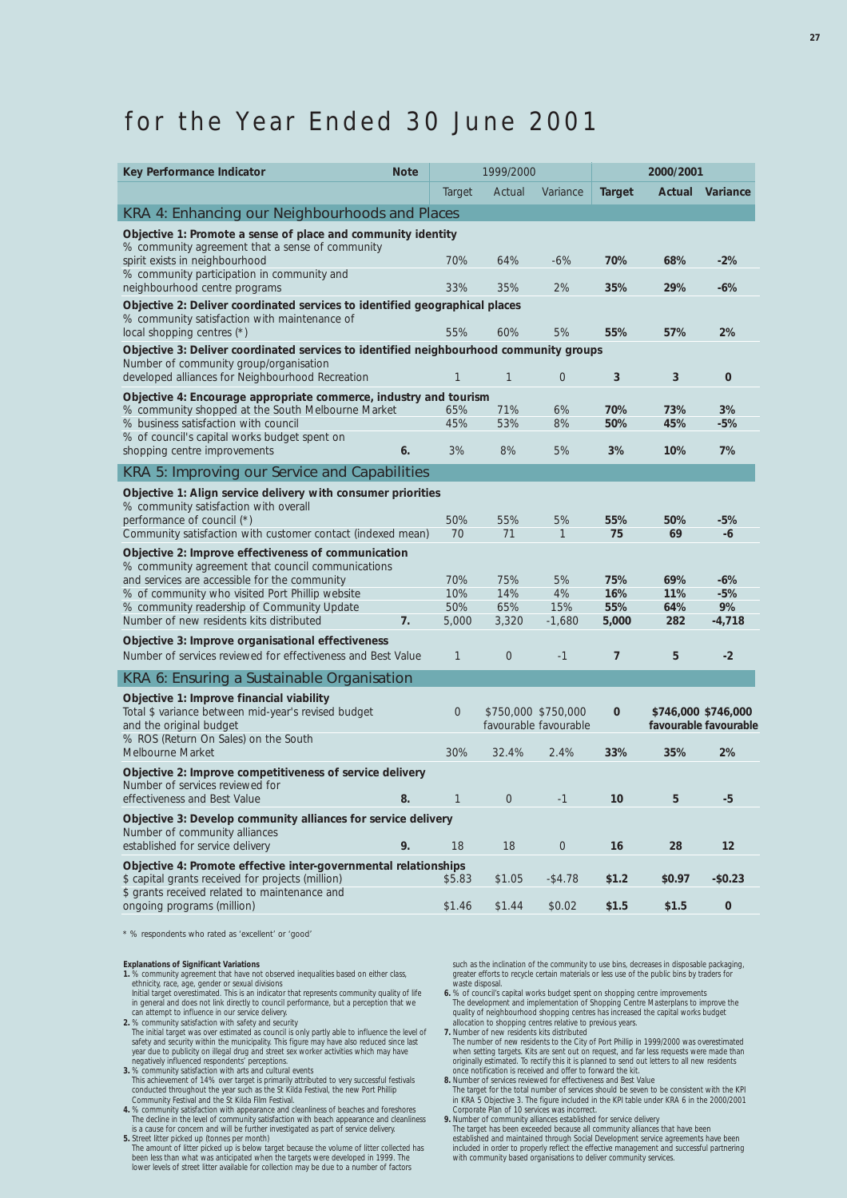## for the Year Ended 30 June 2001

| Actual<br>Actual<br>Variance<br><b>Target</b><br>Variance<br>Target<br>KRA 4: Enhancing our Neighbourhoods and Places<br>Objective 1: Promote a sense of place and community identity<br>% community agreement that a sense of community<br>spirit exists in neighbourhood<br>64%<br>70%<br>70%<br>$-6\%$<br>68%<br>$-2%$<br>% community participation in community and<br>33%<br>neighbourhood centre programs<br>35%<br>2%<br>35%<br>29%<br>$-6%$<br>Objective 2: Deliver coordinated services to identified geographical places<br>% community satisfaction with maintenance of<br>55%<br>60%<br>5%<br>57%<br>2%<br>local shopping centres (*)<br>55%<br>Objective 3: Deliver coordinated services to identified neighbourhood community groups<br>Number of community group/organisation<br>developed alliances for Neighbourhood Recreation<br>$\mathbf{1}$<br>3<br>3<br>$\bf{0}$<br>1<br>$\overline{0}$<br>Objective 4: Encourage appropriate commerce, industry and tourism<br>% community shopped at the South Melbourne Market<br>65%<br>71%<br>6%<br>70%<br>73%<br>3%<br>% business satisfaction with council<br>45%<br>53%<br>8%<br>50%<br>45%<br>$-5%$<br>% of council's capital works budget spent on<br>3%<br>8%<br>7%<br>shopping centre improvements<br>6.<br>5%<br>3%<br>10%<br>KRA 5: Improving our Service and Capabilities<br>Objective 1: Align service delivery with consumer priorities<br>% community satisfaction with overall<br>performance of council (*)<br>50%<br>5%<br>55%<br>55%<br>50%<br>-5%<br>70<br>71<br>1<br>75<br>69<br>Community satisfaction with customer contact (indexed mean)<br>-6<br>Objective 2: Improve effectiveness of communication | Key Performance Indicator | <b>Note</b> | 1999/2000 |  | 2000/2001 |  |
|-----------------------------------------------------------------------------------------------------------------------------------------------------------------------------------------------------------------------------------------------------------------------------------------------------------------------------------------------------------------------------------------------------------------------------------------------------------------------------------------------------------------------------------------------------------------------------------------------------------------------------------------------------------------------------------------------------------------------------------------------------------------------------------------------------------------------------------------------------------------------------------------------------------------------------------------------------------------------------------------------------------------------------------------------------------------------------------------------------------------------------------------------------------------------------------------------------------------------------------------------------------------------------------------------------------------------------------------------------------------------------------------------------------------------------------------------------------------------------------------------------------------------------------------------------------------------------------------------------------------------------------------------------------------------------------------|---------------------------|-------------|-----------|--|-----------|--|
|                                                                                                                                                                                                                                                                                                                                                                                                                                                                                                                                                                                                                                                                                                                                                                                                                                                                                                                                                                                                                                                                                                                                                                                                                                                                                                                                                                                                                                                                                                                                                                                                                                                                                         |                           |             |           |  |           |  |
|                                                                                                                                                                                                                                                                                                                                                                                                                                                                                                                                                                                                                                                                                                                                                                                                                                                                                                                                                                                                                                                                                                                                                                                                                                                                                                                                                                                                                                                                                                                                                                                                                                                                                         |                           |             |           |  |           |  |
|                                                                                                                                                                                                                                                                                                                                                                                                                                                                                                                                                                                                                                                                                                                                                                                                                                                                                                                                                                                                                                                                                                                                                                                                                                                                                                                                                                                                                                                                                                                                                                                                                                                                                         |                           |             |           |  |           |  |
|                                                                                                                                                                                                                                                                                                                                                                                                                                                                                                                                                                                                                                                                                                                                                                                                                                                                                                                                                                                                                                                                                                                                                                                                                                                                                                                                                                                                                                                                                                                                                                                                                                                                                         |                           |             |           |  |           |  |
|                                                                                                                                                                                                                                                                                                                                                                                                                                                                                                                                                                                                                                                                                                                                                                                                                                                                                                                                                                                                                                                                                                                                                                                                                                                                                                                                                                                                                                                                                                                                                                                                                                                                                         |                           |             |           |  |           |  |
|                                                                                                                                                                                                                                                                                                                                                                                                                                                                                                                                                                                                                                                                                                                                                                                                                                                                                                                                                                                                                                                                                                                                                                                                                                                                                                                                                                                                                                                                                                                                                                                                                                                                                         |                           |             |           |  |           |  |
|                                                                                                                                                                                                                                                                                                                                                                                                                                                                                                                                                                                                                                                                                                                                                                                                                                                                                                                                                                                                                                                                                                                                                                                                                                                                                                                                                                                                                                                                                                                                                                                                                                                                                         |                           |             |           |  |           |  |
|                                                                                                                                                                                                                                                                                                                                                                                                                                                                                                                                                                                                                                                                                                                                                                                                                                                                                                                                                                                                                                                                                                                                                                                                                                                                                                                                                                                                                                                                                                                                                                                                                                                                                         |                           |             |           |  |           |  |
|                                                                                                                                                                                                                                                                                                                                                                                                                                                                                                                                                                                                                                                                                                                                                                                                                                                                                                                                                                                                                                                                                                                                                                                                                                                                                                                                                                                                                                                                                                                                                                                                                                                                                         |                           |             |           |  |           |  |
|                                                                                                                                                                                                                                                                                                                                                                                                                                                                                                                                                                                                                                                                                                                                                                                                                                                                                                                                                                                                                                                                                                                                                                                                                                                                                                                                                                                                                                                                                                                                                                                                                                                                                         |                           |             |           |  |           |  |
|                                                                                                                                                                                                                                                                                                                                                                                                                                                                                                                                                                                                                                                                                                                                                                                                                                                                                                                                                                                                                                                                                                                                                                                                                                                                                                                                                                                                                                                                                                                                                                                                                                                                                         |                           |             |           |  |           |  |
|                                                                                                                                                                                                                                                                                                                                                                                                                                                                                                                                                                                                                                                                                                                                                                                                                                                                                                                                                                                                                                                                                                                                                                                                                                                                                                                                                                                                                                                                                                                                                                                                                                                                                         |                           |             |           |  |           |  |
|                                                                                                                                                                                                                                                                                                                                                                                                                                                                                                                                                                                                                                                                                                                                                                                                                                                                                                                                                                                                                                                                                                                                                                                                                                                                                                                                                                                                                                                                                                                                                                                                                                                                                         |                           |             |           |  |           |  |
|                                                                                                                                                                                                                                                                                                                                                                                                                                                                                                                                                                                                                                                                                                                                                                                                                                                                                                                                                                                                                                                                                                                                                                                                                                                                                                                                                                                                                                                                                                                                                                                                                                                                                         |                           |             |           |  |           |  |
|                                                                                                                                                                                                                                                                                                                                                                                                                                                                                                                                                                                                                                                                                                                                                                                                                                                                                                                                                                                                                                                                                                                                                                                                                                                                                                                                                                                                                                                                                                                                                                                                                                                                                         |                           |             |           |  |           |  |
|                                                                                                                                                                                                                                                                                                                                                                                                                                                                                                                                                                                                                                                                                                                                                                                                                                                                                                                                                                                                                                                                                                                                                                                                                                                                                                                                                                                                                                                                                                                                                                                                                                                                                         |                           |             |           |  |           |  |
|                                                                                                                                                                                                                                                                                                                                                                                                                                                                                                                                                                                                                                                                                                                                                                                                                                                                                                                                                                                                                                                                                                                                                                                                                                                                                                                                                                                                                                                                                                                                                                                                                                                                                         |                           |             |           |  |           |  |
|                                                                                                                                                                                                                                                                                                                                                                                                                                                                                                                                                                                                                                                                                                                                                                                                                                                                                                                                                                                                                                                                                                                                                                                                                                                                                                                                                                                                                                                                                                                                                                                                                                                                                         |                           |             |           |  |           |  |
|                                                                                                                                                                                                                                                                                                                                                                                                                                                                                                                                                                                                                                                                                                                                                                                                                                                                                                                                                                                                                                                                                                                                                                                                                                                                                                                                                                                                                                                                                                                                                                                                                                                                                         |                           |             |           |  |           |  |
|                                                                                                                                                                                                                                                                                                                                                                                                                                                                                                                                                                                                                                                                                                                                                                                                                                                                                                                                                                                                                                                                                                                                                                                                                                                                                                                                                                                                                                                                                                                                                                                                                                                                                         |                           |             |           |  |           |  |
| % community agreement that council communications                                                                                                                                                                                                                                                                                                                                                                                                                                                                                                                                                                                                                                                                                                                                                                                                                                                                                                                                                                                                                                                                                                                                                                                                                                                                                                                                                                                                                                                                                                                                                                                                                                       |                           |             |           |  |           |  |
| and services are accessible for the community<br>70%<br>75%<br>5%<br>75%<br>69%<br>$-6%$                                                                                                                                                                                                                                                                                                                                                                                                                                                                                                                                                                                                                                                                                                                                                                                                                                                                                                                                                                                                                                                                                                                                                                                                                                                                                                                                                                                                                                                                                                                                                                                                |                           |             |           |  |           |  |
| 10%<br>14%<br>4%<br>16%<br>% of community who visited Port Phillip website<br>11%<br>$-5%$                                                                                                                                                                                                                                                                                                                                                                                                                                                                                                                                                                                                                                                                                                                                                                                                                                                                                                                                                                                                                                                                                                                                                                                                                                                                                                                                                                                                                                                                                                                                                                                              |                           |             |           |  |           |  |
| % community readership of Community Update<br>50%<br>65%<br>15%<br>55%<br>9%<br>64%<br>7.                                                                                                                                                                                                                                                                                                                                                                                                                                                                                                                                                                                                                                                                                                                                                                                                                                                                                                                                                                                                                                                                                                                                                                                                                                                                                                                                                                                                                                                                                                                                                                                               |                           |             |           |  |           |  |
| Number of new residents kits distributed<br>5,000<br>3,320<br>$-4,718$<br>$-1,680$<br>5,000<br>282                                                                                                                                                                                                                                                                                                                                                                                                                                                                                                                                                                                                                                                                                                                                                                                                                                                                                                                                                                                                                                                                                                                                                                                                                                                                                                                                                                                                                                                                                                                                                                                      |                           |             |           |  |           |  |
| Objective 3: Improve organisational effectiveness<br>Number of services reviewed for effectiveness and Best Value<br>$\overline{0}$<br>7<br>5<br>$-2$<br>1<br>$-1$                                                                                                                                                                                                                                                                                                                                                                                                                                                                                                                                                                                                                                                                                                                                                                                                                                                                                                                                                                                                                                                                                                                                                                                                                                                                                                                                                                                                                                                                                                                      |                           |             |           |  |           |  |
|                                                                                                                                                                                                                                                                                                                                                                                                                                                                                                                                                                                                                                                                                                                                                                                                                                                                                                                                                                                                                                                                                                                                                                                                                                                                                                                                                                                                                                                                                                                                                                                                                                                                                         |                           |             |           |  |           |  |
| KRA 6: Ensuring a Sustainable Organisation                                                                                                                                                                                                                                                                                                                                                                                                                                                                                                                                                                                                                                                                                                                                                                                                                                                                                                                                                                                                                                                                                                                                                                                                                                                                                                                                                                                                                                                                                                                                                                                                                                              |                           |             |           |  |           |  |
| Objective 1: Improve financial viability                                                                                                                                                                                                                                                                                                                                                                                                                                                                                                                                                                                                                                                                                                                                                                                                                                                                                                                                                                                                                                                                                                                                                                                                                                                                                                                                                                                                                                                                                                                                                                                                                                                |                           |             |           |  |           |  |
| Total \$ variance between mid-year's revised budget<br>$\mathbf 0$<br>\$750,000 \$750,000<br>$\mathbf 0$<br>\$746,000 \$746,000<br>and the original budget<br>favourable favourable<br>favourable favourable                                                                                                                                                                                                                                                                                                                                                                                                                                                                                                                                                                                                                                                                                                                                                                                                                                                                                                                                                                                                                                                                                                                                                                                                                                                                                                                                                                                                                                                                            |                           |             |           |  |           |  |
| % ROS (Return On Sales) on the South                                                                                                                                                                                                                                                                                                                                                                                                                                                                                                                                                                                                                                                                                                                                                                                                                                                                                                                                                                                                                                                                                                                                                                                                                                                                                                                                                                                                                                                                                                                                                                                                                                                    |                           |             |           |  |           |  |
| 30%<br>32.4%<br>2.4%<br>33%<br>35%<br>2%<br>Melbourne Market                                                                                                                                                                                                                                                                                                                                                                                                                                                                                                                                                                                                                                                                                                                                                                                                                                                                                                                                                                                                                                                                                                                                                                                                                                                                                                                                                                                                                                                                                                                                                                                                                            |                           |             |           |  |           |  |
| Objective 2: Improve competitiveness of service delivery                                                                                                                                                                                                                                                                                                                                                                                                                                                                                                                                                                                                                                                                                                                                                                                                                                                                                                                                                                                                                                                                                                                                                                                                                                                                                                                                                                                                                                                                                                                                                                                                                                |                           |             |           |  |           |  |
| Number of services reviewed for<br>effectiveness and Best Value<br>10<br>5<br>$-5$<br>1<br>8.<br>$\theta$<br>$-1$                                                                                                                                                                                                                                                                                                                                                                                                                                                                                                                                                                                                                                                                                                                                                                                                                                                                                                                                                                                                                                                                                                                                                                                                                                                                                                                                                                                                                                                                                                                                                                       |                           |             |           |  |           |  |
|                                                                                                                                                                                                                                                                                                                                                                                                                                                                                                                                                                                                                                                                                                                                                                                                                                                                                                                                                                                                                                                                                                                                                                                                                                                                                                                                                                                                                                                                                                                                                                                                                                                                                         |                           |             |           |  |           |  |
| Objective 3: Develop community alliances for service delivery<br>Number of community alliances                                                                                                                                                                                                                                                                                                                                                                                                                                                                                                                                                                                                                                                                                                                                                                                                                                                                                                                                                                                                                                                                                                                                                                                                                                                                                                                                                                                                                                                                                                                                                                                          |                           |             |           |  |           |  |
| established for service delivery<br>9.<br>16<br>28<br>12<br>18<br>18<br>$\mathbf 0$                                                                                                                                                                                                                                                                                                                                                                                                                                                                                                                                                                                                                                                                                                                                                                                                                                                                                                                                                                                                                                                                                                                                                                                                                                                                                                                                                                                                                                                                                                                                                                                                     |                           |             |           |  |           |  |
| Objective 4: Promote effective inter-governmental relationships                                                                                                                                                                                                                                                                                                                                                                                                                                                                                                                                                                                                                                                                                                                                                                                                                                                                                                                                                                                                                                                                                                                                                                                                                                                                                                                                                                                                                                                                                                                                                                                                                         |                           |             |           |  |           |  |
| \$ capital grants received for projects (million)<br>\$5.83<br>$-$4.78$<br>\$1.2<br>$-$0.23$<br>\$1.05<br>\$0.97                                                                                                                                                                                                                                                                                                                                                                                                                                                                                                                                                                                                                                                                                                                                                                                                                                                                                                                                                                                                                                                                                                                                                                                                                                                                                                                                                                                                                                                                                                                                                                        |                           |             |           |  |           |  |
| \$ grants received related to maintenance and<br>ongoing programs (million)<br>\$1.46<br>\$1.44<br>\$0.02<br>\$1.5<br>\$1.5<br>$\pmb{0}$                                                                                                                                                                                                                                                                                                                                                                                                                                                                                                                                                                                                                                                                                                                                                                                                                                                                                                                                                                                                                                                                                                                                                                                                                                                                                                                                                                                                                                                                                                                                                |                           |             |           |  |           |  |

\* % respondents who rated as 'excellent' or 'good'

- **Explanations of Significant Variations 1.** *% community agreement that have not observed inequalities based on either class,*
- ethnicity, race, age, gender or sexual divisions<br>Initial target overestimated. This is an indicator that represents community quality of life<br>in general and does not link directly to council performance, but a perception t
- The initial target was over estimated as council is only partly able to influence the level of safety and security within the municipality. This figure may have also reduced since last year due to publicity on illegal drug
- 
- This achievement of 14% over target is primarily attributed to very successful festivals<br>conducted throughout the year such as the St Kilda Festival, the new Port Phillip<br>Community Festival and the St Kilda Film Festival.<br>
- 
- is a cause for concern and will be further investigated as part of service delivery.<br>5. *Street litter picked up (tonnes per month)*<br>The amount of litter picked up is below target because the volume of litter collected ha

such as the inclination of the community to use bins, decreases in disposable packaging, greater efforts to recycle certain materials or less use of the public bins by traders for

- waste disposal.<br>
6. *8s of council's capital works budget spent on shopping centre improvements*<br>
6. The development and implementation of Shopping Centre Masterplans to improve the<br>
quality of neighbourhood shopping centr
- when setting targets. Kits are sent out on request, and far less requests were made than<br>originally estimated. To rectify this it is planned to send out letters to all new residents<br>once notification is received and offer
- 
- **8.** Number of services reviewed for effectiveness and Best Value<br>The target for the total number of services should be seven to be consistent with the KPI<br>in KRA 5 Objective 3. The figure included in the KPI table under K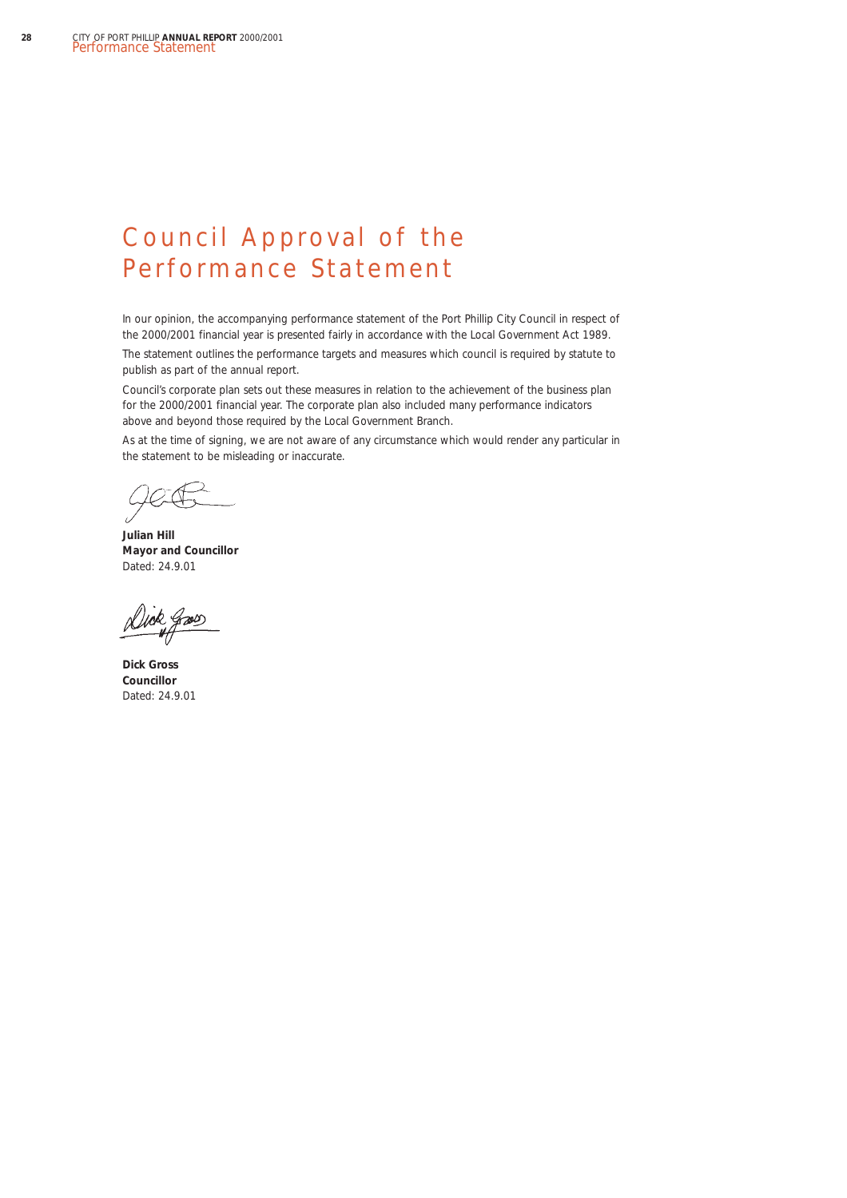## Council Approval of the Performance Statement

In our opinion, the accompanying performance statement of the Port Phillip City Council in respect of the 2000/2001 financial year is presented fairly in accordance with the *Local Government Act 1989.*

The statement outlines the performance targets and measures which council is required by statute to publish as part of the annual report.

Council's corporate plan sets out these measures in relation to the achievement of the business plan for the 2000/2001 financial year. The corporate plan also included many performance indicators above and beyond those required by the Local Government Branch.

As at the time of signing, we are not aware of any circumstance which would render any particular in the statement to be misleading or inaccurate.

**Julian Hill Mayor and Councillor** Dated: 24.9.01

**Dick Gross Councillor** Dated: 24.9.01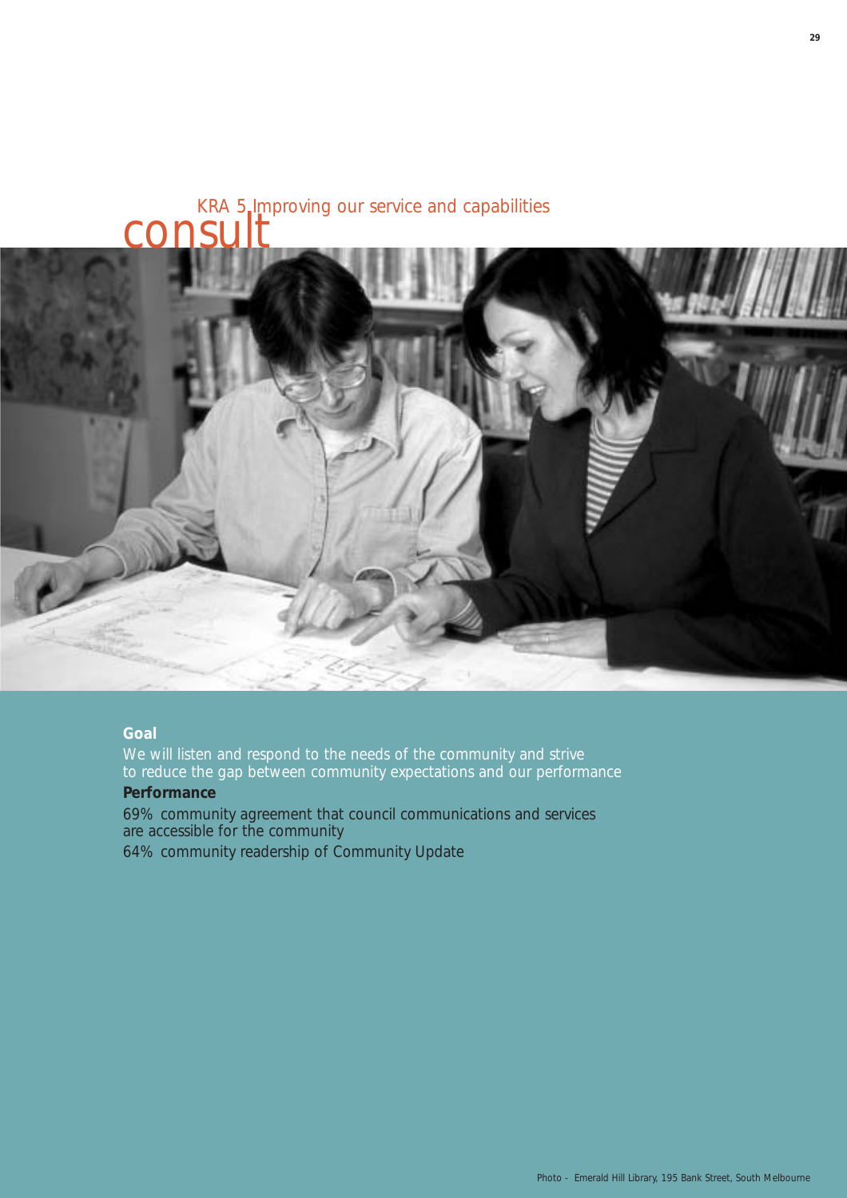## KRA 5 Improving our service and capabilities consu



### **Goal**

We will listen and respond to the needs of the community and strive to reduce the gap between community expectations and our performance

## **Performance**

69% community agreement that council communications and services are accessible for the community

64% community readership of *Community Update*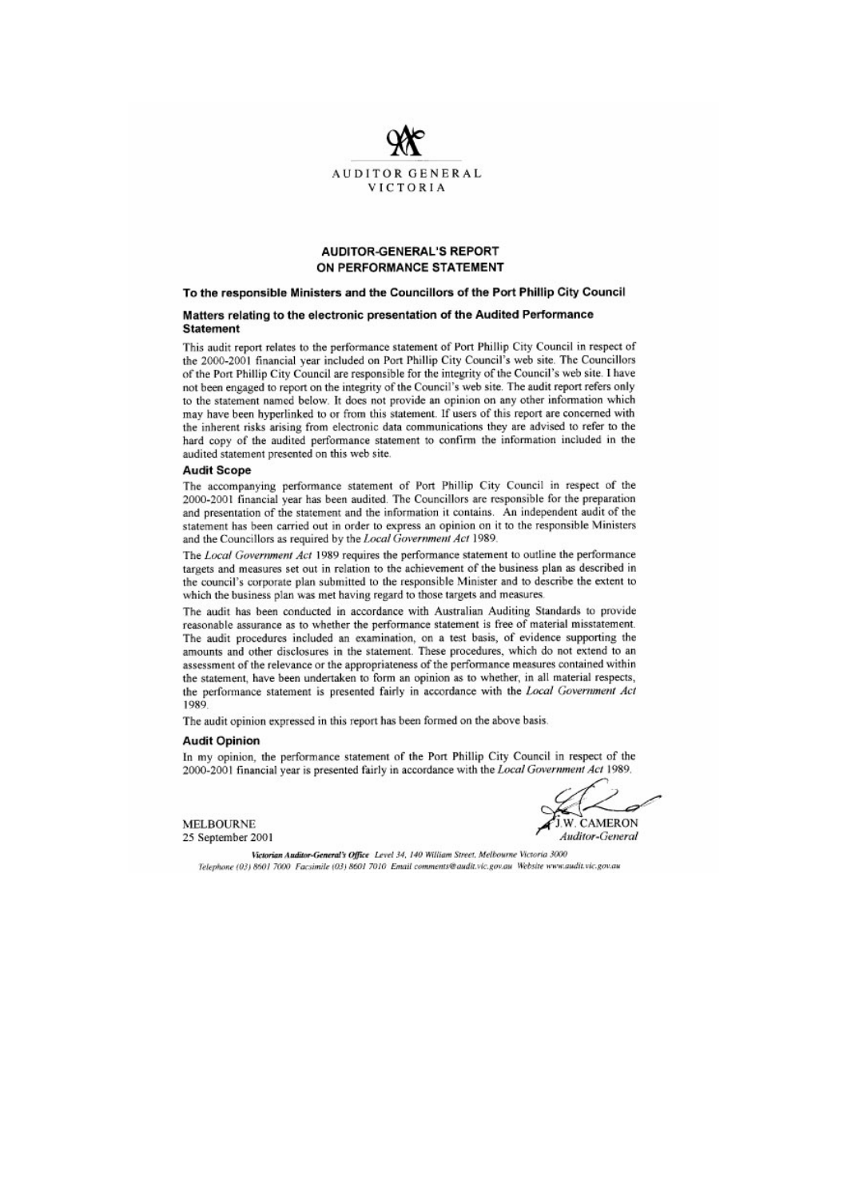

#### **AUDITOR-GENERAL'S REPORT** ON PERFORMANCE STATEMENT

#### To the responsible Ministers and the Councillors of the Port Phillip City Council

#### Matters relating to the electronic presentation of the Audited Performance **Statement**

This audit report relates to the performance statement of Port Phillip City Council in respect of the 2000-2001 financial year included on Port Phillip City Council's web site. The Councillors of the Port Phillip City Council are responsible for the integrity of the Council's web site. I have not been engaged to report on the integrity of the Council's web site. The audit report refers only to the statement named below. It does not provide an opinion on any other information which may have been hyperlinked to or from this statement. If users of this report are concerned with the inherent risks arising from electronic data communications they are advised to refer to the hard copy of the audited performance statement to confirm the information included in the audited statement presented on this web site.

#### **Audit Scope**

The accompanying performance statement of Port Phillip City Council in respect of the 2000-2001 financial year has been audited. The Councillors are responsible for the preparation and presentation of the statement and the information it contains. An independent audit of the statement has been carried out in order to express an opinion on it to the responsible Ministers and the Councillors as required by the Local Government Act 1989.

The Local Government Act 1989 requires the performance statement to outline the performance targets and measures set out in relation to the achievement of the business plan as described in the council's corporate plan submitted to the responsible Minister and to describe the extent to which the business plan was met having regard to those targets and measures.

The audit has been conducted in accordance with Australian Auditing Standards to provide reasonable assurance as to whether the performance statement is free of material misstatement. The audit procedures included an examination, on a test basis, of evidence supporting the amounts and other disclosures in the statement. These procedures, which do not extend to an assessment of the relevance or the appropriateness of the performance measures contained within the statement, have been undertaken to form an opinion as to whether, in all material respects, the performance statement is presented fairly in accordance with the Local Government Act 1989

The audit opinion expressed in this report has been formed on the above basis.

#### **Audit Opinion**

In my opinion, the performance statement of the Port Phillip City Council in respect of the 2000-2001 financial year is presented fairly in accordance with the Local Government Act 1989.

**MELBOURNE** 25 September 2001

CAMERON **Auditor-General** 

Victorian Auditor-General's Office Level 34, 140 William Street, Melbourne Victoria 3000 Telephone (03) 8601 7000 Facsimile (03) 8601 7010 Email comments@audit.vic.gov.au Website www.audit.vic.gov.au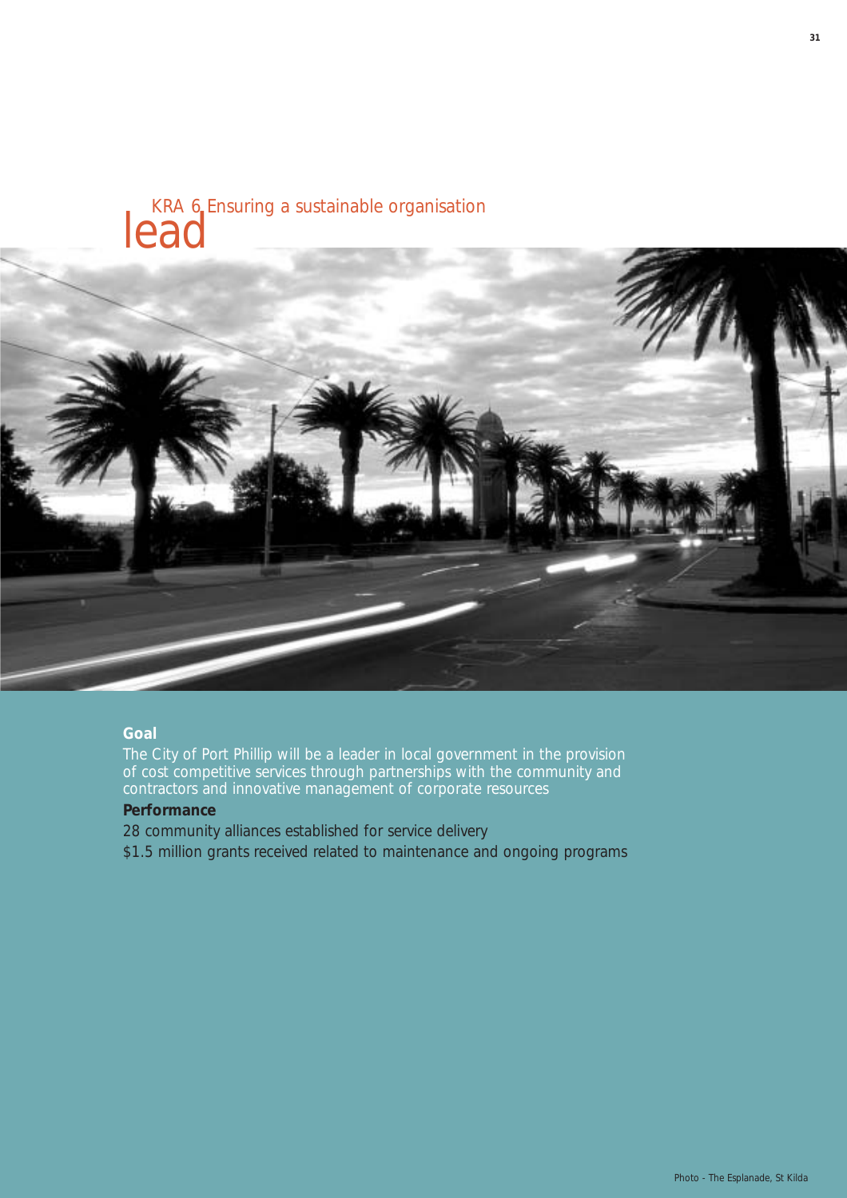# KRA 6 Ensuring a sustainable organisation lead



### **Goal**

The City of Port Phillip will be a leader in local government in the provision of cost competitive services through partnerships with the community and contractors and innovative management of corporate resources

### **Performance**

28 community alliances established for service delivery

\$1.5 million grants received related to maintenance and ongoing programs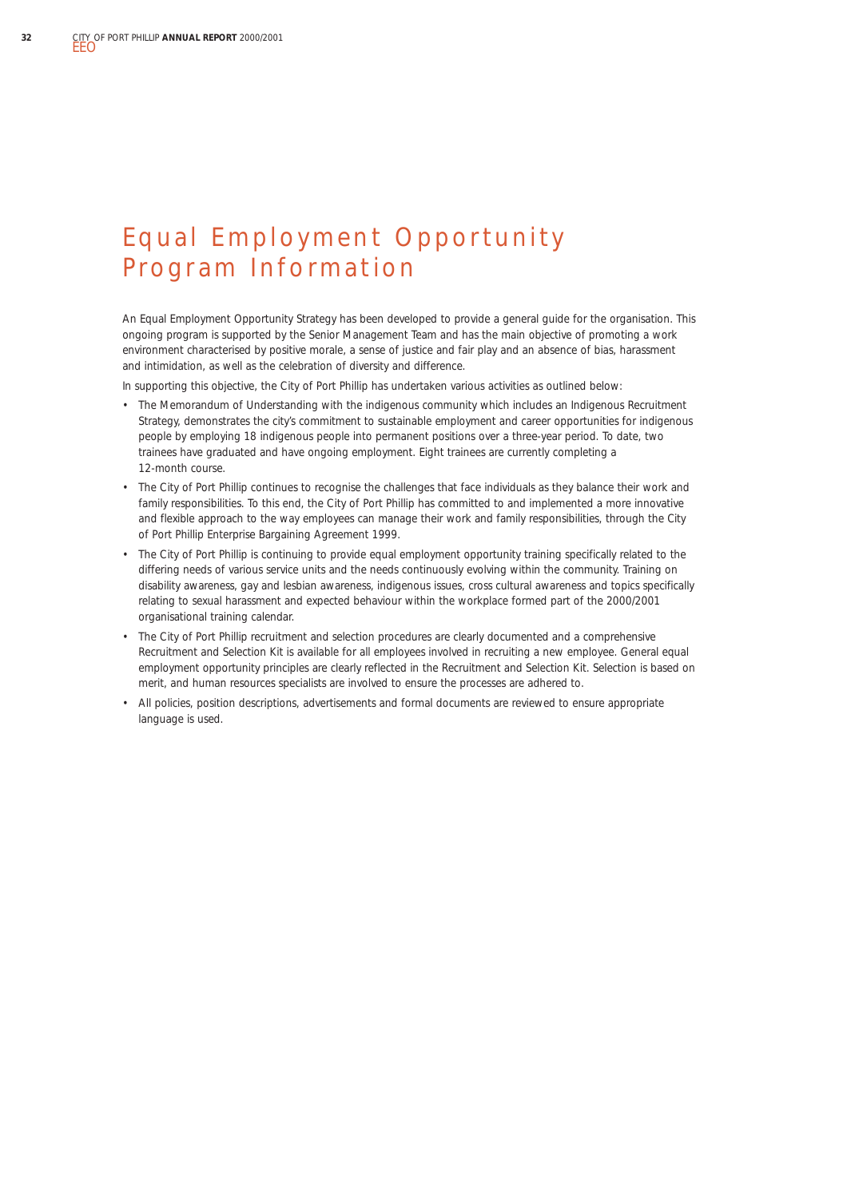## Equal Employment Opportunity Program Information

An Equal Employment Opportunity Strategy has been developed to provide a general guide for the organisation. This ongoing program is supported by the Senior Management Team and has the main objective of promoting a work environment characterised by positive morale, a sense of justice and fair play and an absence of bias, harassment and intimidation, as well as the celebration of diversity and difference.

In supporting this objective, the City of Port Phillip has undertaken various activities as outlined below:

- The Memorandum of Understanding with the indigenous community which includes an Indigenous Recruitment Strategy, demonstrates the city's commitment to sustainable employment and career opportunities for indigenous people by employing 18 indigenous people into permanent positions over a three-year period. To date, two trainees have graduated and have ongoing employment. Eight trainees are currently completing a 12-month course.
- The City of Port Phillip continues to recognise the challenges that face individuals as they balance their work and family responsibilities. To this end, the City of Port Phillip has committed to and implemented a more innovative and flexible approach to the way employees can manage their work and family responsibilities, through the *City of Port Phillip Enterprise Bargaining Agreement 1999.*
- The City of Port Phillip is continuing to provide equal employment opportunity training specifically related to the differing needs of various service units and the needs continuously evolving within the community. Training on disability awareness, gay and lesbian awareness, indigenous issues, cross cultural awareness and topics specifically relating to sexual harassment and expected behaviour within the workplace formed part of the 2000/2001 organisational training calendar.
- The City of Port Phillip recruitment and selection procedures are clearly documented and a comprehensive Recruitment and Selection Kit is available for all employees involved in recruiting a new employee. General equal employment opportunity principles are clearly reflected in the Recruitment and Selection Kit. Selection is based on merit, and human resources specialists are involved to ensure the processes are adhered to.
- All policies, position descriptions, advertisements and formal documents are reviewed to ensure appropriate language is used.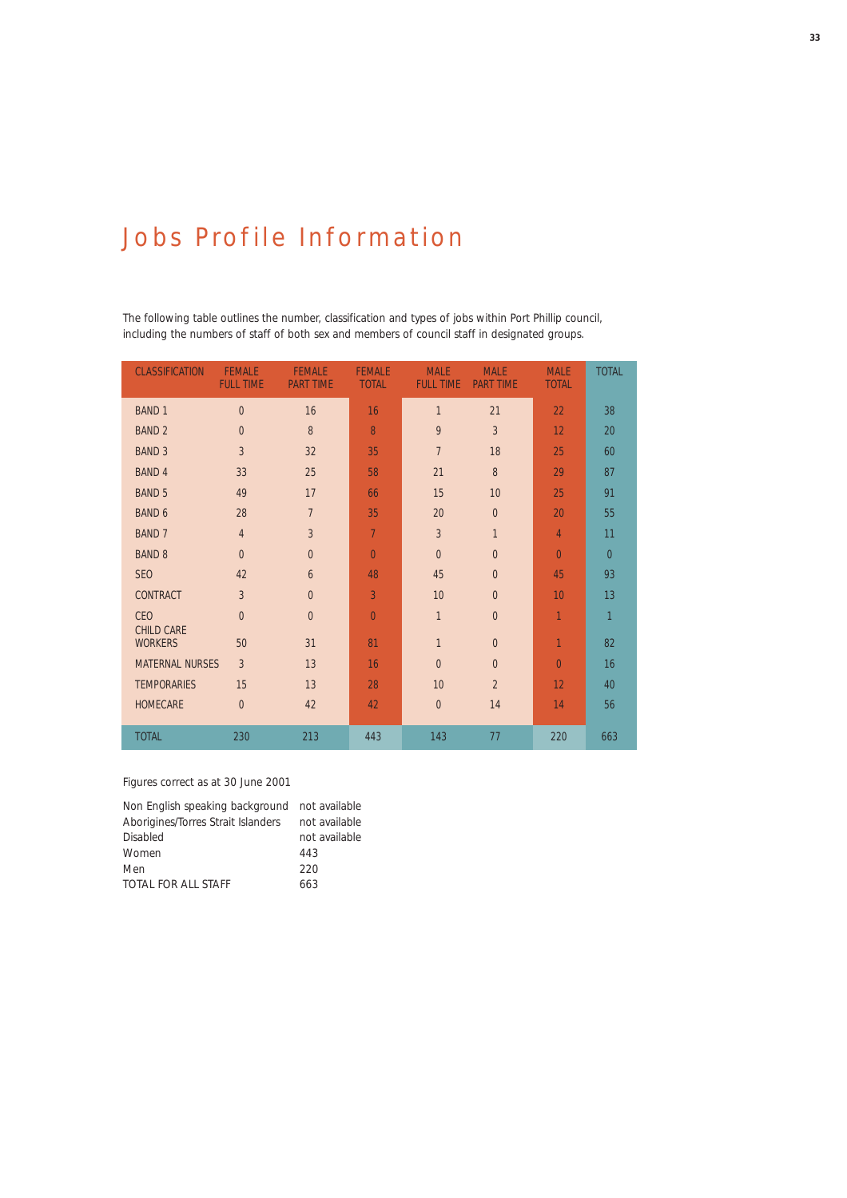## Jobs Profile Information

The following table outlines the number, classification and types of jobs within Port Phillip council, including the numbers of staff of both sex and members of council staff in designated groups.

| <b>CLASSIFICATION</b>               | <b>FEMALE</b><br><b>FULL TIME</b> | <b>FEMALE</b><br><b>PART TIME</b> | <b>FEMALE</b><br><b>TOTAL</b> | <b>MALE</b><br><b>FULL TIME</b> | <b>MALE</b><br><b>PART TIME</b> | <b>MALE</b><br><b>TOTAL</b> | <b>TOTAL</b>   |
|-------------------------------------|-----------------------------------|-----------------------------------|-------------------------------|---------------------------------|---------------------------------|-----------------------------|----------------|
| <b>BAND 1</b>                       | $\overline{0}$                    | 16                                | 16                            | $\overline{1}$                  | 21                              | 22                          | 38             |
| <b>BAND 2</b>                       | $\overline{0}$                    | 8                                 | 8                             | 9                               | $\overline{3}$                  | 12                          | 20             |
| <b>BAND 3</b>                       | $\overline{3}$                    | 32                                | 35                            | $\overline{7}$                  | 18                              | 25                          | 60             |
| <b>BAND 4</b>                       | 33                                | 25                                | 58                            | 21                              | 8                               | 29                          | 87             |
| <b>BAND 5</b>                       | 49                                | 17                                | 66                            | 15                              | 10                              | 25                          | 91             |
| <b>BAND 6</b>                       | 28                                | $\overline{7}$                    | 35                            | 20                              | $\overline{0}$                  | 20                          | 55             |
| <b>BAND 7</b>                       | $\overline{4}$                    | $\overline{3}$                    | $\overline{7}$                | 3                               | $\mathbf{1}$                    | $\overline{4}$              | 11             |
| <b>BAND 8</b>                       | $\overline{0}$                    | $\overline{0}$                    | $\overline{0}$                | $\overline{0}$                  | $\overline{0}$                  | $\overline{0}$              | $\overline{0}$ |
| SE <sub>0</sub>                     | 42                                | 6                                 | 48                            | 45                              | $\overline{0}$                  | 45                          | 93             |
| CONTRACT                            | $\overline{3}$                    | $\overline{0}$                    | 3                             | 10                              | $\overline{0}$                  | 10                          | 13             |
| <b>CEO</b>                          | $\overline{0}$                    | $\overline{0}$                    | $\overline{0}$                | $\mathbf{1}$                    | $\overline{0}$                  | $\overline{1}$              | $\mathbf{1}$   |
| <b>CHILD CARE</b><br><b>WORKERS</b> | 50                                | 31                                | 81                            | $\overline{1}$                  | $\overline{0}$                  | $\overline{1}$              | 82             |
| <b>MATERNAL NURSES</b>              | $\overline{3}$                    | 13                                | 16                            | $\overline{0}$                  | $\overline{0}$                  | $\overline{0}$              | 16             |
| <b>TEMPORARIES</b>                  | 15                                | 13                                | 28                            | 10                              | $\overline{2}$                  | 12                          | 40             |
| <b>HOMECARE</b>                     | $\overline{0}$                    | 42                                | 42                            | $\mathbf{0}$                    | 14                              | 14                          | 56             |
| <b>TOTAL</b>                        | 230                               | 213                               | 443                           | 143                             | 77                              | 220                         | 663            |

#### *Figures correct as at 30 June 2001*

| Non English speaking background not available |               |
|-----------------------------------------------|---------------|
| Aborigines/Torres Strait Islanders            | not available |
| Disabled                                      | not available |
| Women                                         | 443           |
| Men                                           | 220           |
| TOTAL FOR ALL STAFF                           | 663           |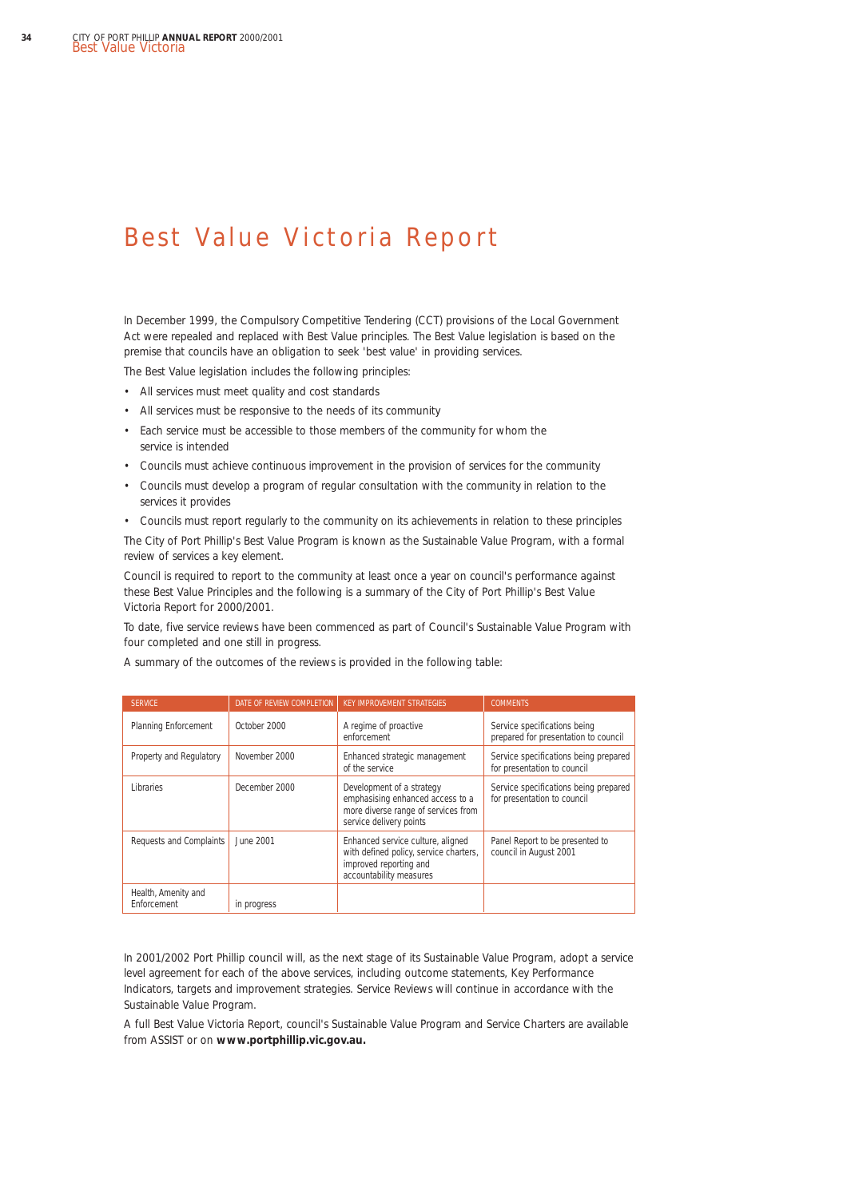## Best Value Victoria Report

In December 1999, the Compulsory Competitive Tendering (CCT) provisions of the *Local Government Act* were repealed and replaced with Best Value principles. The Best Value legislation is based on the premise that councils have an obligation to seek 'best value' in providing services.

The Best Value legislation includes the following principles:

- All services must meet quality and cost standards
- All services must be responsive to the needs of its community
- Each service must be accessible to those members of the community for whom the service is intended
- Councils must achieve continuous improvement in the provision of services for the community
- Councils must develop a program of regular consultation with the community in relation to the services it provides
- Councils must report regularly to the community on its achievements in relation to these principles

The City of Port Phillip's Best Value Program is known as the Sustainable Value Program, with a formal review of services a key element.

Council is required to report to the community at least once a year on council's performance against these Best Value Principles and the following is a summary of the City of Port Phillip's Best Value Victoria Report for 2000/2001.

To date, five service reviews have been commenced as part of Council's Sustainable Value Program with four completed and one still in progress.

| <b>SERVICE</b>                     | DATE OF REVIEW COMPLETION | <b>KEY IMPROVEMENT STRATEGIES</b>                                                                                                | <b>COMMENTS</b>                                                      |
|------------------------------------|---------------------------|----------------------------------------------------------------------------------------------------------------------------------|----------------------------------------------------------------------|
| <b>Planning Enforcement</b>        | October 2000              | A regime of proactive<br>enforcement                                                                                             | Service specifications being<br>prepared for presentation to council |
| Property and Regulatory            | November 2000             | Enhanced strategic management<br>of the service                                                                                  | Service specifications being prepared<br>for presentation to council |
| Libraries                          | December 2000             | Development of a strategy<br>emphasising enhanced access to a<br>more diverse range of services from<br>service delivery points  | Service specifications being prepared<br>for presentation to council |
| Requests and Complaints            | June 2001                 | Enhanced service culture, aligned<br>with defined policy, service charters,<br>improved reporting and<br>accountability measures | Panel Report to be presented to<br>council in August 2001            |
| Health, Amenity and<br>Enforcement | in progress               |                                                                                                                                  |                                                                      |

A summary of the outcomes of the reviews is provided in the following table:

In 2001/2002 Port Phillip council will, as the next stage of its Sustainable Value Program, adopt a service level agreement for each of the above services, including outcome statements, Key Performance Indicators, targets and improvement strategies. Service Reviews will continue in accordance with the Sustainable Value Program.

A full Best Value Victoria Report, council's Sustainable Value Program and Service Charters are available from ASSIST or on **www.portphillip.vic.gov.au.**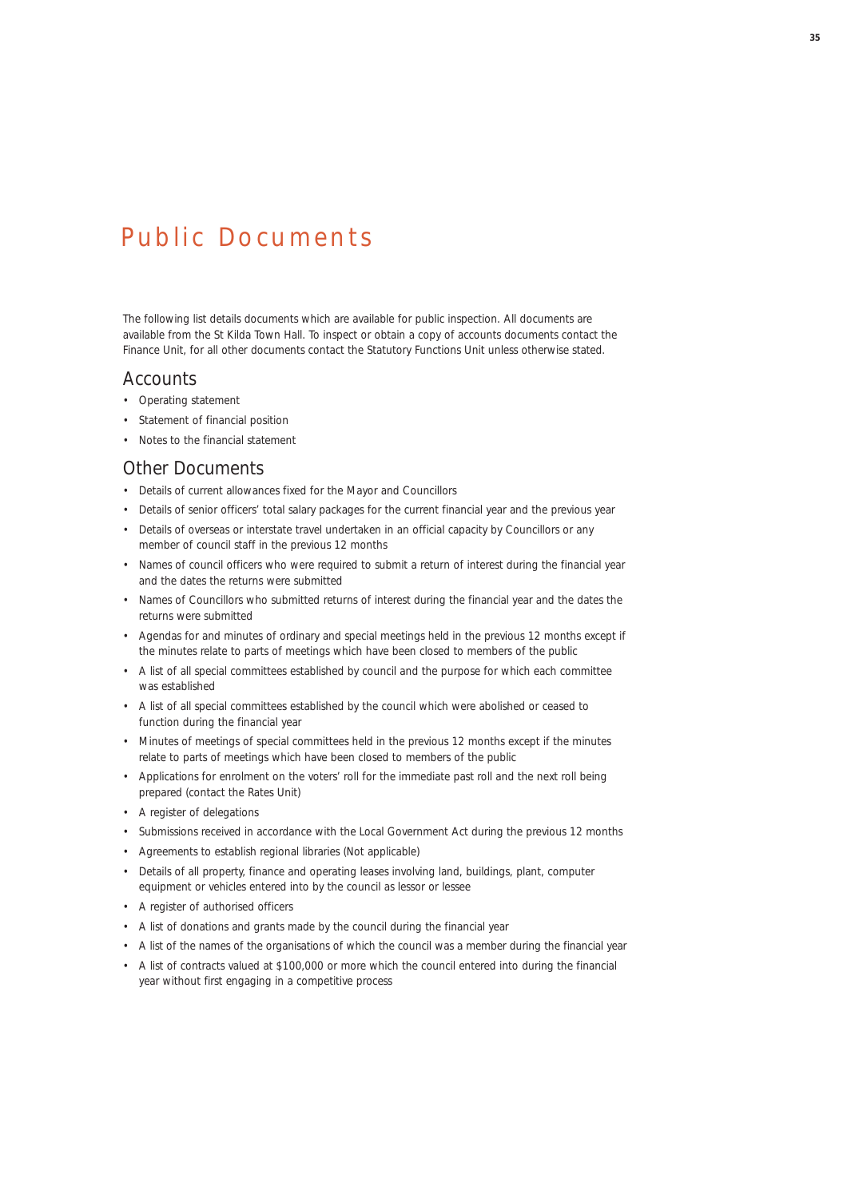## Public Documents

The following list details documents which are available for public inspection. All documents are available from the St Kilda Town Hall. To inspect or obtain a copy of accounts documents contact the Finance Unit, for all other documents contact the Statutory Functions Unit unless otherwise stated.

#### Accounts

- Operating statement
- Statement of financial position
- Notes to the financial statement

#### Other Documents

- Details of current allowances fixed for the Mayor and Councillors
- Details of senior officers' total salary packages for the current financial year and the previous year
- Details of overseas or interstate travel undertaken in an official capacity by Councillors or any member of council staff in the previous 12 months
- Names of council officers who were required to submit a return of interest during the financial year and the dates the returns were submitted
- Names of Councillors who submitted returns of interest during the financial year and the dates the returns were submitted
- Agendas for and minutes of ordinary and special meetings held in the previous 12 months except if the minutes relate to parts of meetings which have been closed to members of the public
- A list of all special committees established by council and the purpose for which each committee was established
- A list of all special committees established by the council which were abolished or ceased to function during the financial year
- Minutes of meetings of special committees held in the previous 12 months except if the minutes relate to parts of meetings which have been closed to members of the public
- Applications for enrolment on the voters' roll for the immediate past roll and the next roll being prepared (contact the Rates Unit)
- A register of delegations
- Submissions received in accordance with the *Local Government Act* during the previous 12 months
- Agreements to establish regional libraries (Not applicable)
- Details of all property, finance and operating leases involving land, buildings, plant, computer equipment or vehicles entered into by the council as lessor or lessee
- A register of authorised officers
- A list of donations and grants made by the council during the financial year
- A list of the names of the organisations of which the council was a member during the financial year
- A list of contracts valued at \$100,000 or more which the council entered into during the financial year without first engaging in a competitive process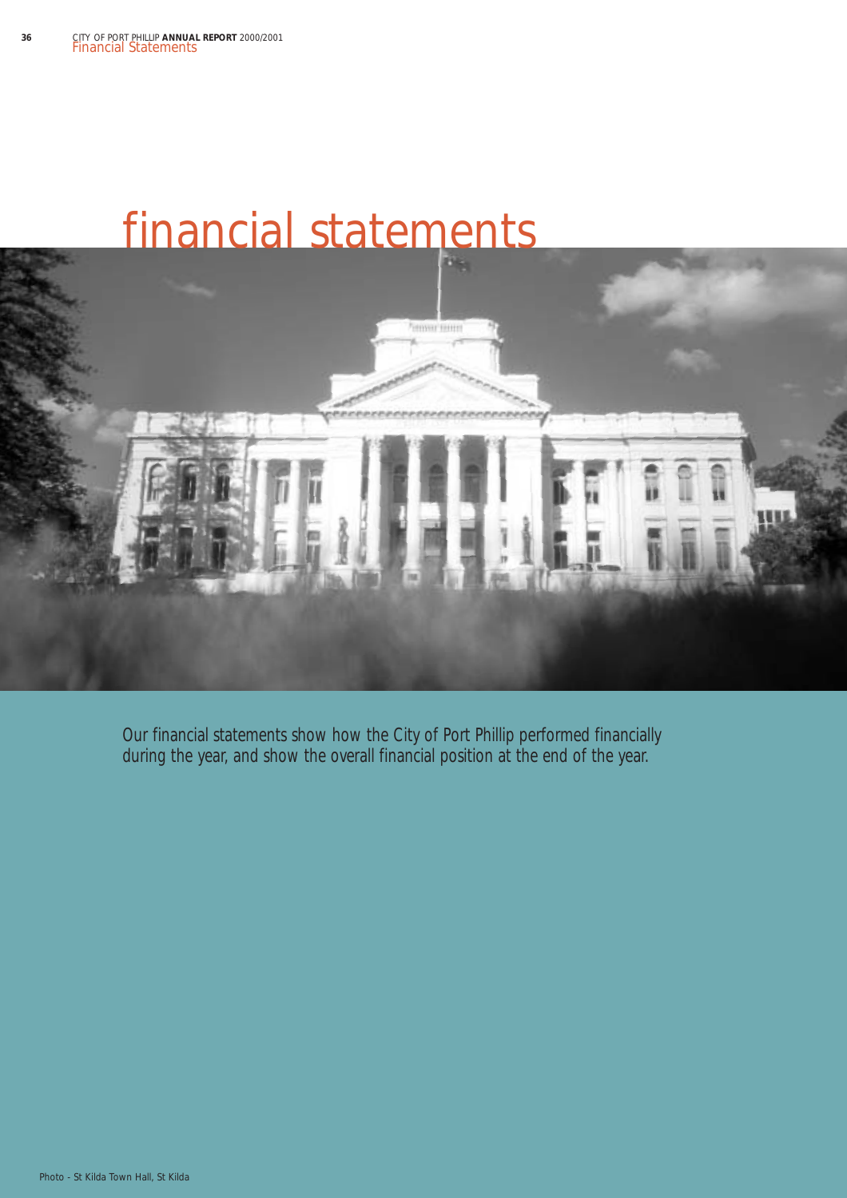

Our financial statements show how the City of Port Phillip performed financially during the year, and show the overall financial position at the end of the year.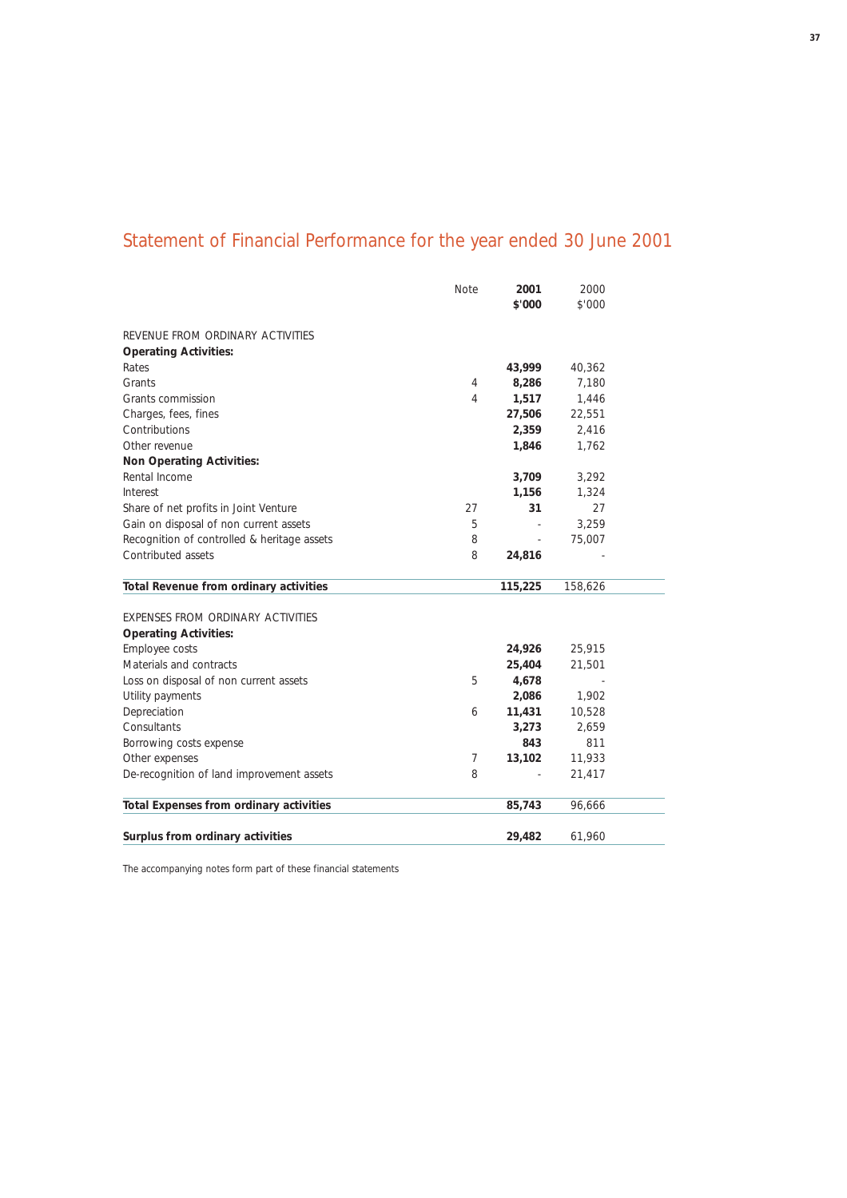# Statement of Financial Performance for the year ended 30 June 2001

|                                             | Note | 2001    | 2000    |  |
|---------------------------------------------|------|---------|---------|--|
|                                             |      | \$'000  | \$'000  |  |
| REVENUE FROM ORDINARY ACTIVITIES            |      |         |         |  |
| <b>Operating Activities:</b>                |      |         |         |  |
| Rates                                       |      | 43,999  | 40,362  |  |
| Grants                                      | 4    | 8,286   | 7,180   |  |
| Grants commission                           | 4    | 1,517   | 1,446   |  |
| Charges, fees, fines                        |      | 27,506  | 22,551  |  |
| Contributions                               |      | 2,359   | 2,416   |  |
| Other revenue                               |      | 1,846   | 1,762   |  |
| <b>Non Operating Activities:</b>            |      |         |         |  |
| Rental Income                               |      | 3,709   | 3,292   |  |
| Interest                                    |      | 1,156   | 1,324   |  |
| Share of net profits in Joint Venture       | 27   | 31      | 27      |  |
| Gain on disposal of non current assets      | 5    |         | 3,259   |  |
| Recognition of controlled & heritage assets | 8    | ÷,      | 75,007  |  |
| Contributed assets                          | 8    | 24,816  |         |  |
| Total Revenue from ordinary activities      |      | 115,225 | 158,626 |  |
| EXPENSES FROM ORDINARY ACTIVITIES           |      |         |         |  |
| <b>Operating Activities:</b>                |      |         |         |  |
| Employee costs                              |      | 24,926  | 25,915  |  |
| Materials and contracts                     |      | 25,404  | 21,501  |  |
| Loss on disposal of non current assets      | 5    | 4,678   |         |  |
| Utility payments                            |      | 2,086   | 1,902   |  |
| Depreciation                                | 6    | 11,431  | 10,528  |  |
| Consultants                                 |      | 3,273   | 2,659   |  |
| Borrowing costs expense                     |      | 843     | 811     |  |
| Other expenses                              | 7    | 13,102  | 11,933  |  |
| De-recognition of land improvement assets   | 8    |         | 21,417  |  |
| Total Expenses from ordinary activities     |      | 85,743  | 96,666  |  |
| Surplus from ordinary activities            |      | 29,482  | 61,960  |  |
|                                             |      |         |         |  |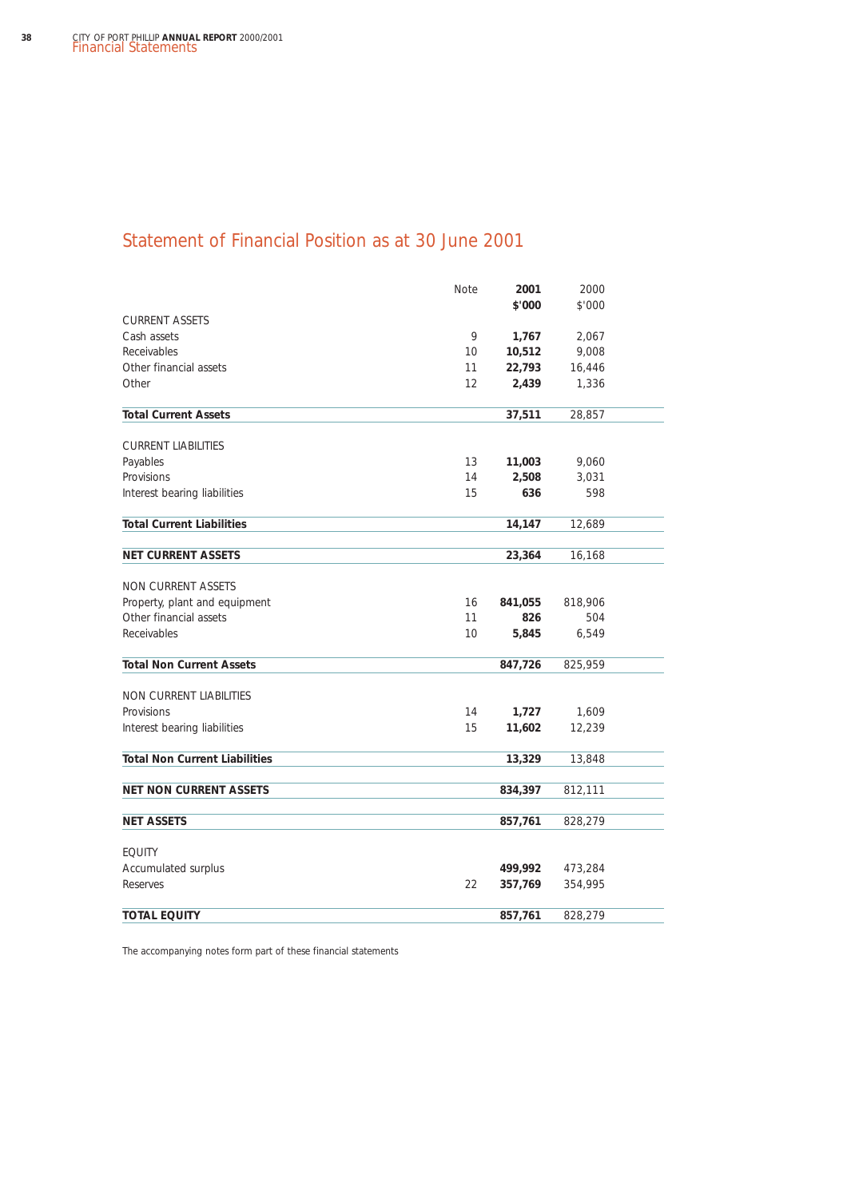## Statement of Financial Position as at 30 June 2001

|                                      | Note | 2001    | 2000    |  |
|--------------------------------------|------|---------|---------|--|
|                                      |      | \$'000  | \$'000  |  |
| <b>CURRENT ASSETS</b>                |      |         |         |  |
| Cash assets                          | 9    | 1,767   | 2,067   |  |
| Receivables                          | 10   | 10,512  | 9,008   |  |
| Other financial assets               | 11   | 22,793  | 16,446  |  |
| Other                                | 12   | 2,439   | 1,336   |  |
| <b>Total Current Assets</b>          |      | 37,511  | 28,857  |  |
| <b>CURRENT LIABILITIES</b>           |      |         |         |  |
| Payables                             | 13   | 11,003  | 9,060   |  |
| Provisions                           | 14   | 2,508   | 3,031   |  |
| Interest bearing liabilities         | 15   | 636     | 598     |  |
| <b>Total Current Liabilities</b>     |      | 14,147  | 12,689  |  |
|                                      |      |         |         |  |
| <b>NET CURRENT ASSETS</b>            |      | 23,364  | 16,168  |  |
| <b>NON CURRENT ASSETS</b>            |      |         |         |  |
| Property, plant and equipment        | 16   | 841,055 | 818,906 |  |
| Other financial assets               | 11   | 826     | 504     |  |
| Receivables                          | 10   | 5,845   | 6,549   |  |
| <b>Total Non Current Assets</b>      |      | 847,726 | 825,959 |  |
|                                      |      |         |         |  |
| NON CURRENT LIABILITIES              |      |         |         |  |
| Provisions                           | 14   | 1,727   | 1,609   |  |
| Interest bearing liabilities         | 15   | 11,602  | 12,239  |  |
| <b>Total Non Current Liabilities</b> |      | 13,329  | 13,848  |  |
| <b>NET NON CURRENT ASSETS</b>        |      | 834,397 | 812,111 |  |
|                                      |      |         |         |  |
| <b>NET ASSETS</b>                    |      | 857,761 | 828,279 |  |
| <b>EQUITY</b>                        |      |         |         |  |
| Accumulated surplus                  |      | 499,992 | 473,284 |  |
| Reserves                             | 22   | 357,769 | 354,995 |  |
| <b>TOTAL EQUITY</b>                  |      | 857,761 | 828,279 |  |
|                                      |      |         |         |  |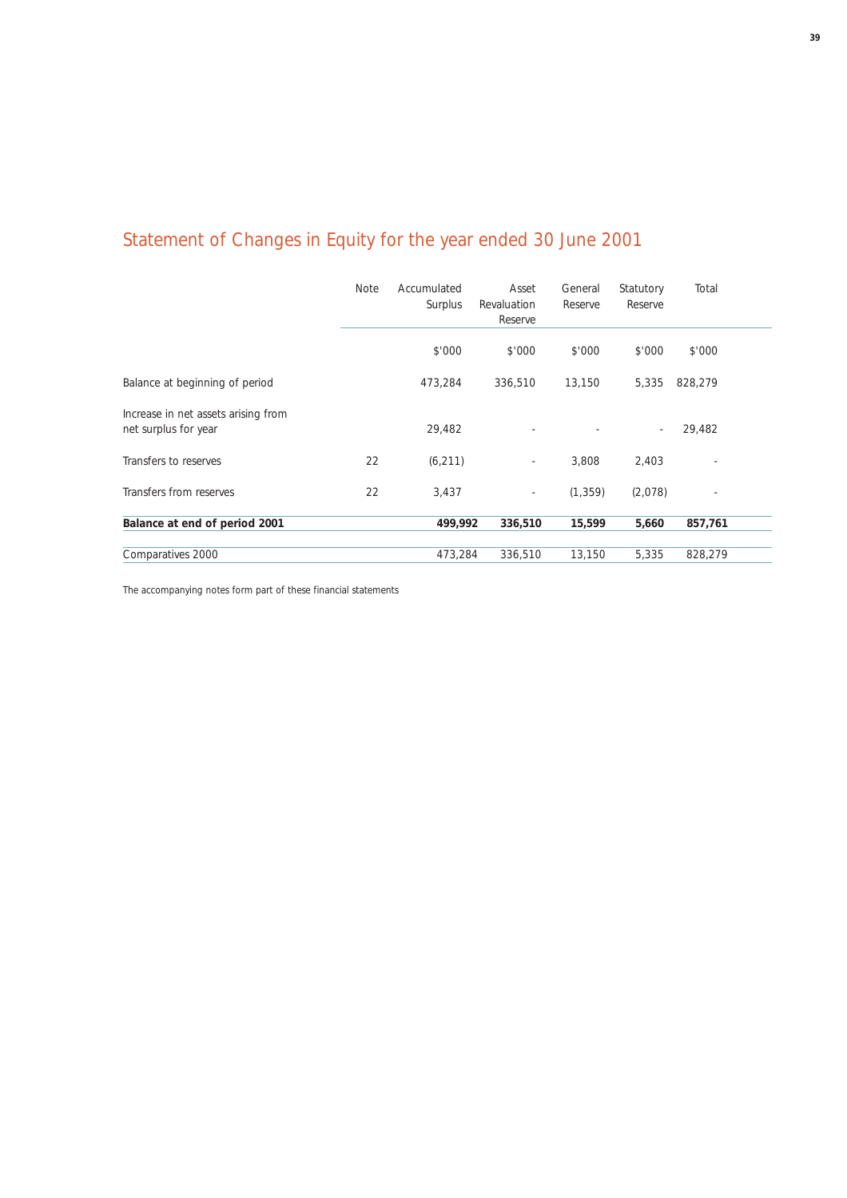# Statement of Changes in Equity for the year ended 30 June 2001

|                                                             | <b>Note</b> | Accumulated<br>Surplus | Asset<br>Revaluation<br>Reserve | General<br>Reserve | Statutory<br>Reserve | Total   |  |
|-------------------------------------------------------------|-------------|------------------------|---------------------------------|--------------------|----------------------|---------|--|
|                                                             |             | \$'000                 | \$'000                          | \$'000             | \$'000               | \$'000  |  |
| Balance at beginning of period                              |             | 473,284                | 336,510                         | 13,150             | 5,335                | 828,279 |  |
| Increase in net assets arising from<br>net surplus for year |             | 29,482                 |                                 |                    |                      | 29,482  |  |
| Transfers to reserves                                       | 22          | (6, 211)               | $\overline{\phantom{a}}$        | 3,808              | 2,403                | ٠       |  |
| Transfers from reserves                                     | 22          | 3,437                  | $\bar{ }$                       | (1, 359)           | (2,078)              |         |  |
| Balance at end of period 2001                               |             | 499,992                | 336,510                         | 15,599             | 5,660                | 857,761 |  |
| Comparatives 2000                                           |             | 473,284                | 336,510                         | 13,150             | 5,335                | 828,279 |  |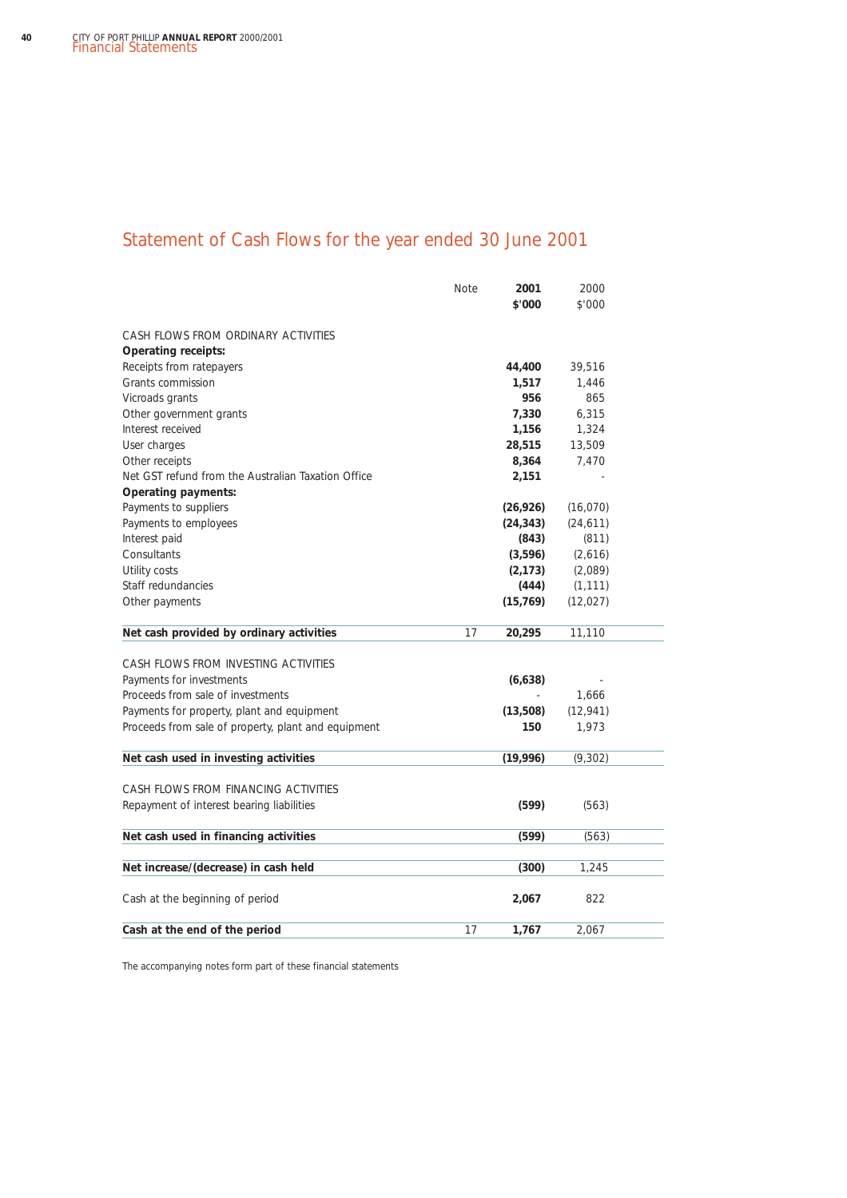## Statement of Cash Flows for the year ended 30 June 2001

|                                                     | <b>Note</b> | 2001<br>\$'000 | 2000<br>\$'000 |  |
|-----------------------------------------------------|-------------|----------------|----------------|--|
|                                                     |             |                |                |  |
| CASH FLOWS FROM ORDINARY ACTIVITIES                 |             |                |                |  |
| <b>Operating receipts:</b>                          |             |                |                |  |
| Receipts from ratepayers                            |             | 44,400         | 39,516         |  |
| Grants commission                                   |             | 1,517          | 1.446          |  |
| Vicroads grants                                     |             | 956            | 865            |  |
| Other government grants                             |             | 7,330          | 6,315          |  |
| Interest received                                   |             | 1,156          | 1,324          |  |
| User charges                                        |             | 28,515         | 13,509         |  |
| Other receipts                                      |             | 8,364          | 7,470          |  |
| Net GST refund from the Australian Taxation Office  |             | 2,151          |                |  |
| <b>Operating payments:</b>                          |             |                |                |  |
| Payments to suppliers                               |             | (26, 926)      | (16,070)       |  |
| Payments to employees                               |             | (24, 343)      | (24, 611)      |  |
| Interest paid                                       |             | (843)          | (811)          |  |
| Consultants                                         |             | (3,596)        | (2,616)        |  |
| Utility costs                                       |             | (2, 173)       | (2,089)        |  |
| Staff redundancies                                  |             | (444)          | (1, 111)       |  |
| Other payments                                      |             | (15, 769)      | (12, 027)      |  |
| Net cash provided by ordinary activities            | 17          | 20,295         | 11,110         |  |
| CASH FLOWS FROM INVESTING ACTIVITIES                |             |                |                |  |
| Payments for investments                            |             | (6,638)        |                |  |
| Proceeds from sale of investments                   |             |                | 1,666          |  |
| Payments for property, plant and equipment          |             | (13,508)       | (12, 941)      |  |
| Proceeds from sale of property, plant and equipment |             | 150            | 1,973          |  |
|                                                     |             |                |                |  |
| Net cash used in investing activities               |             | (19,996)       | (9, 302)       |  |
| CASH FLOWS FROM FINANCING ACTIVITIES                |             |                |                |  |
| Repayment of interest bearing liabilities           |             | (599)          | (563)          |  |
| Net cash used in financing activities               |             | (599)          | (563)          |  |
|                                                     |             |                |                |  |
| Net increase/(decrease) in cash held                |             | (300)          | 1,245          |  |
| Cash at the beginning of period                     |             | 2,067          | 822            |  |
| Cash at the end of the period                       | 17          | 1,767          | 2,067          |  |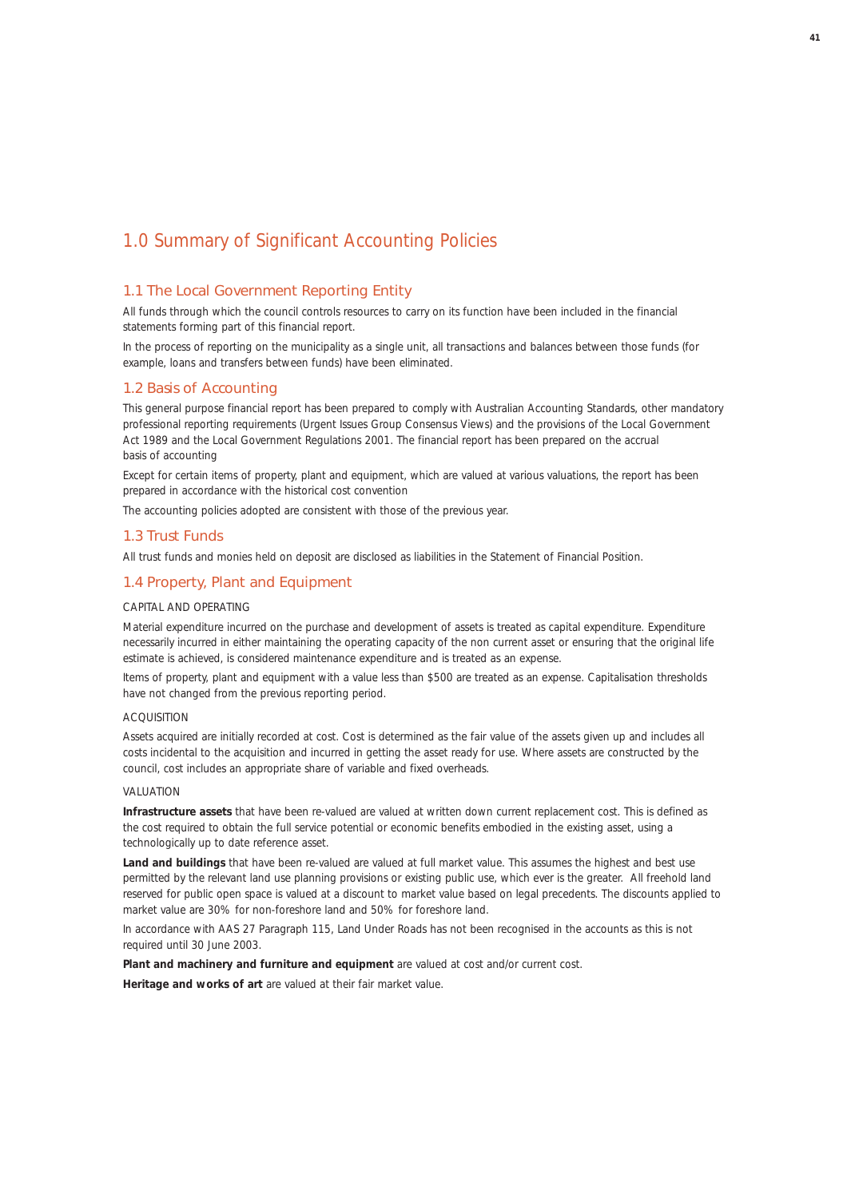### 1.0 Summary of Significant Accounting Policies

### 1.1 The Local Government Reporting Entity

All funds through which the council controls resources to carry on its function have been included in the financial statements forming part of this financial report.

In the process of reporting on the municipality as a single unit, all transactions and balances between those funds (for example, loans and transfers between funds) have been eliminated.

### 1.2 Basis of Accounting

This general purpose financial report has been prepared to comply with Australian Accounting Standards, other mandatory professional reporting requirements (Urgent Issues Group Consensus Views) and the provisions of the *Local Government Act 1989* and the *Local Government Regulations 2001*. The financial report has been prepared on the accrual basis of accounting

Except for certain items of property, plant and equipment, which are valued at various valuations, the report has been prepared in accordance with the historical cost convention

The accounting policies adopted are consistent with those of the previous year.

### 1.3 Trust Funds

All trust funds and monies held on deposit are disclosed as liabilities in the Statement of Financial Position.

### 1.4 Property, Plant and Equipment

### CAPITAL AND OPERATING

Material expenditure incurred on the purchase and development of assets is treated as capital expenditure. Expenditure necessarily incurred in either maintaining the operating capacity of the non current asset or ensuring that the original life estimate is achieved, is considered maintenance expenditure and is treated as an expense.

Items of property, plant and equipment with a value less than \$500 are treated as an expense. Capitalisation thresholds have not changed from the previous reporting period.

### ACQUISITION

Assets acquired are initially recorded at cost. Cost is determined as the fair value of the assets given up and includes all costs incidental to the acquisition and incurred in getting the asset ready for use. Where assets are constructed by the council, cost includes an appropriate share of variable and fixed overheads.

#### VALUATION

**Infrastructure assets** that have been re-valued are valued at written down current replacement cost. This is defined as the cost required to obtain the full service potential or economic benefits embodied in the existing asset, using a technologically up to date reference asset.

Land and buildings that have been re-valued are valued at full market value. This assumes the highest and best use permitted by the relevant land use planning provisions or existing public use, which ever is the greater. All freehold land reserved for public open space is valued at a discount to market value based on legal precedents. The discounts applied to market value are 30% for non-foreshore land and 50% for foreshore land.

In accordance with AAS 27 Paragraph 115, Land Under Roads has not been recognised in the accounts as this is not required until 30 June 2003.

**Plant and machinery and furniture and equipment** are valued at cost and/or current cost.

**Heritage and works of art** are valued at their fair market value.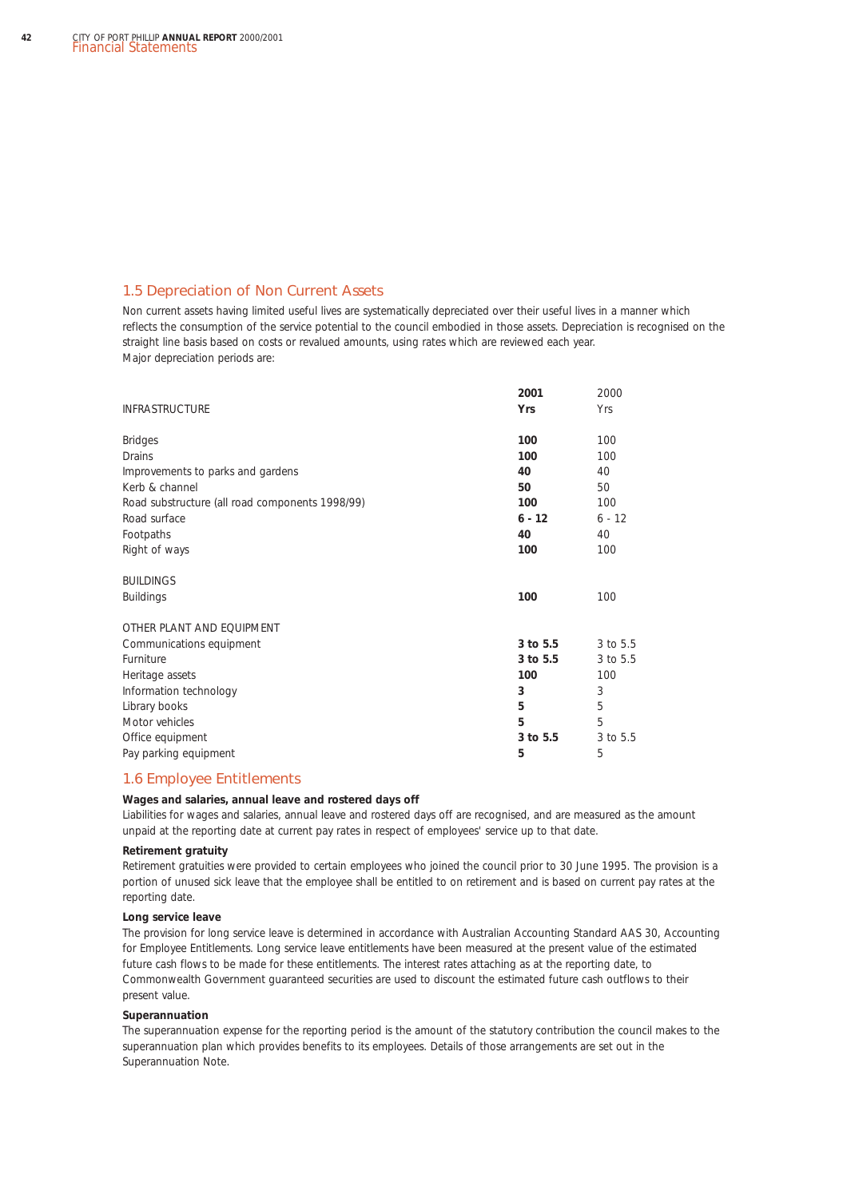### 1.5 Depreciation of Non Current Assets

Non current assets having limited useful lives are systematically depreciated over their useful lives in a manner which reflects the consumption of the service potential to the council embodied in those assets. Depreciation is recognised on the straight line basis based on costs or revalued amounts, using rates which are reviewed each year. Major depreciation periods are:

|                                                 | 2001     | 2000     |
|-------------------------------------------------|----------|----------|
| <b>INFRASTRUCTURE</b>                           | Yrs      | Yrs      |
| <b>Bridges</b>                                  | 100      | 100      |
| Drains                                          | 100      | 100      |
| Improvements to parks and gardens               | 40       | 40       |
| Kerb & channel                                  | 50       | 50       |
| Road substructure (all road components 1998/99) | 100      | 100      |
| Road surface                                    | $6 - 12$ | $6 - 12$ |
| Footpaths                                       | 40       | 40       |
| Right of ways                                   | 100      | 100      |
| <b>BUILDINGS</b>                                |          |          |
| <b>Buildings</b>                                | 100      | 100      |
| OTHER PLANT AND EQUIPMENT                       |          |          |
| Communications equipment                        | 3 to 5.5 | 3 to 5.5 |
| Furniture                                       | 3 to 5.5 | 3 to 5.5 |
| Heritage assets                                 | 100      | 100      |
| Information technology                          | 3        | 3        |
| Library books                                   | 5        | 5        |
| Motor vehicles                                  | 5        | 5        |
| Office equipment                                | 3 to 5.5 | 3 to 5.5 |
| Pay parking equipment                           | 5        | 5        |

### 1.6 Employee Entitlements

#### **Wages and salaries, annual leave and rostered days off**

Liabilities for wages and salaries, annual leave and rostered days off are recognised, and are measured as the amount unpaid at the reporting date at current pay rates in respect of employees' service up to that date.

### **Retirement gratuity**

Retirement gratuities were provided to certain employees who joined the council prior to 30 June 1995. The provision is a portion of unused sick leave that the employee shall be entitled to on retirement and is based on current pay rates at the reporting date.

#### **Long service leave**

The provision for long service leave is determined in accordance with *Australian Accounting Standard AAS 30, Accounting for Employee Entitlements*. Long service leave entitlements have been measured at the present value of the estimated future cash flows to be made for these entitlements. The interest rates attaching as at the reporting date, to Commonwealth Government guaranteed securities are used to discount the estimated future cash outflows to their present value.

#### **Superannuation**

The superannuation expense for the reporting period is the amount of the statutory contribution the council makes to the superannuation plan which provides benefits to its employees. Details of those arrangements are set out in the Superannuation Note.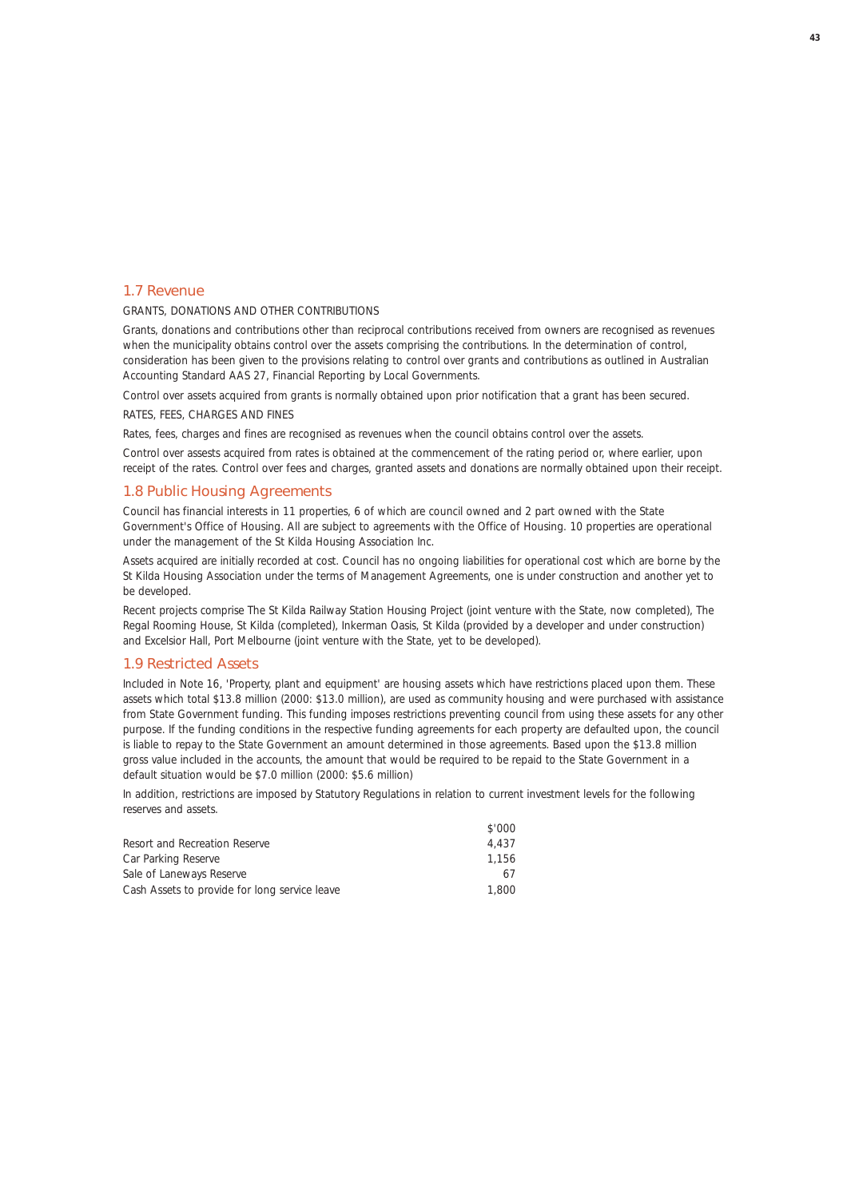### 1.7 Revenue

### GRANTS, DONATIONS AND OTHER CONTRIBUTIONS

Grants, donations and contributions other than reciprocal contributions received from owners are recognised as revenues when the municipality obtains control over the assets comprising the contributions. In the determination of control, consideration has been given to the provisions relating to control over grants and contributions as outlined in *Australian Accounting Standard AAS 27, Financial Reporting by Local Governments.*

Control over assets acquired from grants is normally obtained upon prior notification that a grant has been secured.

#### RATES, FEES, CHARGES AND FINES

Rates, fees, charges and fines are recognised as revenues when the council obtains control over the assets.

Control over assests acquired from rates is obtained at the commencement of the rating period or, where earlier, upon receipt of the rates. Control over fees and charges, granted assets and donations are normally obtained upon their receipt.

### 1.8 Public Housing Agreements

Council has financial interests in 11 properties, 6 of which are council owned and 2 part owned with the State Government's Office of Housing. All are subject to agreements with the Office of Housing. 10 properties are operational under the management of the St Kilda Housing Association Inc.

Assets acquired are initially recorded at cost. Council has no ongoing liabilities for operational cost which are borne by the St Kilda Housing Association under the terms of Management Agreements, one is under construction and another yet to be developed.

Recent projects comprise The St Kilda Railway Station Housing Project (joint venture with the State, now completed), The Regal Rooming House, St Kilda (completed), Inkerman Oasis, St Kilda (provided by a developer and under construction) and Excelsior Hall, Port Melbourne (joint venture with the State, yet to be developed).

### 1.9 Restricted Assets

Included in Note 16, 'Property, plant and equipment' are housing assets which have restrictions placed upon them. These assets which total \$13.8 million (2000: \$13.0 million), are used as community housing and were purchased with assistance from State Government funding. This funding imposes restrictions preventing council from using these assets for any other purpose. If the funding conditions in the respective funding agreements for each property are defaulted upon, the council is liable to repay to the State Government an amount determined in those agreements. Based upon the \$13.8 million gross value included in the accounts, the amount that would be required to be repaid to the State Government in a default situation would be \$7.0 million (2000: \$5.6 million)

 $\frac{10000}{10000}$ 

In addition, restrictions are imposed by Statutory Regulations in relation to current investment levels for the following reserves and assets.

|                                               | DUU & |
|-----------------------------------------------|-------|
| Resort and Recreation Reserve                 | 4.437 |
| Car Parking Reserve                           | 1.156 |
| Sale of Laneways Reserve                      | 67    |
| Cash Assets to provide for long service leave | 1.800 |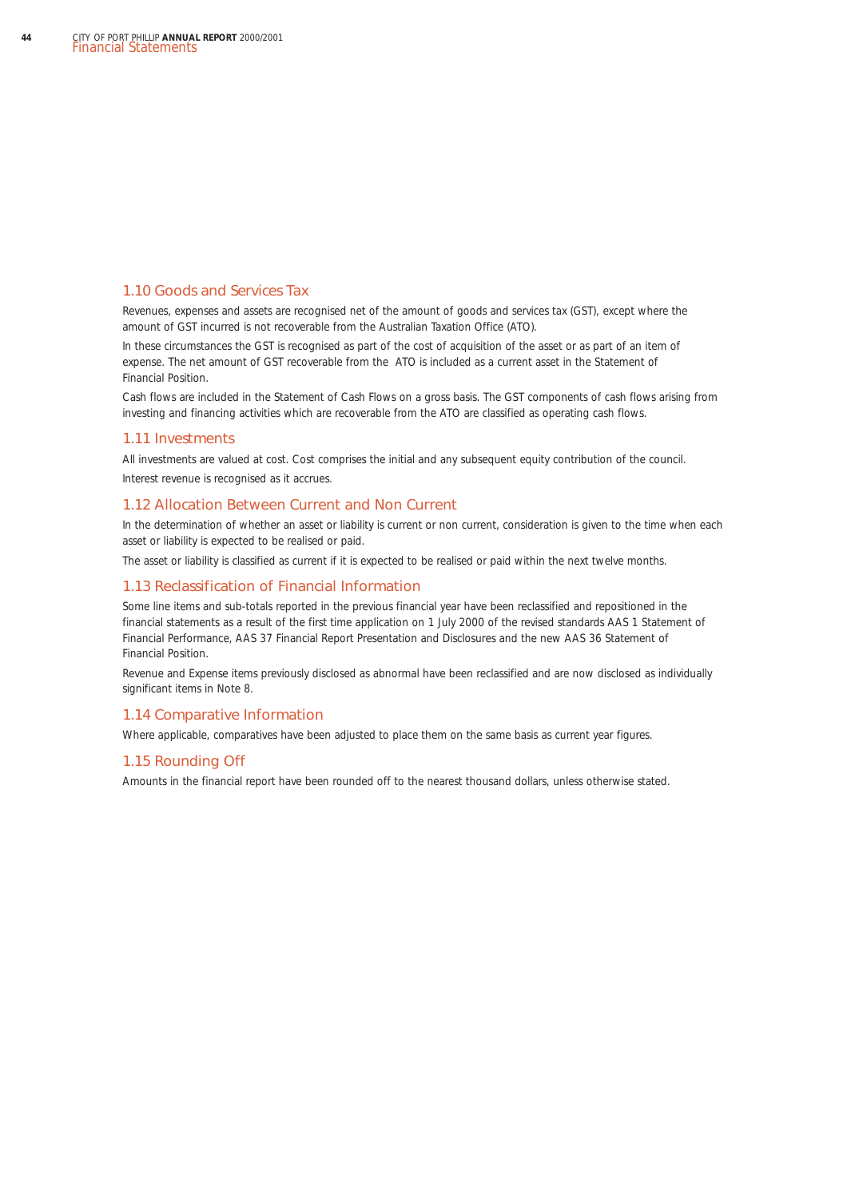### 1.10 Goods and Services Tax

Revenues, expenses and assets are recognised net of the amount of goods and services tax (GST), except where the amount of GST incurred is not recoverable from the Australian Taxation Office (ATO).

In these circumstances the GST is recognised as part of the cost of acquisition of the asset or as part of an item of expense. The net amount of GST recoverable from the ATO is included as a current asset in the Statement of Financial Position.

Cash flows are included in the Statement of Cash Flows on a gross basis. The GST components of cash flows arising from investing and financing activities which are recoverable from the ATO are classified as operating cash flows.

### 1.11 Investments

All investments are valued at cost. Cost comprises the initial and any subsequent equity contribution of the council. Interest revenue is recognised as it accrues.

### 1.12 Allocation Between Current and Non Current

In the determination of whether an asset or liability is current or non current, consideration is given to the time when each asset or liability is expected to be realised or paid.

The asset or liability is classified as current if it is expected to be realised or paid within the next twelve months.

### 1.13 Reclassification of Financial Information

Some line items and sub-totals reported in the previous financial year have been reclassified and repositioned in the financial statements as a result of the first time application on 1 July 2000 of the revised standards *AAS 1 Statement of Financial Performance, AAS 37 Financial Report Presentation and Disclosures* and the new *AAS 36 Statement of Financial Position.*

Revenue and Expense items previously disclosed as abnormal have been reclassified and are now disclosed as individually significant items in Note 8.

### 1.14 Comparative Information

Where applicable, comparatives have been adjusted to place them on the same basis as current year figures.

#### 1.15 Rounding Off

Amounts in the financial report have been rounded off to the nearest thousand dollars, unless otherwise stated.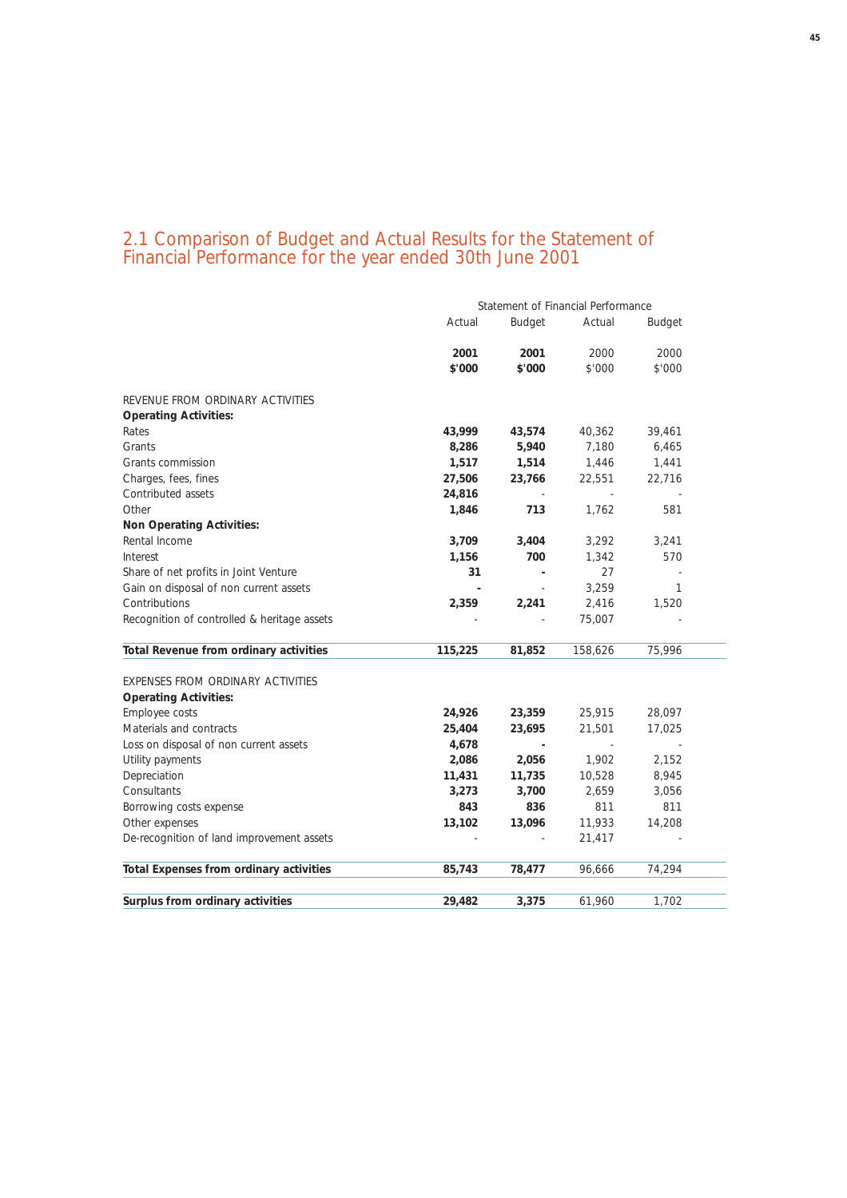### 2.1 Comparison of Budget and Actual Results for the Statement of Financial Performance for the year ended 30th June 2001

|                                                | Statement of Financial Performance |                |         |               |  |  |  |
|------------------------------------------------|------------------------------------|----------------|---------|---------------|--|--|--|
|                                                | Actual                             | <b>Budget</b>  | Actual  | <b>Budget</b> |  |  |  |
|                                                | 2001                               | 2001           | 2000    | 2000          |  |  |  |
|                                                | \$'000                             | \$'000         | \$'000  | \$'000        |  |  |  |
| REVENUE FROM ORDINARY ACTIVITIES               |                                    |                |         |               |  |  |  |
| <b>Operating Activities:</b>                   |                                    |                |         |               |  |  |  |
| Rates                                          | 43,999                             | 43,574         | 40,362  | 39,461        |  |  |  |
| Grants                                         | 8,286                              | 5,940          | 7.180   | 6,465         |  |  |  |
| Grants commission                              | 1,517                              | 1,514          | 1,446   | 1,441         |  |  |  |
| Charges, fees, fines                           | 27,506                             | 23,766         | 22,551  | 22,716        |  |  |  |
| Contributed assets                             | 24,816                             |                |         |               |  |  |  |
| Other                                          | 1,846                              | 713            | 1,762   | 581           |  |  |  |
| <b>Non Operating Activities:</b>               |                                    |                |         |               |  |  |  |
| Rental Income                                  | 3,709                              | 3,404          | 3,292   | 3,241         |  |  |  |
| Interest                                       | 1,156                              | 700            | 1,342   | 570           |  |  |  |
| Share of net profits in Joint Venture          | 31                                 |                | 27      |               |  |  |  |
| Gain on disposal of non current assets         |                                    |                | 3,259   | 1             |  |  |  |
| Contributions                                  | 2,359                              | 2,241          | 2,416   | 1,520         |  |  |  |
| Recognition of controlled & heritage assets    |                                    |                | 75,007  |               |  |  |  |
| Total Revenue from ordinary activities         | 115,225                            | 81,852         | 158,626 | 75,996        |  |  |  |
| EXPENSES FROM ORDINARY ACTIVITIES              |                                    |                |         |               |  |  |  |
| <b>Operating Activities:</b>                   |                                    |                |         |               |  |  |  |
| Employee costs                                 | 24,926                             | 23,359         | 25,915  | 28,097        |  |  |  |
| Materials and contracts                        | 25,404                             | 23,695         | 21,501  | 17,025        |  |  |  |
| Loss on disposal of non current assets         | 4,678                              | $\blacksquare$ |         |               |  |  |  |
| Utility payments                               | 2,086                              | 2,056          | 1,902   | 2,152         |  |  |  |
| Depreciation                                   | 11,431                             | 11,735         | 10,528  | 8,945         |  |  |  |
| Consultants                                    | 3,273                              | 3,700          | 2,659   | 3,056         |  |  |  |
| Borrowing costs expense                        | 843                                | 836            | 811     | 811           |  |  |  |
| Other expenses                                 | 13,102                             | 13,096         | 11,933  | 14,208        |  |  |  |
| De-recognition of land improvement assets      |                                    |                | 21,417  |               |  |  |  |
| <b>Total Expenses from ordinary activities</b> | 85,743                             | 78,477         | 96,666  | 74,294        |  |  |  |
|                                                |                                    |                |         |               |  |  |  |
| Surplus from ordinary activities               | 29,482                             | 3,375          | 61,960  | 1,702         |  |  |  |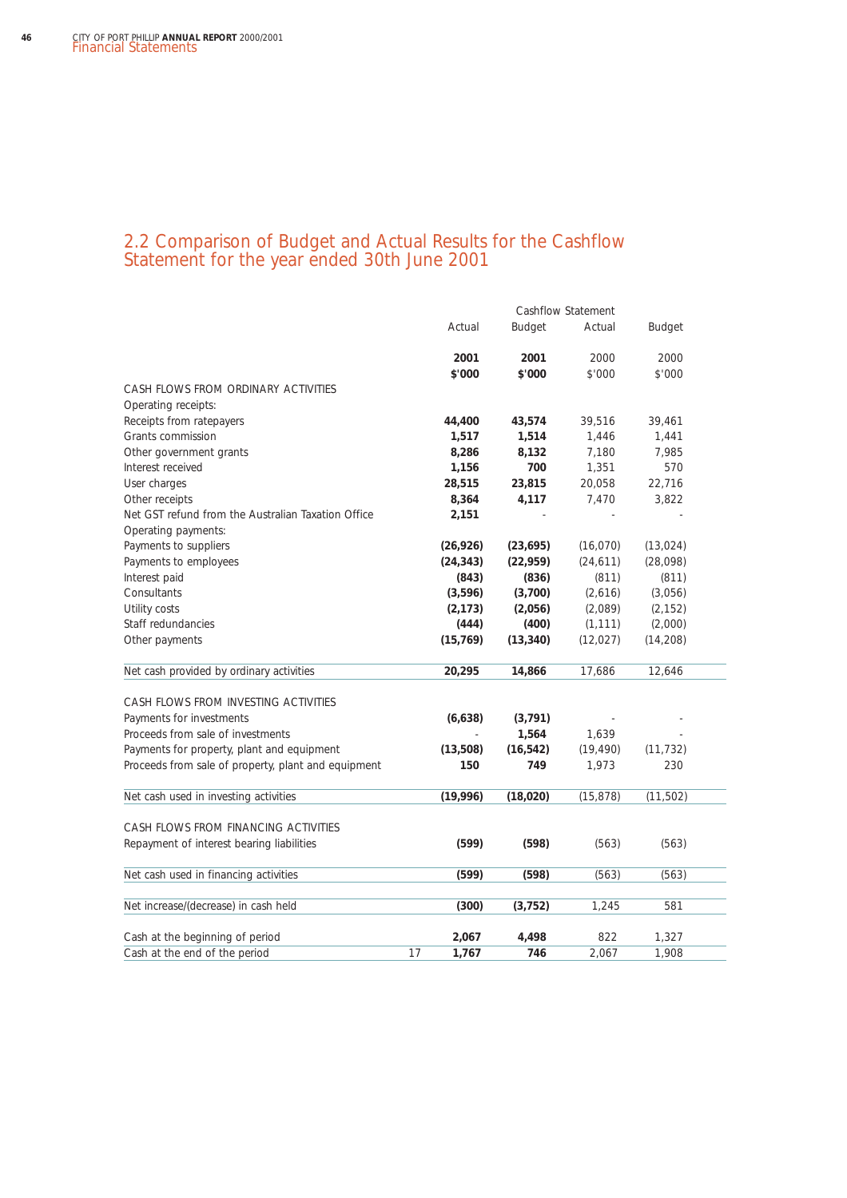### 2.2 Comparison of Budget and Actual Results for the Cashflow Statement for the year ended 30th June 2001

|                                                     |             |           | Cashflow Statement |               |  |
|-----------------------------------------------------|-------------|-----------|--------------------|---------------|--|
|                                                     | Actual      | Budget    | Actual             | <b>Budget</b> |  |
|                                                     | 2001        | 2001      | 2000               | 2000          |  |
|                                                     | \$'000      | \$'000    | \$'000             | \$'000        |  |
| CASH FLOWS FROM ORDINARY ACTIVITIES                 |             |           |                    |               |  |
| Operating receipts:                                 |             |           |                    |               |  |
| Receipts from ratepayers                            | 44,400      | 43,574    | 39,516             | 39,461        |  |
| Grants commission                                   | 1,517       | 1,514     | 1,446              | 1,441         |  |
| Other government grants                             | 8,286       | 8,132     | 7,180              | 7,985         |  |
| Interest received                                   | 1,156       | 700       | 1,351              | 570           |  |
| User charges                                        | 28,515      | 23,815    | 20,058             | 22,716        |  |
| Other receipts                                      | 8,364       | 4,117     | 7,470              | 3,822         |  |
| Net GST refund from the Australian Taxation Office  | 2,151       |           |                    |               |  |
| Operating payments:                                 |             |           |                    |               |  |
| Payments to suppliers                               | (26, 926)   | (23, 695) | (16,070)           | (13, 024)     |  |
| Payments to employees                               | (24, 343)   | (22, 959) | (24, 611)          | (28,098)      |  |
| Interest paid                                       | (843)       | (836)     | (811)              | (811)         |  |
| Consultants                                         | (3,596)     | (3,700)   | (2,616)            | (3,056)       |  |
| Utility costs                                       | (2, 173)    | (2,056)   | (2,089)            | (2, 152)      |  |
| Staff redundancies                                  | (444)       | (400)     | (1, 111)           | (2,000)       |  |
| Other payments                                      | (15, 769)   | (13, 340) | (12, 027)          | (14, 208)     |  |
| Net cash provided by ordinary activities            | 20,295      | 14,866    | 17,686             | 12,646        |  |
| CASH FLOWS FROM INVESTING ACTIVITIES                |             |           |                    |               |  |
| Payments for investments                            | (6,638)     | (3, 791)  |                    |               |  |
| Proceeds from sale of investments                   |             | 1,564     | 1,639              |               |  |
| Payments for property, plant and equipment          | (13,508)    | (16, 542) | (19, 490)          | (11, 732)     |  |
| Proceeds from sale of property, plant and equipment | 150         | 749       | 1,973              | 230           |  |
| Net cash used in investing activities               | (19,996)    | (18, 020) | (15, 878)          | (11, 502)     |  |
|                                                     |             |           |                    |               |  |
| CASH FLOWS FROM FINANCING ACTIVITIES                |             |           |                    |               |  |
| Repayment of interest bearing liabilities           | (599)       | (598)     | (563)              | (563)         |  |
| Net cash used in financing activities               | (599)       | (598)     | (563)              | (563)         |  |
| Net increase/(decrease) in cash held                | (300)       | (3, 752)  | 1,245              | 581           |  |
| Cash at the beginning of period                     | 2,067       | 4,498     | 822                | 1,327         |  |
| Cash at the end of the period                       | 17<br>1,767 | 746       | 2,067              | 1.908         |  |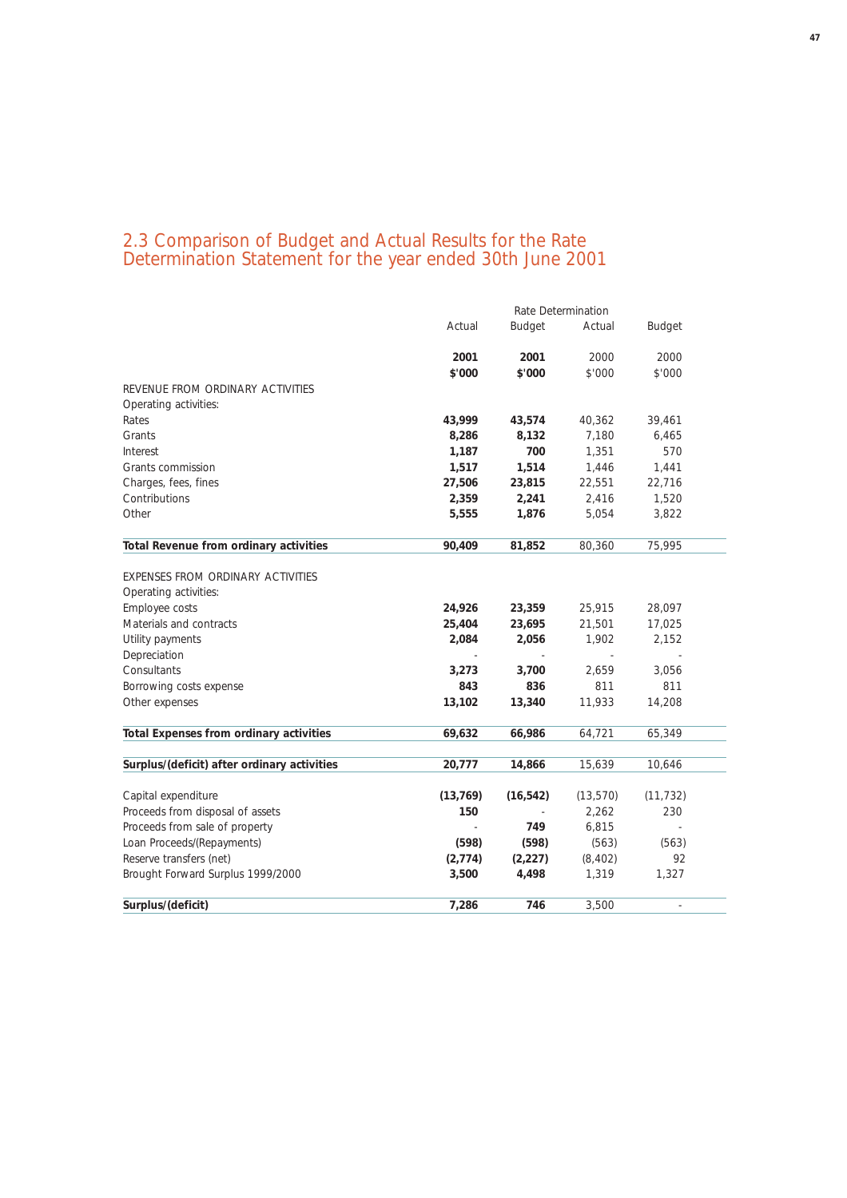### 2.3 Comparison of Budget and Actual Results for the Rate Determination Statement for the year ended 30th June 2001

|                                             | Rate Determination |               |           |           |  |
|---------------------------------------------|--------------------|---------------|-----------|-----------|--|
|                                             | Actual             | <b>Budget</b> | Actual    | Budget    |  |
|                                             | 2001               | 2001          | 2000      | 2000      |  |
|                                             | \$'000             | \$'000        | \$'000    | \$'000    |  |
| REVENUE FROM ORDINARY ACTIVITIES            |                    |               |           |           |  |
| Operating activities:                       |                    |               |           |           |  |
| Rates                                       | 43,999             | 43,574        | 40,362    | 39,461    |  |
| Grants                                      | 8,286              | 8,132         | 7,180     | 6,465     |  |
| Interest                                    | 1,187              | 700           | 1,351     | 570       |  |
| Grants commission                           | 1,517              | 1,514         | 1,446     | 1,441     |  |
| Charges, fees, fines                        | 27,506             | 23,815        | 22,551    | 22,716    |  |
| Contributions                               | 2,359              | 2,241         | 2,416     | 1,520     |  |
| Other                                       | 5,555              | 1,876         | 5,054     | 3,822     |  |
| Total Revenue from ordinary activities      | 90,409             | 81,852        | 80,360    | 75,995    |  |
|                                             |                    |               |           |           |  |
| EXPENSES FROM ORDINARY ACTIVITIES           |                    |               |           |           |  |
| Operating activities:                       |                    |               |           |           |  |
| Employee costs                              | 24,926             | 23,359        | 25,915    | 28,097    |  |
| Materials and contracts                     | 25,404             | 23,695        | 21,501    | 17,025    |  |
| Utility payments                            | 2,084              | 2,056         | 1,902     | 2,152     |  |
| Depreciation                                |                    |               |           |           |  |
| Consultants                                 | 3,273              | 3,700         | 2,659     | 3,056     |  |
| Borrowing costs expense                     | 843                | 836           | 811       | 811       |  |
| Other expenses                              | 13,102             | 13,340        | 11,933    | 14,208    |  |
| Total Expenses from ordinary activities     | 69,632             | 66,986        | 64,721    | 65,349    |  |
|                                             |                    |               |           |           |  |
| Surplus/(deficit) after ordinary activities | 20,777             | 14,866        | 15,639    | 10,646    |  |
| Capital expenditure                         | (13, 769)          | (16, 542)     | (13, 570) | (11, 732) |  |
| Proceeds from disposal of assets            | 150                |               | 2,262     | 230       |  |
| Proceeds from sale of property              |                    | 749           | 6,815     |           |  |
| Loan Proceeds/(Repayments)                  | (598)              | (598)         | (563)     | (563)     |  |
| Reserve transfers (net)                     | (2, 774)           | (2, 227)      | (8, 402)  | 92        |  |
| Brought Forward Surplus 1999/2000           | 3,500              | 4,498         | 1,319     | 1,327     |  |
| Surplus/(deficit)                           | 7,286              | 746           | 3,500     |           |  |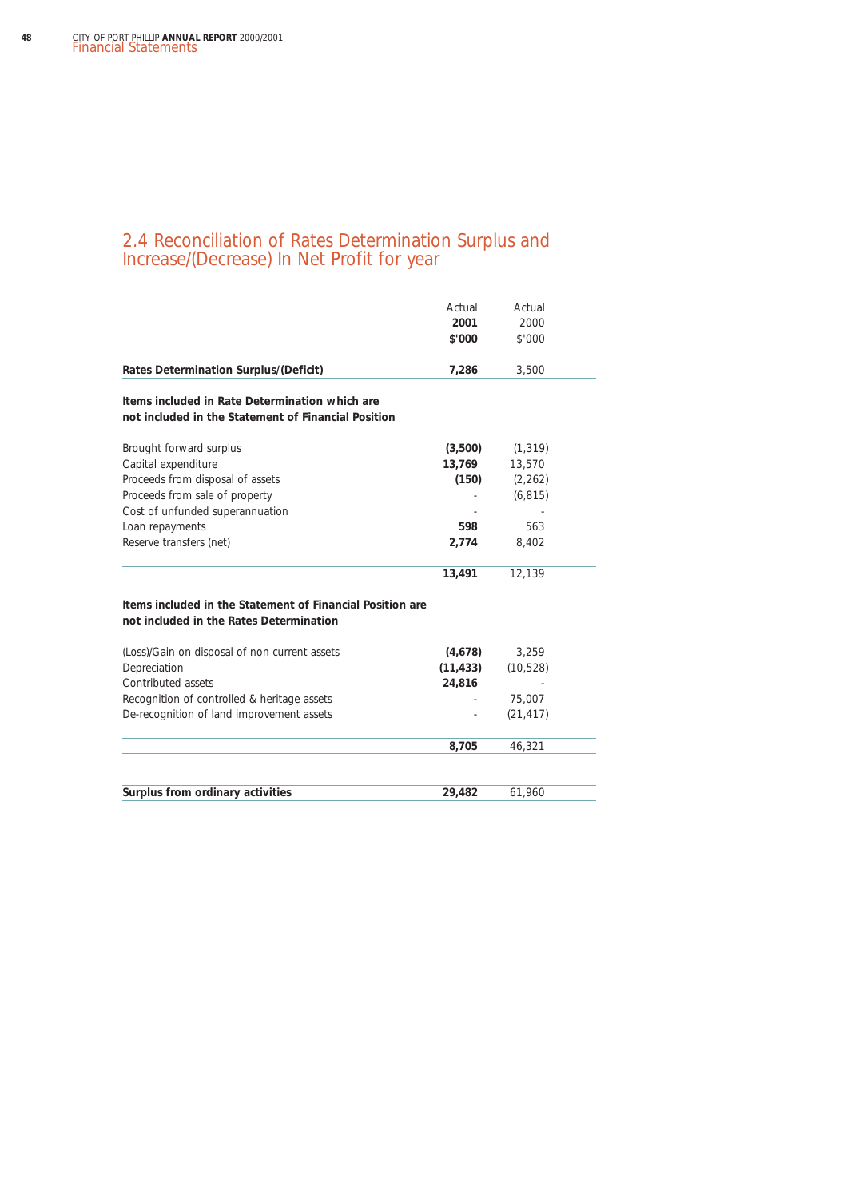### 2.4 Reconciliation of Rates Determination Surplus and Increase/(Decrease) In Net Profit for year

|                                                                                                       | Actual<br>2001<br>\$'000 | Actual<br>2000<br>\$'000 |
|-------------------------------------------------------------------------------------------------------|--------------------------|--------------------------|
| <b>Rates Determination Surplus/(Deficit)</b>                                                          | 7,286                    | 3,500                    |
| Items included in Rate Determination which are<br>not included in the Statement of Financial Position |                          |                          |
| Brought forward surplus                                                                               | (3,500)                  | (1, 319)                 |
| Capital expenditure                                                                                   | 13,769                   | 13,570                   |
| Proceeds from disposal of assets                                                                      | (150)                    | (2, 262)                 |
| Proceeds from sale of property                                                                        |                          | (6, 815)                 |
| Cost of unfunded superannuation                                                                       |                          |                          |
| Loan repayments                                                                                       | 598                      | 563                      |
| Reserve transfers (net)                                                                               | 2,774                    | 8.402                    |
|                                                                                                       | 13,491                   | 12,139                   |
| Items included in the Statement of Financial Position are<br>not included in the Rates Determination  |                          |                          |
| (Loss)/Gain on disposal of non current assets                                                         | (4,678)                  | 3,259                    |
| Depreciation                                                                                          | (11, 433)                | (10, 528)                |
| Contributed assets                                                                                    | 24,816                   |                          |
| Recognition of controlled & heritage assets                                                           |                          | 75,007                   |
| De-recognition of land improvement assets                                                             |                          | (21, 417)                |
|                                                                                                       | 8,705                    | 46,321                   |
| Surplus from ordinary activities                                                                      | 29,482                   | 61,960                   |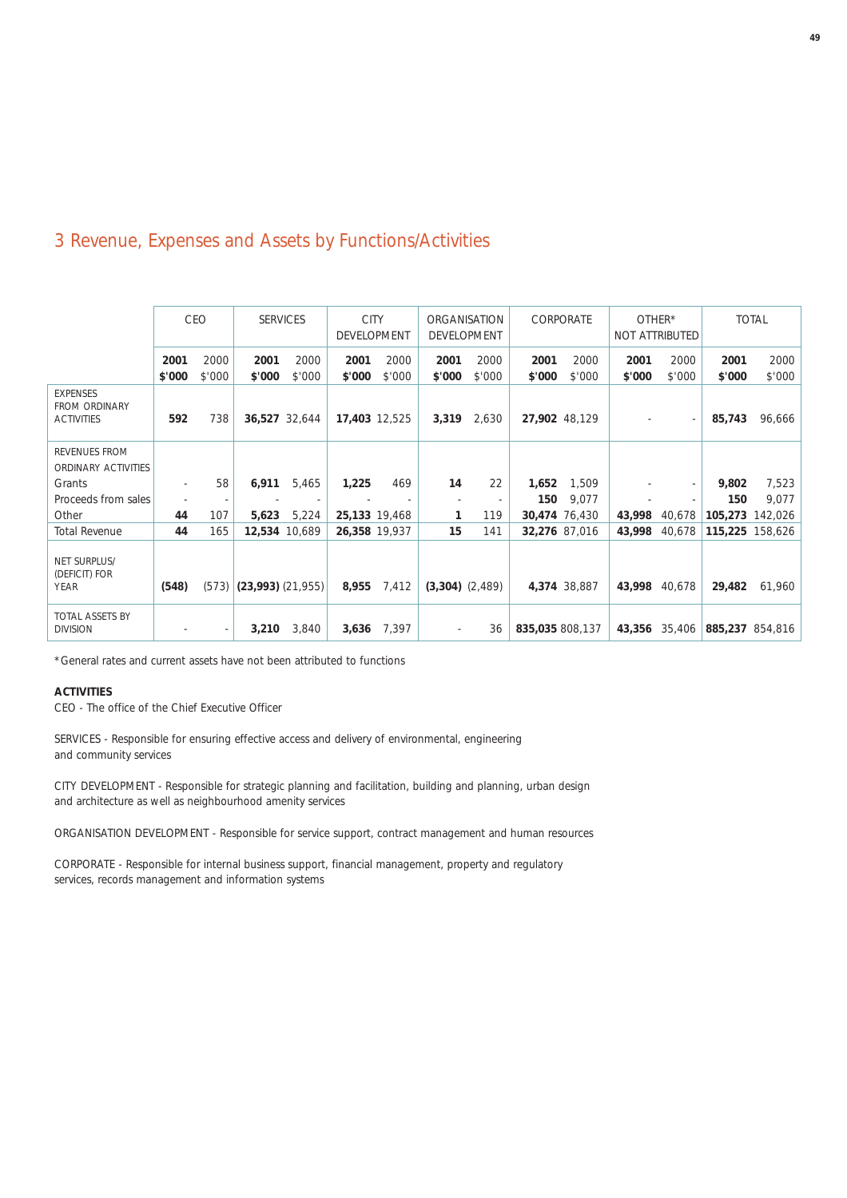## 3 Revenue, Expenses and Assets by Functions/Activities

|                                                              |               | <b>CEO</b>    | <b>SERVICES</b>       |                         | <b>CITY</b><br><b>DEVELOPMENT</b> |        |                     | ORGANISATION<br><b>DEVELOPMENT</b> |                         | CORPORATE     | OTHER* | NOT ATTRIBUTED |                  | <b>TOTAL</b>     |
|--------------------------------------------------------------|---------------|---------------|-----------------------|-------------------------|-----------------------------------|--------|---------------------|------------------------------------|-------------------------|---------------|--------|----------------|------------------|------------------|
|                                                              | 2001          | 2000          | 2001                  | 2000                    | 2001                              | 2000   | 2001                | 2000                               | 2001                    | 2000          | 2001   | 2000           | 2001             | 2000             |
| <b>EXPENSES</b><br><b>FROM ORDINARY</b><br><b>ACTIVITIES</b> | \$'000<br>592 | \$'000<br>738 | \$'000                | \$'000<br>36,527 32,644 | \$'000<br>17,403 12,525           | \$'000 | \$'000<br>3,319     | \$'000<br>2,630                    | \$'000<br>27,902 48,129 | \$'000        | \$'000 | \$'000         | \$'000<br>85,743 | \$'000<br>96,666 |
| REVENUES FROM<br>ORDINARY ACTIVITIES                         |               |               |                       |                         |                                   |        |                     |                                    |                         |               |        |                |                  |                  |
| Grants                                                       |               | 58            | 6,911                 | 5,465                   | 1,225                             | 469    | 14                  | 22                                 | 1,652                   | 1,509         |        |                | 9,802            | 7,523            |
| Proceeds from sales                                          |               |               |                       |                         |                                   |        |                     |                                    | 150                     | 9,077         |        |                | 150              | 9,077            |
| Other                                                        | 44            | 107           | 5,623                 | 5,224                   | 25,133 19,468                     |        | 1                   | 119                                |                         | 30,474 76,430 | 43,998 | 40,678         | 105,273          | 142,026          |
| <b>Total Revenue</b>                                         | 44            | 165           |                       | 12,534 10,689           | 26,358 19,937                     |        | 15                  | 141                                |                         | 32,276 87,016 | 43,998 | 40,678         | 115,225          | 158,626          |
| NET SURPLUS/<br>(DEFICIT) FOR<br><b>YEAR</b>                 | (548)         | (573)         | $(23,993)$ $(21,955)$ |                         | 8,955                             | 7,412  | $(3,304)$ $(2,489)$ |                                    |                         | 4,374 38,887  | 43,998 | 40,678         | 29,482           | 61,960           |
| TOTAL ASSETS BY<br><b>DIVISION</b>                           |               |               | 3,210                 | 3,840                   | 3,636                             | 7,397  | $\sim$              | 36                                 | 835,035 808,137         |               |        | 43,356 35,406  | 885,237 854,816  |                  |

\*General rates and current assets have not been attributed to functions

### **ACTIVITIES**

CEO - The office of the Chief Executive Officer

SERVICES - Responsible for ensuring effective access and delivery of environmental, engineering and community services

CITY DEVELOPMENT - Responsible for strategic planning and facilitation, building and planning, urban design and architecture as well as neighbourhood amenity services

ORGANISATION DEVELOPMENT - Responsible for service support, contract management and human resources

CORPORATE - Responsible for internal business support, financial management, property and regulatory services, records management and information systems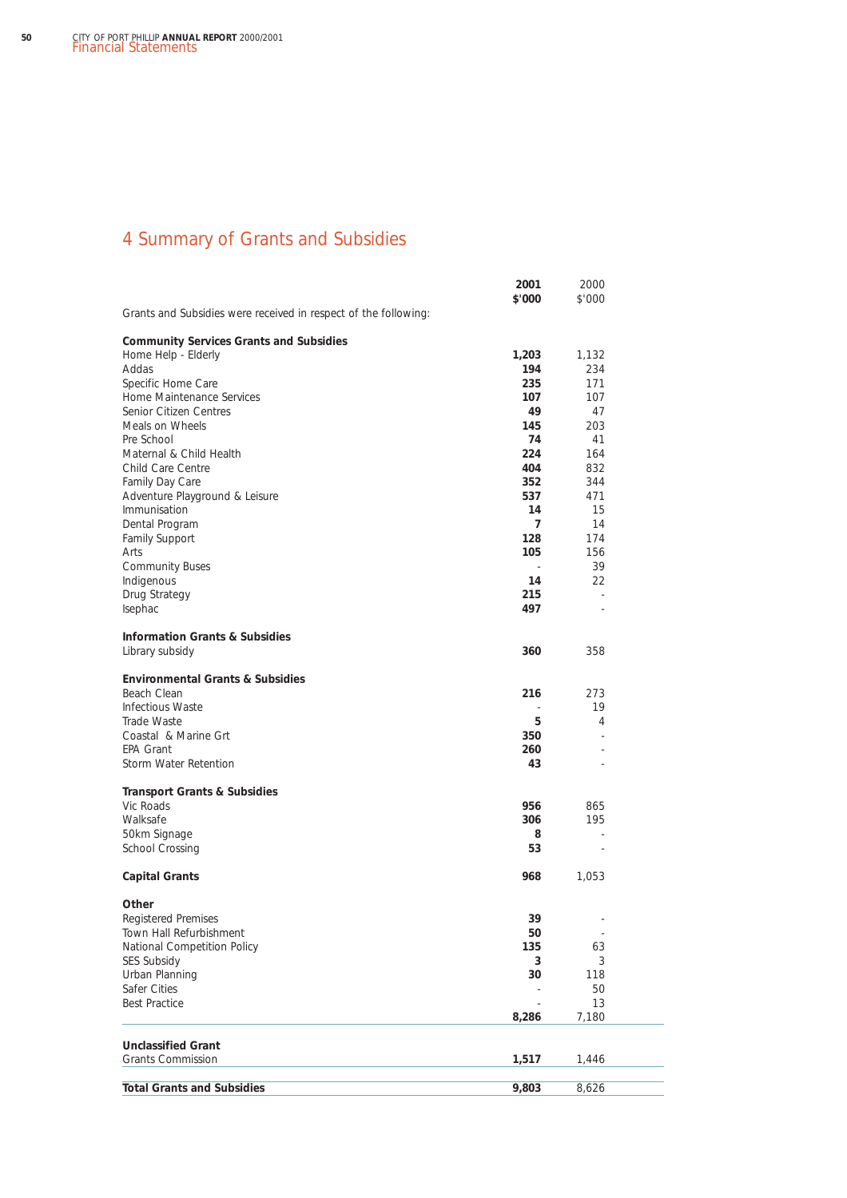## 4 Summary of Grants and Subsidies

|                                                                 | 2001                     | 2000                     |  |
|-----------------------------------------------------------------|--------------------------|--------------------------|--|
| Grants and Subsidies were received in respect of the following: | \$'000                   | \$'000                   |  |
|                                                                 |                          |                          |  |
| <b>Community Services Grants and Subsidies</b>                  |                          |                          |  |
| Home Help - Elderly<br>Addas                                    | 1,203<br>194             | 1,132<br>234             |  |
| Specific Home Care                                              | 235                      | 171                      |  |
| Home Maintenance Services                                       | 107                      | 107                      |  |
| Senior Citizen Centres                                          | 49                       | 47                       |  |
| Meals on Wheels                                                 | 145                      | 203                      |  |
| Pre School                                                      | 74                       | 41                       |  |
| Maternal & Child Health                                         | 224                      | 164                      |  |
| Child Care Centre                                               | 404                      | 832                      |  |
| Family Day Care                                                 | 352                      | 344                      |  |
| Adventure Playground & Leisure                                  | 537                      | 471                      |  |
| Immunisation                                                    | 14                       | 15                       |  |
| Dental Program                                                  | 7                        | 14                       |  |
| Family Support                                                  | 128                      | 174                      |  |
| Arts                                                            | 105                      | 156                      |  |
| <b>Community Buses</b>                                          |                          | 39                       |  |
| Indigenous                                                      | 14                       | 22                       |  |
| Drug Strategy                                                   | 215                      |                          |  |
| Isephac                                                         | 497                      |                          |  |
|                                                                 |                          |                          |  |
| <b>Information Grants &amp; Subsidies</b>                       |                          |                          |  |
| Library subsidy                                                 | 360                      | 358                      |  |
| <b>Environmental Grants &amp; Subsidies</b>                     |                          |                          |  |
| Beach Clean                                                     | 216                      | 273                      |  |
| <b>Infectious Waste</b>                                         | $\overline{\phantom{a}}$ | 19                       |  |
| Trade Waste                                                     | 5                        | 4                        |  |
| Coastal & Marine Grt                                            | 350                      |                          |  |
| <b>EPA Grant</b>                                                | 260                      |                          |  |
| Storm Water Retention                                           | 43                       |                          |  |
|                                                                 |                          |                          |  |
| <b>Transport Grants &amp; Subsidies</b>                         |                          |                          |  |
| Vic Roads                                                       | 956                      | 865                      |  |
| Walksafe                                                        | 306                      | 195                      |  |
| 50km Signage                                                    | 8                        |                          |  |
| School Crossing                                                 | 53                       | $\overline{\phantom{a}}$ |  |
| <b>Capital Grants</b>                                           | 968                      | 1,053                    |  |
| Other                                                           |                          |                          |  |
| <b>Registered Premises</b>                                      | 39                       |                          |  |
| Town Hall Refurbishment                                         | 50                       | $\overline{\phantom{a}}$ |  |
| National Competition Policy                                     | 135                      | 63                       |  |
| SES Subsidy                                                     | 3                        | 3                        |  |
| Urban Planning                                                  | 30                       | 118                      |  |
| Safer Cities                                                    |                          | 50                       |  |
| <b>Best Practice</b>                                            |                          | 13                       |  |
|                                                                 | 8,286                    | 7,180                    |  |
|                                                                 |                          |                          |  |
| <b>Unclassified Grant</b><br><b>Grants Commission</b>           | 1,517                    | 1,446                    |  |
|                                                                 |                          |                          |  |
| <b>Total Grants and Subsidies</b>                               | 9,803                    | 8,626                    |  |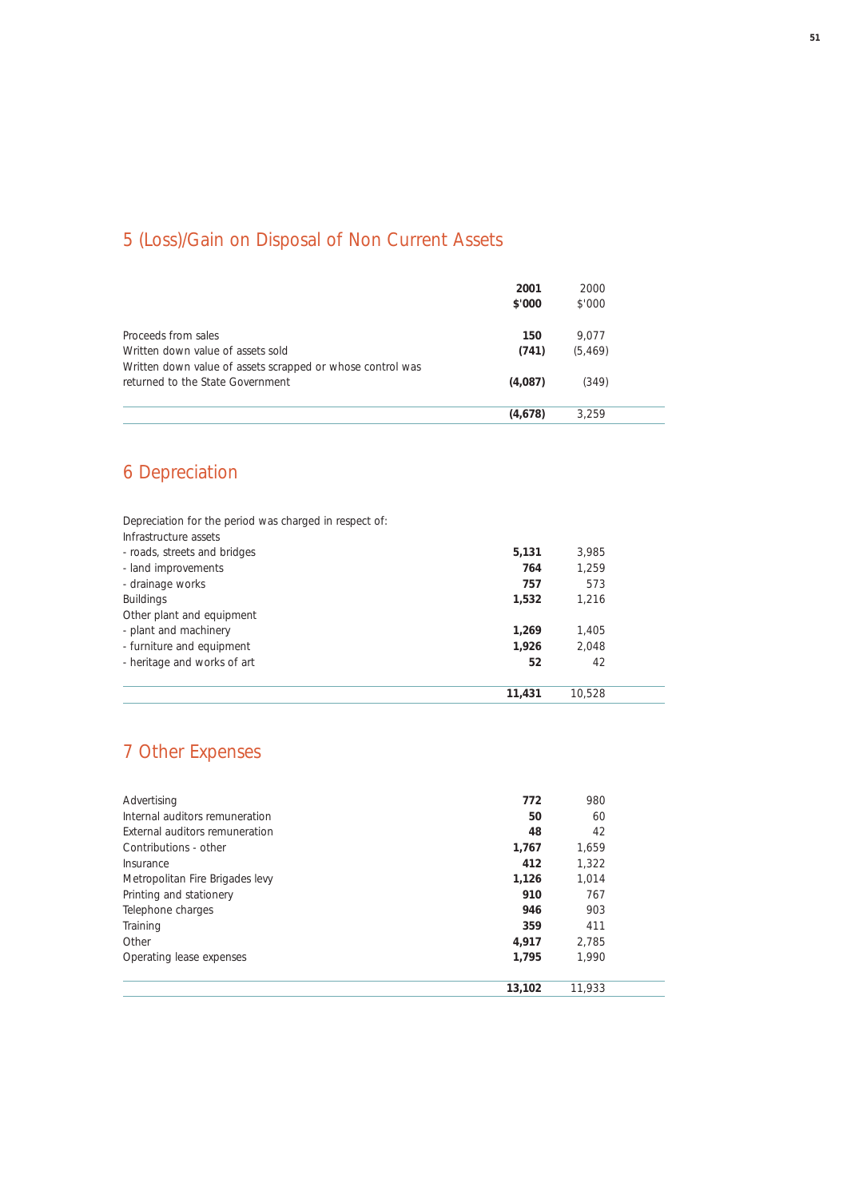## 5 (Loss)/Gain on Disposal of Non Current Assets

|                                                            | 2001<br>\$'000 | 2000<br>\$'000 |  |
|------------------------------------------------------------|----------------|----------------|--|
| Proceeds from sales                                        | 150            | 9.077          |  |
| Written down value of assets sold                          | (741)          | (5, 469)       |  |
| Written down value of assets scrapped or whose control was |                |                |  |
| returned to the State Government                           | (4,087)        | (349)          |  |
|                                                            | (4,678)        | 3.259          |  |

## 6 Depreciation

Depreciation for the period was charged in respect of: Infrastructure assets - roads, streets and bridges **5,131** 3,985 - land improvements - drainage works **757** 573 Buildings **1,532** 1,216 Other plant and equipment - plant and machinery **1,269** 1,405 - furniture and equipment **1,926** 2,048 - heritage and works of art **52** 42 **11,431** 10,528

### 7 Other Expenses

| Advertising                     | 772    | 980    |  |
|---------------------------------|--------|--------|--|
| Internal auditors remuneration  | 50     | 60     |  |
| External auditors remuneration  | 48     | 42     |  |
| Contributions - other           | 1,767  | 1,659  |  |
| Insurance                       | 412    | 1,322  |  |
| Metropolitan Fire Brigades levy | 1,126  | 1.014  |  |
| Printing and stationery         | 910    | 767    |  |
| Telephone charges               | 946    | 903    |  |
| Training                        | 359    | 411    |  |
| Other                           | 4.917  | 2.785  |  |
| Operating lease expenses        | 1,795  | 1.990  |  |
|                                 | 13,102 | 11.933 |  |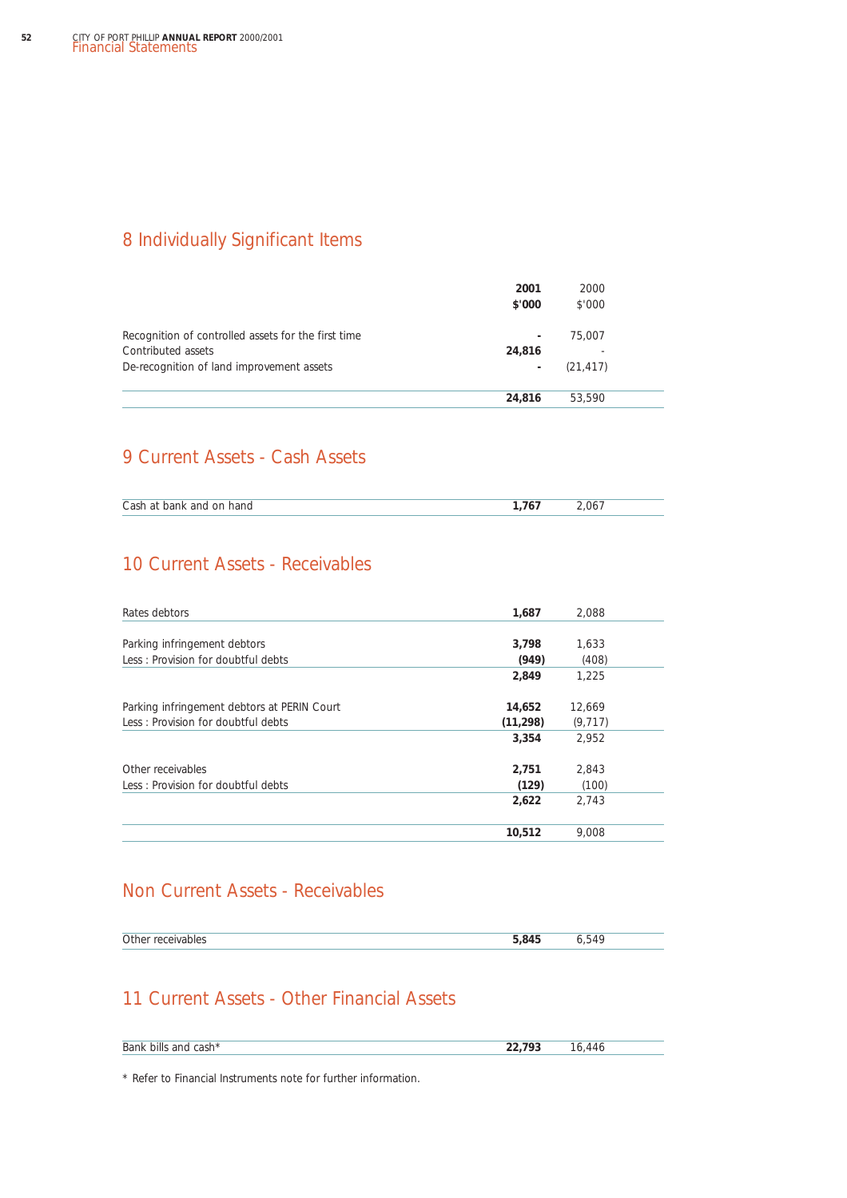## 8 Individually Significant Items

|                                                                           | 2001<br>\$'000 | 2000<br>\$'000 |  |
|---------------------------------------------------------------------------|----------------|----------------|--|
| Recognition of controlled assets for the first time<br>Contributed assets | ۰<br>24,816    | 75,007         |  |
| De-recognition of land improvement assets                                 | ٠              | (21, 417)      |  |
|                                                                           | 24,816         | 53.590         |  |

## 9 Current Assets - Cash Assets

| Cash at bank and on hand | ገ6 |  |
|--------------------------|----|--|

## 10 Current Assets - Receivables

| Rates debtors                               | 1,687     | 2,088    |
|---------------------------------------------|-----------|----------|
|                                             |           |          |
| Parking infringement debtors                | 3,798     | 1,633    |
| Less: Provision for doubtful debts          | (949)     | (408)    |
|                                             | 2,849     | 1.225    |
| Parking infringement debtors at PERIN Court | 14,652    | 12,669   |
| Less: Provision for doubtful debts          | (11, 298) | (9, 717) |
|                                             | 3,354     | 2,952    |
| Other receivables                           | 2,751     | 2,843    |
| Less: Provision for doubtful debts          | (129)     | (100)    |
|                                             | 2,622     | 2.743    |
|                                             | 10,512    | 9.008    |

### Non Current Assets - Receivables

| $\sim$ $\cdot$<br>PAINANA" | <b>COAC</b><br>$\mathbf{X}$ | -<br>៶∠⊥ |  |
|----------------------------|-----------------------------|----------|--|
|                            |                             |          |  |

## 11 Current Assets - Other Financial Assets

| Bank bills and cash* | 22.793 |  |
|----------------------|--------|--|
|----------------------|--------|--|

\* Refer to Financial Instruments note for further information.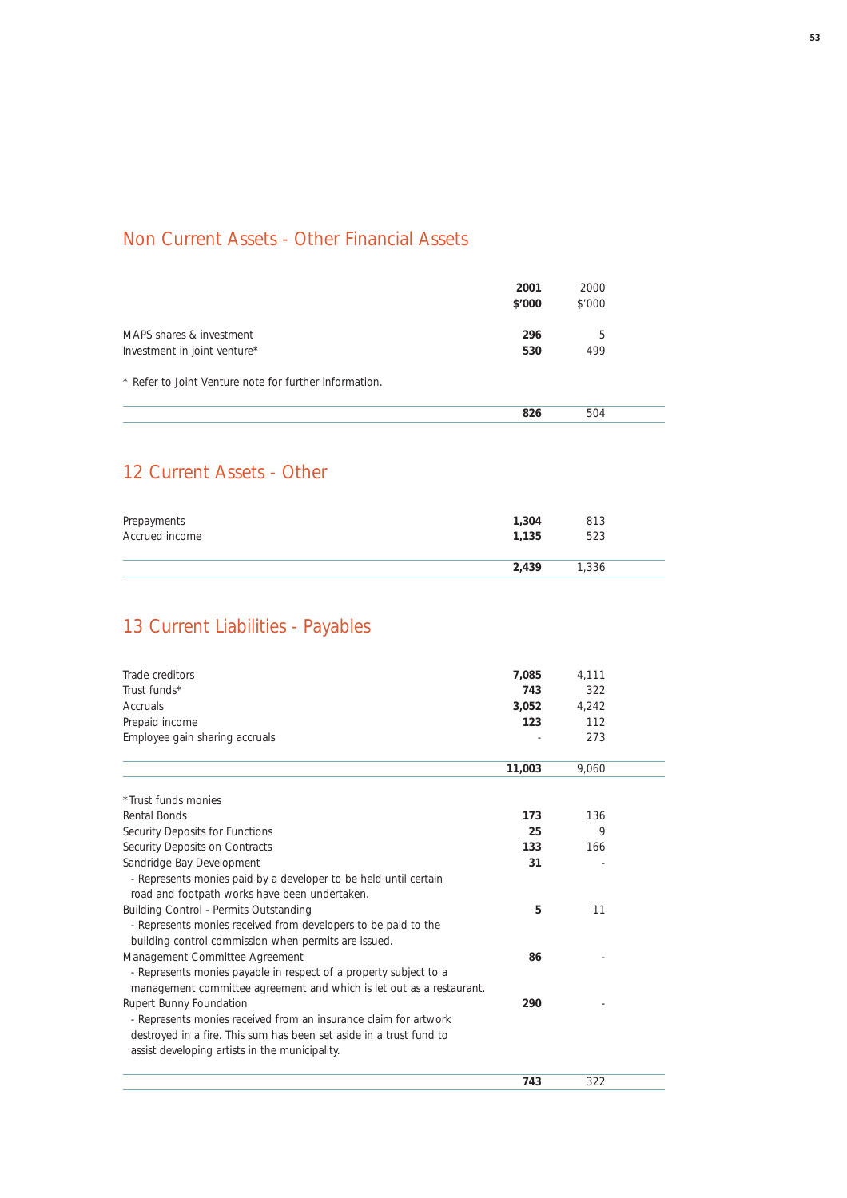## Non Current Assets - Other Financial Assets

|                                                          | 2001<br>\$'000 | 2000<br>\$'000 |  |
|----------------------------------------------------------|----------------|----------------|--|
| MAPS shares & investment<br>Investment in joint venture* | 296<br>530     | 5<br>499       |  |
| * Refer to Joint Venture note for further information.   |                |                |  |
|                                                          | 826            | 504            |  |

## 12 Current Assets - Other

| Prepayments    | 1,304 | 813   |  |
|----------------|-------|-------|--|
| Accrued income | 1.135 | 523   |  |
|                | 2,439 | 1,336 |  |

# 13 Current Liabilities - Payables

| Trade creditors                                                      | 7,085  | 4,111 |  |
|----------------------------------------------------------------------|--------|-------|--|
| Trust funds*                                                         | 743    | 322   |  |
| Accruals                                                             | 3,052  | 4,242 |  |
| Prepaid income                                                       | 123    | 112   |  |
| Employee gain sharing accruals                                       |        | 273   |  |
|                                                                      | 11,003 | 9.060 |  |
| *Trust funds monies                                                  |        |       |  |
| Rental Bonds                                                         | 173    | 136   |  |
| Security Deposits for Functions                                      | 25     | 9     |  |
| Security Deposits on Contracts                                       | 133    | 166   |  |
| Sandridge Bay Development                                            | 31     |       |  |
| - Represents monies paid by a developer to be held until certain     |        |       |  |
| road and footpath works have been undertaken.                        |        |       |  |
| Building Control - Permits Outstanding                               | 5      | 11    |  |
| - Represents monies received from developers to be paid to the       |        |       |  |
| building control commission when permits are issued.                 |        |       |  |
| Management Committee Agreement                                       | 86     |       |  |
| - Represents monies payable in respect of a property subject to a    |        |       |  |
| management committee agreement and which is let out as a restaurant. |        |       |  |
| <b>Rupert Bunny Foundation</b>                                       | 290    |       |  |
| - Represents monies received from an insurance claim for artwork     |        |       |  |
| destroyed in a fire. This sum has been set aside in a trust fund to  |        |       |  |
| assist developing artists in the municipality.                       |        |       |  |
|                                                                      | 743    | 322   |  |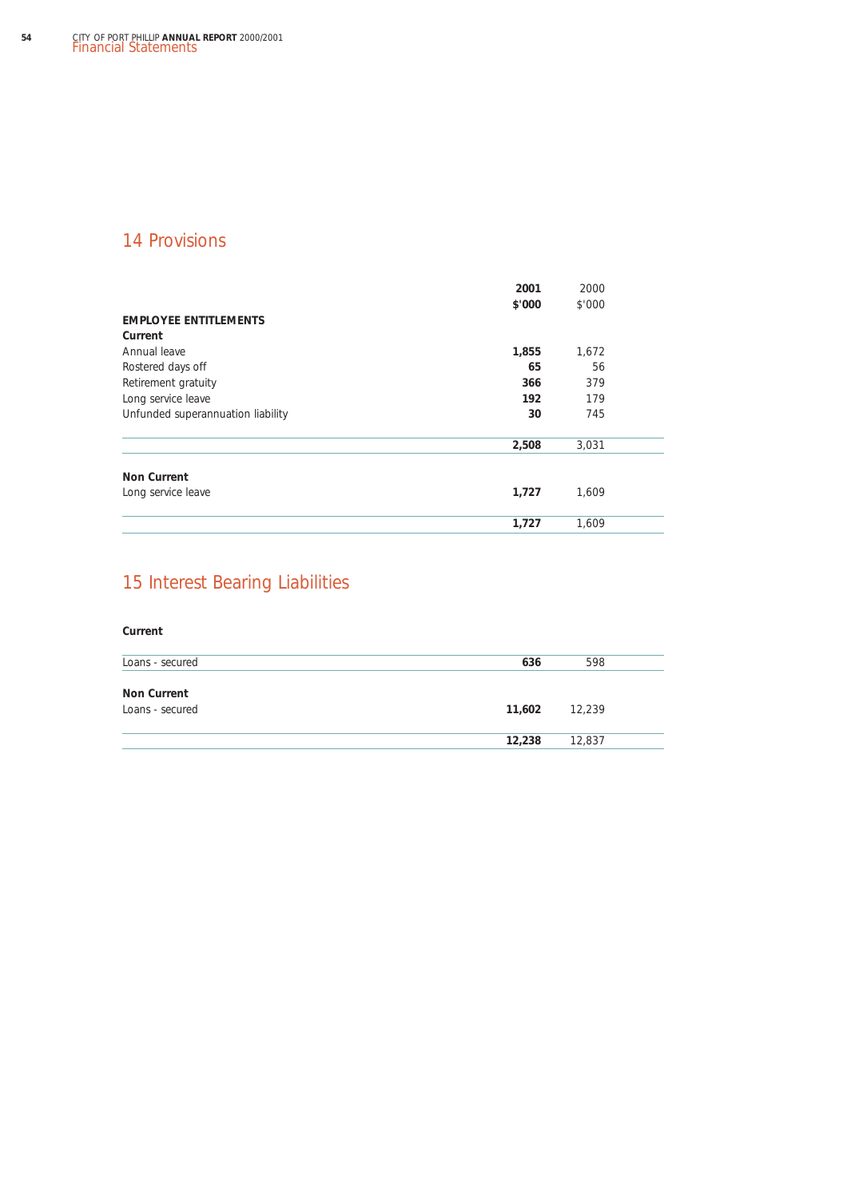## 14 Provisions

|                                   | 2001<br>\$'000 | 2000<br>\$'000 |  |
|-----------------------------------|----------------|----------------|--|
| <b>EMPLOYEE ENTITLEMENTS</b>      |                |                |  |
| Current                           |                |                |  |
| Annual leave                      | 1,855          | 1,672          |  |
| Rostered days off                 | 65             | 56             |  |
| Retirement gratuity               | 366            | 379            |  |
| Long service leave                | 192            | 179            |  |
| Unfunded superannuation liability | 30             | 745            |  |
|                                   | 2,508          | 3,031          |  |
| <b>Non Current</b>                |                |                |  |
| Long service leave                | 1,727          | 1.609          |  |
|                                   | 1,727          | 1,609          |  |

## 15 Interest Bearing Liabilities

## **Current** Loans - secured **636** 598 **Non Current** Loans - secured **11,602** 12,239 **12,238** 12,837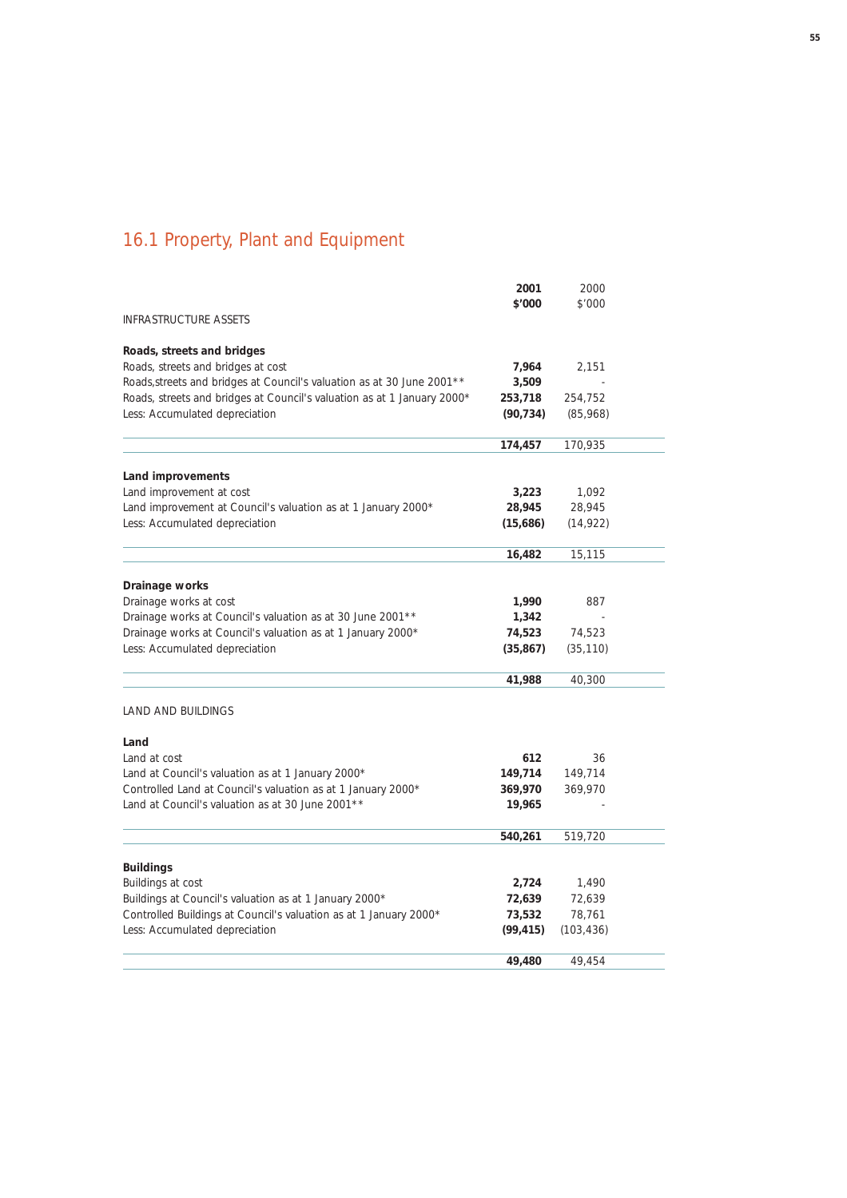# 16.1 Property, Plant and Equipment

|                                                                         | 2001      | 2000       |  |
|-------------------------------------------------------------------------|-----------|------------|--|
|                                                                         | \$'000    | \$'000     |  |
| <b>INFRASTRUCTURE ASSETS</b>                                            |           |            |  |
| Roads, streets and bridges                                              |           |            |  |
| Roads, streets and bridges at cost                                      | 7,964     | 2,151      |  |
| Roads, streets and bridges at Council's valuation as at 30 June 2001**  | 3,509     |            |  |
| Roads, streets and bridges at Council's valuation as at 1 January 2000* | 253,718   | 254,752    |  |
| Less: Accumulated depreciation                                          | (90, 734) | (85,968)   |  |
|                                                                         | 174,457   | 170,935    |  |
| Land improvements                                                       |           |            |  |
| Land improvement at cost                                                | 3,223     | 1,092      |  |
| Land improvement at Council's valuation as at 1 January 2000*           | 28,945    | 28,945     |  |
| Less: Accumulated depreciation                                          | (15,686)  | (14, 922)  |  |
|                                                                         | 16,482    | 15,115     |  |
| Drainage works                                                          |           |            |  |
| Drainage works at cost                                                  | 1,990     | 887        |  |
| Drainage works at Council's valuation as at 30 June 2001 **             | 1,342     |            |  |
| Drainage works at Council's valuation as at 1 January 2000*             | 74,523    | 74,523     |  |
| Less: Accumulated depreciation                                          | (35, 867) | (35, 110)  |  |
|                                                                         | 41,988    | 40,300     |  |
| LAND AND BUILDINGS                                                      |           |            |  |
|                                                                         |           |            |  |
| Land<br>Land at cost                                                    | 612       | 36         |  |
| Land at Council's valuation as at 1 January 2000*                       | 149,714   | 149,714    |  |
| Controlled Land at Council's valuation as at 1 January 2000*            | 369,970   | 369,970    |  |
| Land at Council's valuation as at 30 June 2001 **                       | 19,965    |            |  |
|                                                                         |           |            |  |
|                                                                         | 540,261   | 519,720    |  |
| <b>Buildings</b>                                                        |           |            |  |
| Buildings at cost                                                       | 2,724     | 1,490      |  |
| Buildings at Council's valuation as at 1 January 2000*                  | 72,639    | 72,639     |  |
| Controlled Buildings at Council's valuation as at 1 January 2000*       | 73,532    | 78,761     |  |
| Less: Accumulated depreciation                                          | (99, 415) | (103, 436) |  |
|                                                                         | 49,480    | 49,454     |  |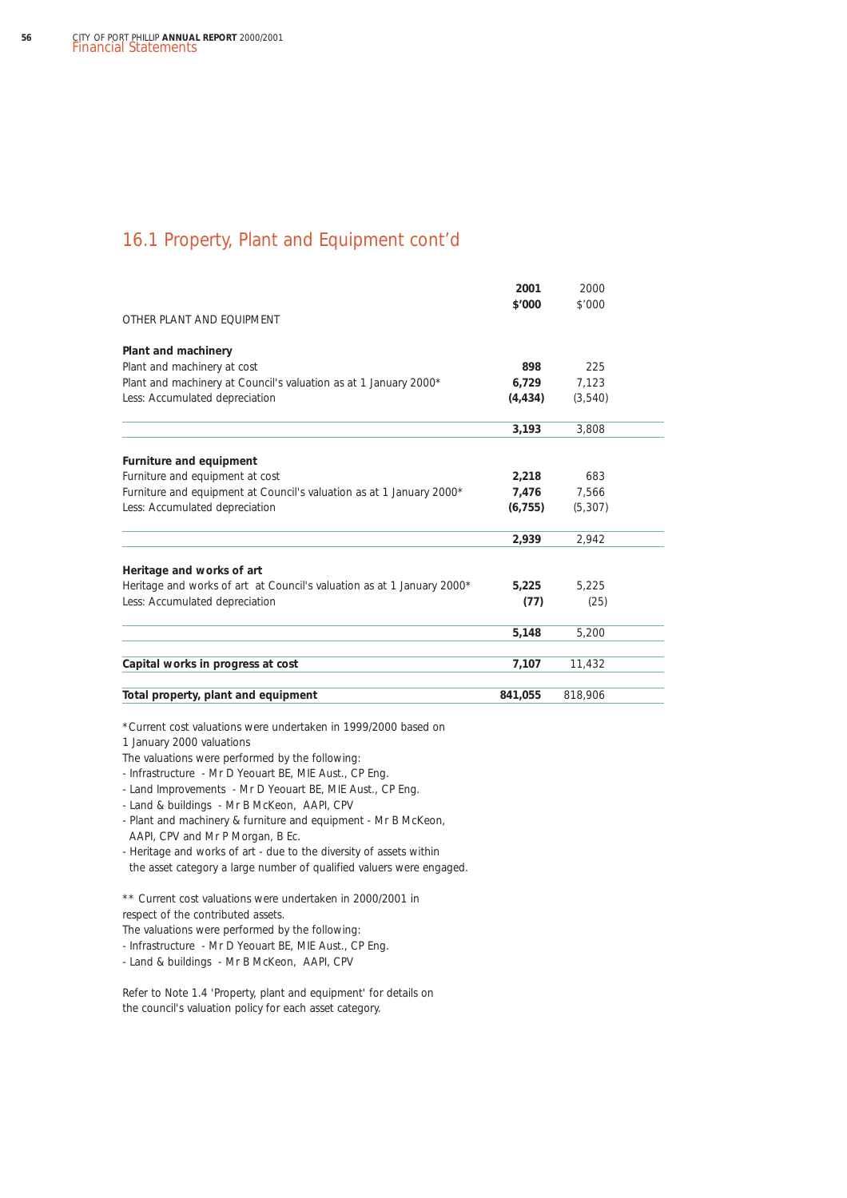### 16.1 Property, Plant and Equipment cont'd

| OTHER PLANT AND FOUIPMENT                                              | 2001<br>\$'000 | 2000<br>\$'000 |  |
|------------------------------------------------------------------------|----------------|----------------|--|
| Plant and machinery                                                    |                |                |  |
| Plant and machinery at cost                                            | 898            | 225            |  |
| Plant and machinery at Council's valuation as at 1 January 2000*       | 6,729          | 7,123          |  |
| Less: Accumulated depreciation                                         | (4, 434)       | (3,540)        |  |
|                                                                        | 3,193          | 3,808          |  |
| Furniture and equipment                                                |                |                |  |
| Furniture and equipment at cost                                        | 2,218          | 683            |  |
| Furniture and equipment at Council's valuation as at 1 January 2000*   | 7,476          | 7,566          |  |
| Less: Accumulated depreciation                                         | (6, 755)       | (5, 307)       |  |
|                                                                        | 2,939          | 2,942          |  |
| Heritage and works of art                                              |                |                |  |
| Heritage and works of art at Council's valuation as at 1 January 2000* | 5,225          | 5,225          |  |
| Less: Accumulated depreciation                                         | (77)           | (25)           |  |
|                                                                        | 5,148          | 5,200          |  |
| Capital works in progress at cost                                      | 7,107          | 11,432         |  |
| Total property, plant and equipment                                    | 841,055        | 818,906        |  |
|                                                                        |                |                |  |

\*Current cost valuations were undertaken in 1999/2000 based on

1 January 2000 valuations

The valuations were performed by the following:

- Infrastructure - Mr D Yeouart BE, MIE Aust., CP Eng.

- Land Improvements - Mr D Yeouart BE, MIE Aust., CP Eng.

- Land & buildings - Mr B McKeon, AAPI, CPV

- Plant and machinery & furniture and equipment - Mr B McKeon, AAPI, CPV and Mr P Morgan, B Ec.

- Heritage and works of art - due to the diversity of assets within the asset category a large number of qualified valuers were engaged.

\*\* Current cost valuations were undertaken in 2000/2001 in respect of the contributed assets.

The valuations were performed by the following:

- Infrastructure - Mr D Yeouart BE, MIE Aust., CP Eng.

- Land & buildings - Mr B McKeon, AAPI, CPV

Refer to Note 1.4 'Property, plant and equipment' for details on the council's valuation policy for each asset category.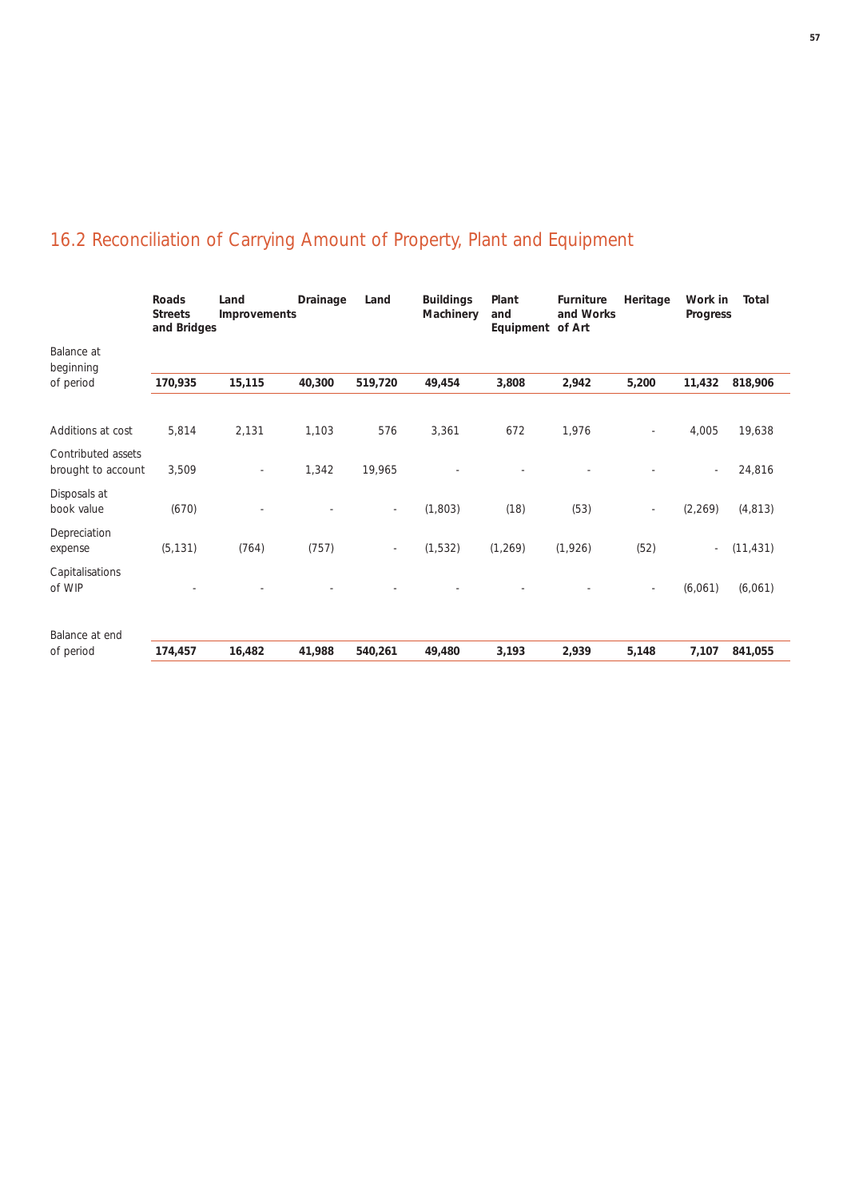|                                          | <b>Streets</b><br>and Bridges | Improvements |        |                          | <b>Buildings</b><br>Machinery | Plant<br>and<br>Equipment of Art | Furniture<br>and Works | Heritage | Work in<br>Progress | <b>Total</b> |
|------------------------------------------|-------------------------------|--------------|--------|--------------------------|-------------------------------|----------------------------------|------------------------|----------|---------------------|--------------|
| Balance at<br>beginning                  |                               |              |        |                          |                               |                                  |                        |          |                     |              |
| of period                                | 170,935                       | 15,115       | 40,300 | 519,720                  | 49,454                        | 3,808                            | 2,942                  | 5,200    | 11,432              | 818,906      |
| Additions at cost                        | 5,814                         | 2,131        | 1,103  | 576                      | 3,361                         | 672                              | 1,976                  |          | 4,005               | 19,638       |
| Contributed assets<br>brought to account | 3,509                         |              | 1,342  | 19,965                   |                               |                                  |                        |          |                     | 24,816       |
| Disposals at<br>book value               | (670)                         |              |        | $\overline{\phantom{a}}$ | (1,803)                       | (18)                             | (53)                   |          | (2, 269)            | (4, 813)     |
| Depreciation<br>expense                  | (5, 131)                      | (764)        | (757)  | $\overline{\phantom{a}}$ | (1,532)                       | (1, 269)                         | (1, 926)               | (52)     | $\sim$              | (11, 431)    |
| Capitalisations<br>of WIP                |                               |              |        |                          |                               |                                  |                        | ٠        | (6,061)             | (6,061)      |
| Balance at end                           |                               |              |        |                          |                               |                                  |                        |          |                     |              |
| of period                                | 174,457                       | 16,482       | 41,988 | 540,261                  | 49,480                        | 3,193                            | 2,939                  | 5,148    | 7,107               | 841,055      |

# 16.2 Reconciliation of Carrying Amount of Property, Plant and Equipment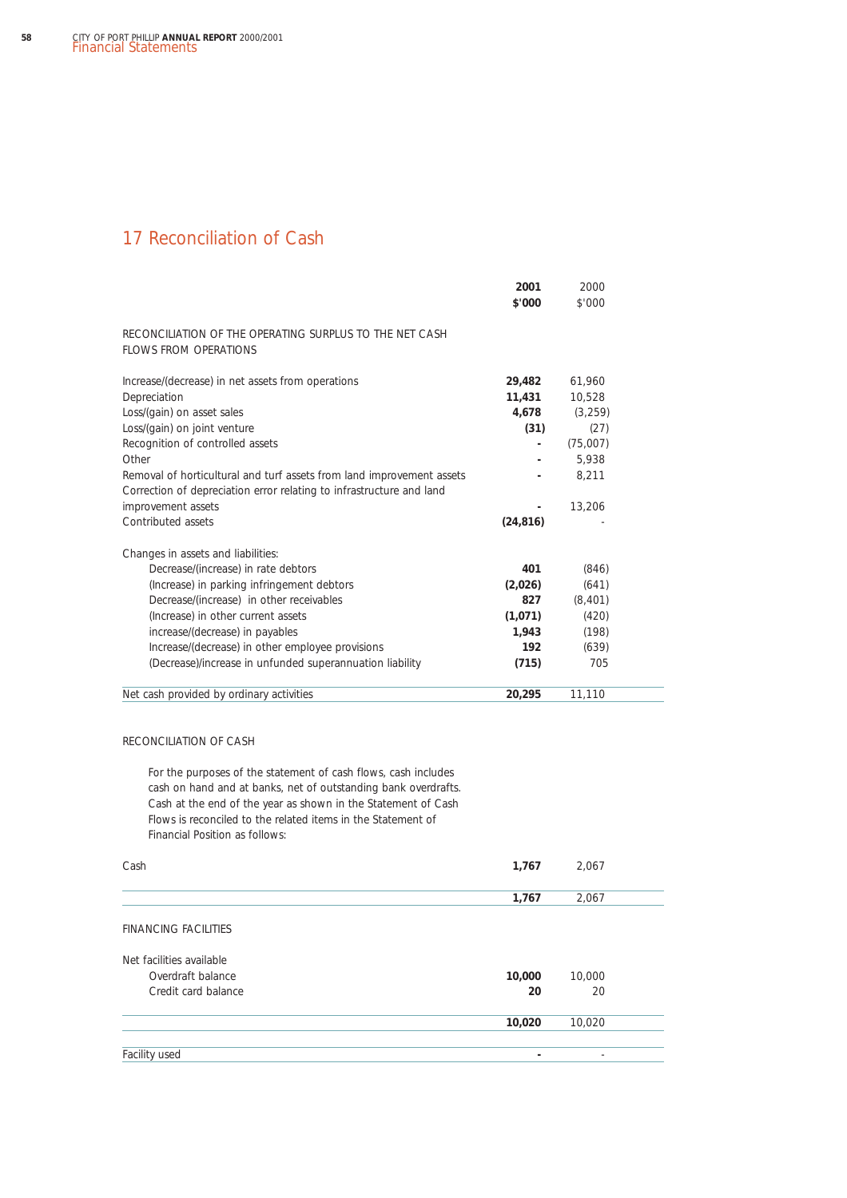### 17 Reconciliation of Cash

|                                                                                  | 2001<br>\$'000 | 2000<br>\$'000 |  |
|----------------------------------------------------------------------------------|----------------|----------------|--|
| RECONCILIATION OF THE OPERATING SURPLUS TO THE NET CASH<br>FLOWS FROM OPERATIONS |                |                |  |
| Increase/(decrease) in net assets from operations                                | 29,482         | 61,960         |  |
| Depreciation                                                                     | 11,431         | 10,528         |  |
| Loss/(gain) on asset sales                                                       | 4,678          | (3, 259)       |  |
| Loss/(gain) on joint venture                                                     | (31)           | (27)           |  |
| Recognition of controlled assets                                                 |                | (75,007)       |  |
| Other                                                                            |                | 5.938          |  |
| Removal of horticultural and turf assets from land improvement assets            |                | 8.211          |  |
| Correction of depreciation error relating to infrastructure and land             |                |                |  |
| improvement assets                                                               |                | 13,206         |  |
| Contributed assets                                                               | (24, 816)      |                |  |
| Changes in assets and liabilities:                                               |                |                |  |
| Decrease/(increase) in rate debtors                                              | 401            | (846)          |  |
| (Increase) in parking infringement debtors                                       | (2,026)        | (641)          |  |
| Decrease/(increase) in other receivables                                         | 827            | (8, 401)       |  |
| (Increase) in other current assets                                               | (1,071)        | (420)          |  |
| increase/(decrease) in payables                                                  | 1,943          | (198)          |  |
| Increase/(decrease) in other employee provisions                                 | 192            | (639)          |  |
| (Decrease)/increase in unfunded superannuation liability                         | (715)          | 705            |  |
| Net cash provided by ordinary activities                                         | 20,295         | 11,110         |  |

### RECONCILIATION OF CASH

For the purposes of the statement of cash flows, cash includes cash on hand and at banks, net of outstanding bank overdrafts. Cash at the end of the year as shown in the Statement of Cash Flows is reconciled to the related items in the Statement of Financial Position as follows:

| Cash                        | 1,767  | 2,067                    |  |
|-----------------------------|--------|--------------------------|--|
|                             | 1,767  | 2,067                    |  |
| <b>FINANCING FACILITIES</b> |        |                          |  |
| Net facilities available    |        |                          |  |
| Overdraft balance           | 10,000 | 10,000                   |  |
| Credit card balance         | 20     | 20                       |  |
|                             | 10,020 | 10,020                   |  |
|                             |        |                          |  |
| Facility used               | ٠      | $\overline{\phantom{a}}$ |  |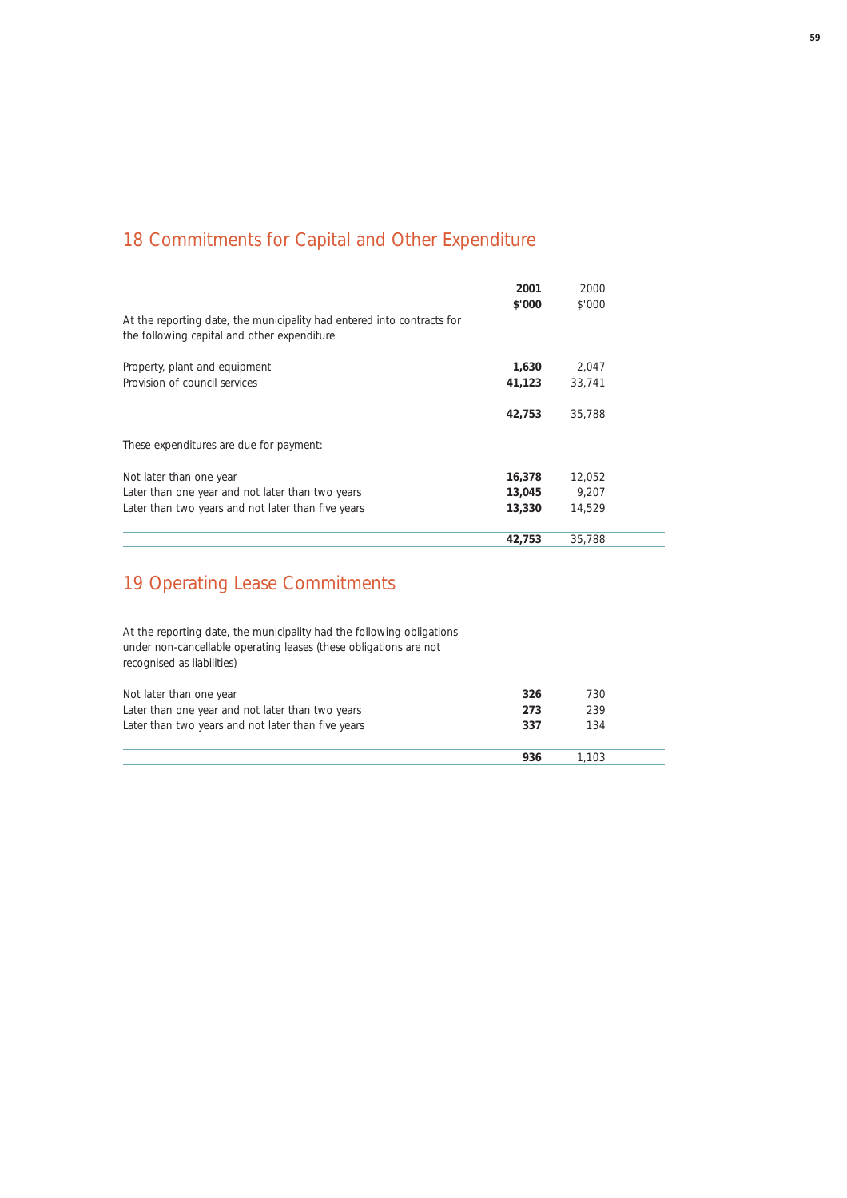## 18 Commitments for Capital and Other Expenditure

|                                                                                                                       | 2001<br>\$'000 | 2000<br>\$'000 |  |
|-----------------------------------------------------------------------------------------------------------------------|----------------|----------------|--|
| At the reporting date, the municipality had entered into contracts for<br>the following capital and other expenditure |                |                |  |
| Property, plant and equipment                                                                                         | 1,630          | 2.047          |  |
| Provision of council services                                                                                         | 41,123         | 33.741         |  |
|                                                                                                                       | 42,753         | 35,788         |  |
| These expenditures are due for payment:                                                                               |                |                |  |
| Not later than one year                                                                                               | 16,378         | 12,052         |  |
| Later than one year and not later than two years                                                                      | 13,045         | 9.207          |  |
| Later than two years and not later than five years                                                                    | 13,330         | 14.529         |  |
|                                                                                                                       | 42,753         | 35,788         |  |

## 19 Operating Lease Commitments

At the reporting date, the municipality had the following obligations under non-cancellable operating leases (these obligations are not recognised as liabilities)

| Not later than one year                            | 326 | 730   |  |
|----------------------------------------------------|-----|-------|--|
| Later than one year and not later than two years   | 273 | 239   |  |
| Later than two years and not later than five years | 337 | 134   |  |
|                                                    | 936 | 1.103 |  |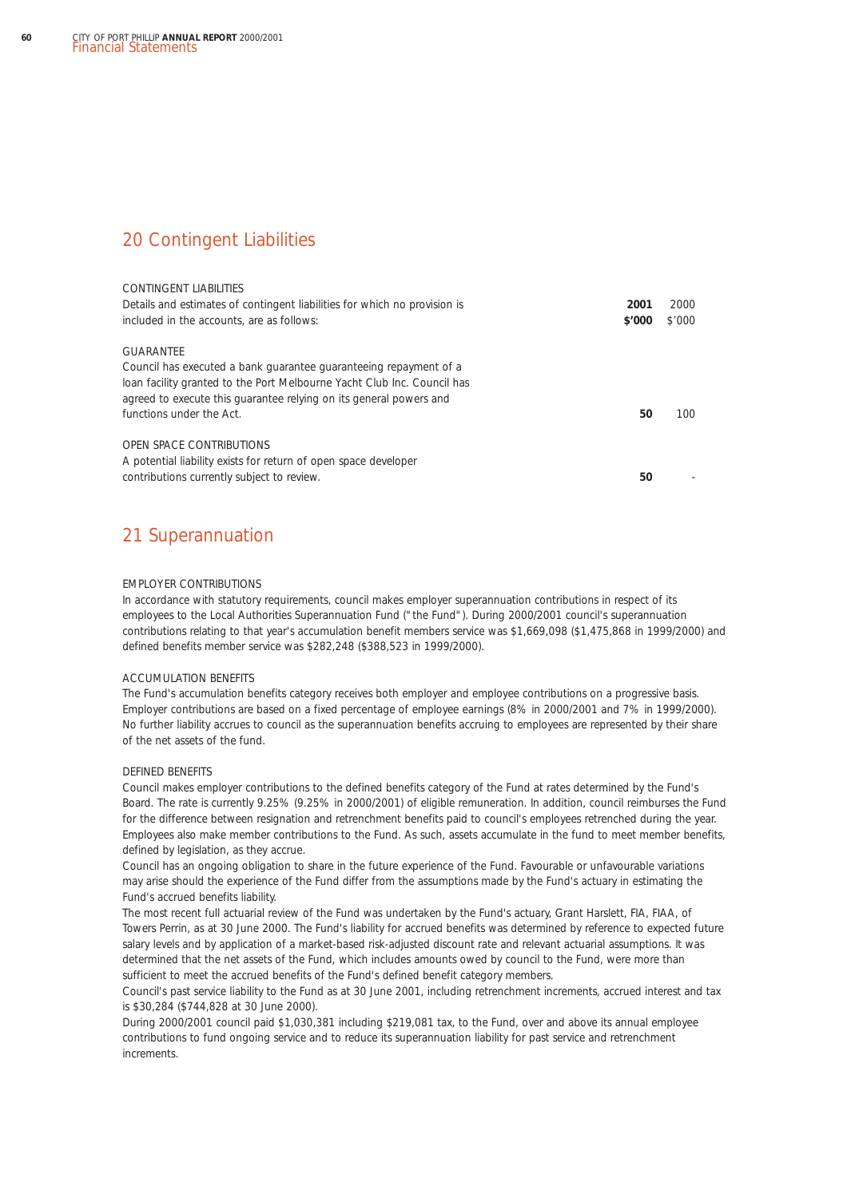### 20 Contingent Liabilities

| CONTINGENT LIABILITIES<br>Details and estimates of contingent liabilities for which no provision is<br>included in the accounts, are as follows:                                                                                                            | 2001<br>\$'000 | 2000<br>\$'000 |
|-------------------------------------------------------------------------------------------------------------------------------------------------------------------------------------------------------------------------------------------------------------|----------------|----------------|
| GUARANTFF<br>Council has executed a bank quarantee quaranteeing repayment of a<br>loan facility granted to the Port Melbourne Yacht Club Inc. Council has<br>agreed to execute this guarantee relying on its general powers and<br>functions under the Act. | 50             | 100            |
| <b>OPEN SPACE CONTRIBUTIONS</b><br>A potential liability exists for return of open space developer<br>contributions currently subject to review.                                                                                                            | 50             |                |

## 21 Superannuation

### EMPLOYER CONTRIBUTIONS

In accordance with statutory requirements, council makes employer superannuation contributions in respect of its employees to the Local Authorities Superannuation Fund ("the Fund"). During 2000/2001 council's superannuation contributions relating to that year's accumulation benefit members service was \$1,669,098 (\$1,475,868 in 1999/2000) and defined benefits member service was \$282,248 (\$388,523 in 1999/2000).

### ACCUMULATION BENEFITS

The Fund's accumulation benefits category receives both employer and employee contributions on a progressive basis. Employer contributions are based on a fixed percentage of employee earnings (8% in 2000/2001 and 7% in 1999/2000). No further liability accrues to council as the superannuation benefits accruing to employees are represented by their share of the net assets of the fund.

### DEFINED BENEFITS

Council makes employer contributions to the defined benefits category of the Fund at rates determined by the Fund's Board. The rate is currently 9.25% (9.25% in 2000/2001) of eligible remuneration. In addition, council reimburses the Fund for the difference between resignation and retrenchment benefits paid to council's employees retrenched during the year. Employees also make member contributions to the Fund. As such, assets accumulate in the fund to meet member benefits, defined by legislation, as they accrue.

Council has an ongoing obligation to share in the future experience of the Fund. Favourable or unfavourable variations may arise should the experience of the Fund differ from the assumptions made by the Fund's actuary in estimating the Fund's accrued benefits liability.

The most recent full actuarial review of the Fund was undertaken by the Fund's actuary, Grant Harslett, FIA, FIAA, of Towers Perrin, as at 30 June 2000. The Fund's liability for accrued benefits was determined by reference to expected future salary levels and by application of a market-based risk-adjusted discount rate and relevant actuarial assumptions. It was determined that the net assets of the Fund, which includes amounts owed by council to the Fund, were more than sufficient to meet the accrued benefits of the Fund's defined benefit category members.

Council's past service liability to the Fund as at 30 June 2001, including retrenchment increments, accrued interest and tax is \$30,284 (\$744,828 at 30 June 2000).

During 2000/2001 council paid \$1,030,381 including \$219,081 tax, to the Fund, over and above its annual employee contributions to fund ongoing service and to reduce its superannuation liability for past service and retrenchment increments.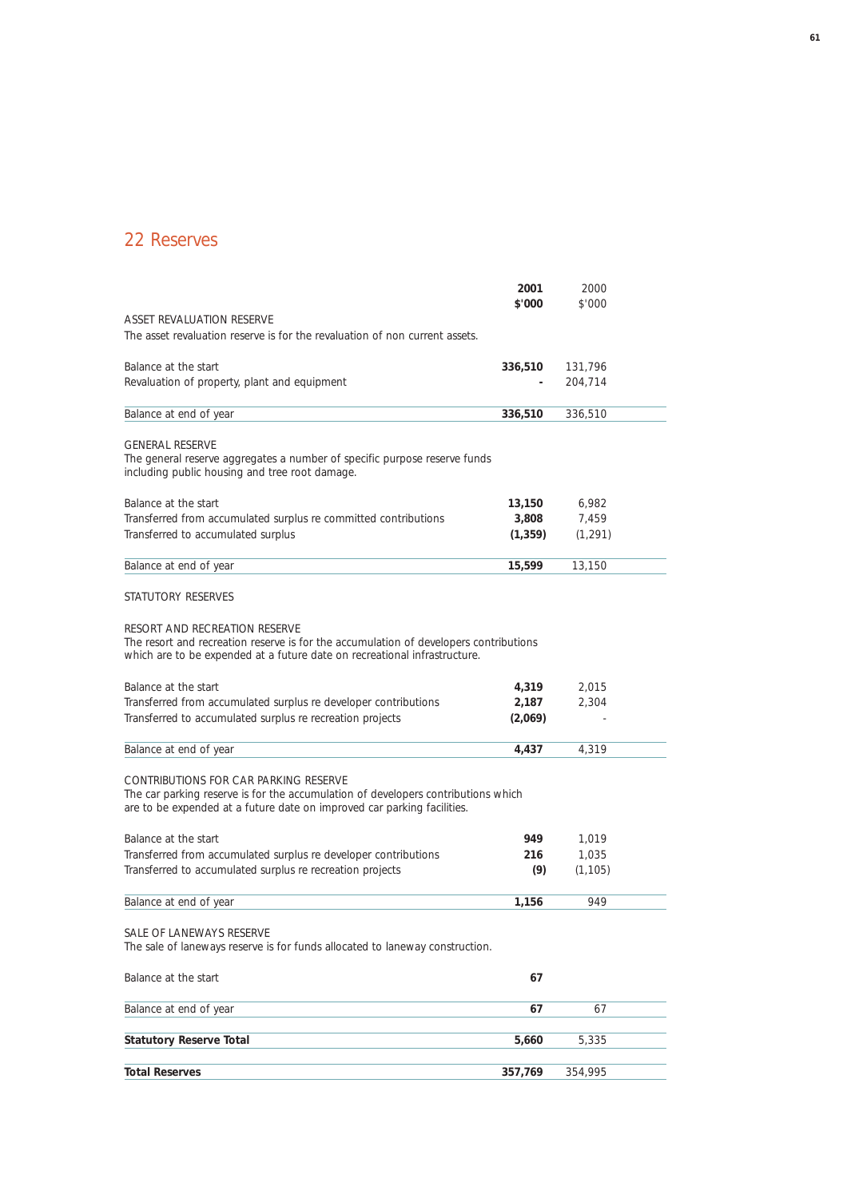## 22 Reserves

|                                                                                                                                                                                                                                                                                                                                                             | 2001                      | 2000           |  |
|-------------------------------------------------------------------------------------------------------------------------------------------------------------------------------------------------------------------------------------------------------------------------------------------------------------------------------------------------------------|---------------------------|----------------|--|
| <b>ASSET REVALUATION RESERVE</b>                                                                                                                                                                                                                                                                                                                            | \$'000                    | \$'000         |  |
| The asset revaluation reserve is for the revaluation of non current assets.                                                                                                                                                                                                                                                                                 |                           |                |  |
| Balance at the start                                                                                                                                                                                                                                                                                                                                        | 336,510                   | 131,796        |  |
| Revaluation of property, plant and equipment                                                                                                                                                                                                                                                                                                                |                           | 204,714        |  |
|                                                                                                                                                                                                                                                                                                                                                             |                           |                |  |
| Balance at end of year                                                                                                                                                                                                                                                                                                                                      | 336,510                   | 336,510        |  |
| <b>GENERAL RESERVE</b><br>The general reserve aggregates a number of specific purpose reserve funds<br>including public housing and tree root damage.                                                                                                                                                                                                       |                           |                |  |
| Balance at the start                                                                                                                                                                                                                                                                                                                                        | 13,150                    | 6,982          |  |
| Transferred from accumulated surplus re committed contributions                                                                                                                                                                                                                                                                                             | 3,808                     | 7,459          |  |
| Transferred to accumulated surplus                                                                                                                                                                                                                                                                                                                          | (1, 359)                  | (1, 291)       |  |
| Balance at end of year                                                                                                                                                                                                                                                                                                                                      | 15,599                    | 13,150         |  |
| STATUTORY RESERVES                                                                                                                                                                                                                                                                                                                                          |                           |                |  |
| RESORT AND RECREATION RESERVE<br>The resort and recreation reserve is for the accumulation of developers contributions<br>which are to be expended at a future date on recreational infrastructure.<br>Balance at the start<br>Transferred from accumulated surplus re developer contributions<br>Transferred to accumulated surplus re recreation projects | 4,319<br>2,187<br>(2,069) | 2,015<br>2,304 |  |
|                                                                                                                                                                                                                                                                                                                                                             |                           |                |  |
| Balance at end of year                                                                                                                                                                                                                                                                                                                                      | 4,437                     | 4,319          |  |
| CONTRIBUTIONS FOR CAR PARKING RESERVE<br>The car parking reserve is for the accumulation of developers contributions which<br>are to be expended at a future date on improved car parking facilities.                                                                                                                                                       |                           |                |  |
| Balance at the start                                                                                                                                                                                                                                                                                                                                        | 949.                      | 1,019          |  |
| Transferred from accumulated surplus re developer contributions                                                                                                                                                                                                                                                                                             | 216                       | 1,035          |  |
| Transferred to accumulated surplus re recreation projects                                                                                                                                                                                                                                                                                                   | (9)                       | (1, 105)       |  |
| Balance at end of year                                                                                                                                                                                                                                                                                                                                      | 1,156                     | 949            |  |
| SALE OF LANEWAYS RESERVE<br>The sale of laneways reserve is for funds allocated to laneway construction.                                                                                                                                                                                                                                                    |                           |                |  |
| Balance at the start                                                                                                                                                                                                                                                                                                                                        | 67                        |                |  |
| Balance at end of year                                                                                                                                                                                                                                                                                                                                      | 67                        | 67             |  |
| <b>Statutory Reserve Total</b>                                                                                                                                                                                                                                                                                                                              | 5,660                     | 5,335          |  |
| <b>Total Reserves</b>                                                                                                                                                                                                                                                                                                                                       | 357,769                   | 354,995        |  |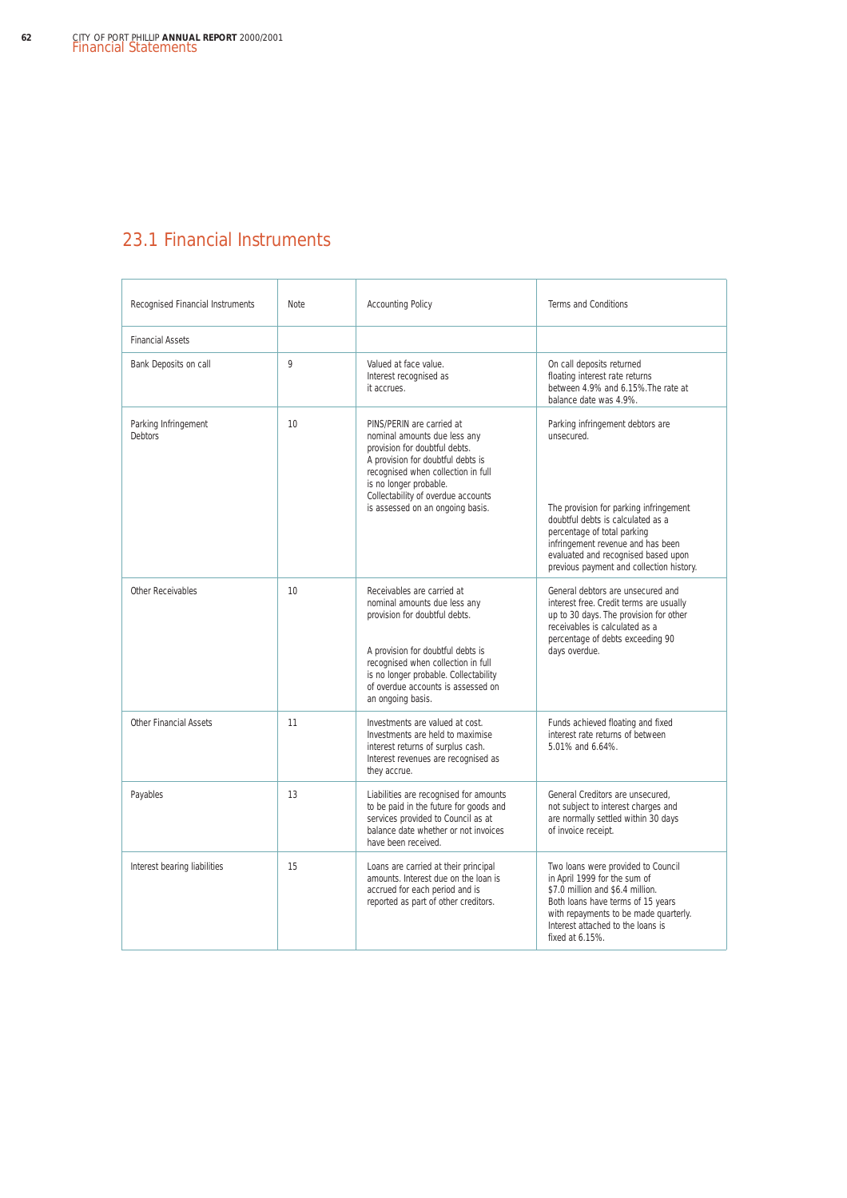## 23.1 Financial Instruments

| Recognised Financial Instruments       | Note | <b>Accounting Policy</b>                                                                                                                                                                                                                                                   | <b>Terms and Conditions</b>                                                                                                                                                                                                                                                          |
|----------------------------------------|------|----------------------------------------------------------------------------------------------------------------------------------------------------------------------------------------------------------------------------------------------------------------------------|--------------------------------------------------------------------------------------------------------------------------------------------------------------------------------------------------------------------------------------------------------------------------------------|
| <b>Financial Assets</b>                |      |                                                                                                                                                                                                                                                                            |                                                                                                                                                                                                                                                                                      |
| Bank Deposits on call                  | 9    | Valued at face value.<br>Interest recognised as<br>it accrues.                                                                                                                                                                                                             | On call deposits returned<br>floating interest rate returns<br>between 4.9% and 6.15%. The rate at<br>balance date was 4.9%.                                                                                                                                                         |
| Parking Infringement<br><b>Debtors</b> | 10   | PINS/PERIN are carried at<br>nominal amounts due less any<br>provision for doubtful debts.<br>A provision for doubtful debts is<br>recognised when collection in full<br>is no longer probable.<br>Collectability of overdue accounts<br>is assessed on an ongoing basis.  | Parking infringement debtors are<br>unsecured.<br>The provision for parking infringement<br>doubtful debts is calculated as a<br>percentage of total parking<br>infringement revenue and has been<br>evaluated and recognised based upon<br>previous payment and collection history. |
| Other Receivables                      | 10   | Receivables are carried at<br>nominal amounts due less any<br>provision for doubtful debts.<br>A provision for doubtful debts is<br>recognised when collection in full<br>is no longer probable. Collectability<br>of overdue accounts is assessed on<br>an ongoing basis. | General debtors are unsecured and<br>interest free. Credit terms are usually<br>up to 30 days. The provision for other<br>receivables is calculated as a<br>percentage of debts exceeding 90<br>days overdue.                                                                        |
| <b>Other Financial Assets</b>          | 11   | Investments are valued at cost.<br>Investments are held to maximise<br>interest returns of surplus cash.<br>Interest revenues are recognised as<br>they accrue.                                                                                                            | Funds achieved floating and fixed<br>interest rate returns of between<br>5.01% and 6.64%.                                                                                                                                                                                            |
| Payables                               | 13   | Liabilities are recognised for amounts<br>to be paid in the future for goods and<br>services provided to Council as at<br>balance date whether or not invoices<br>have been received.                                                                                      | General Creditors are unsecured,<br>not subject to interest charges and<br>are normally settled within 30 days<br>of invoice receipt.                                                                                                                                                |
| Interest bearing liabilities           | 15   | Loans are carried at their principal<br>amounts. Interest due on the loan is<br>accrued for each period and is<br>reported as part of other creditors.                                                                                                                     | Two loans were provided to Council<br>in April 1999 for the sum of<br>\$7.0 million and \$6.4 million.<br>Both loans have terms of 15 years<br>with repayments to be made quarterly.<br>Interest attached to the loans is<br>fixed at 6.15%.                                         |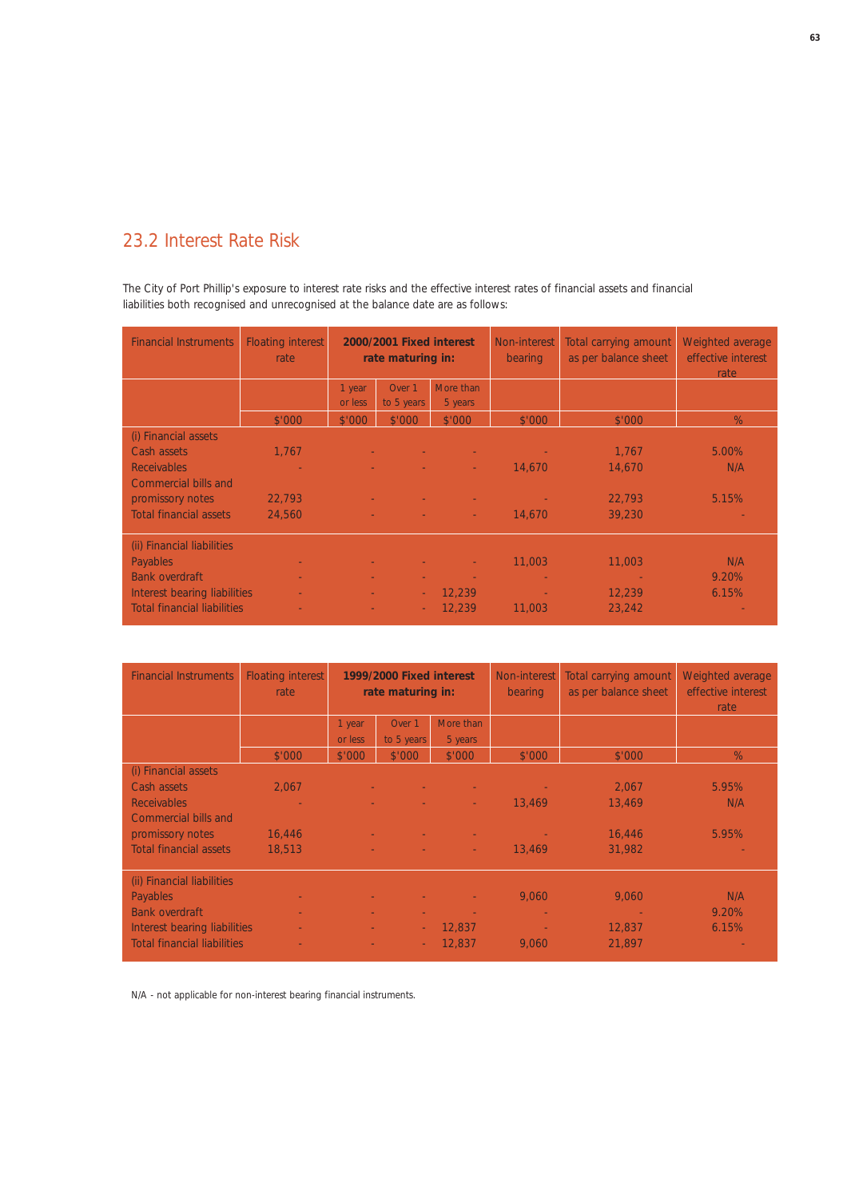## 23.2 Interest Rate Risk

The City of Port Phillip's exposure to interest rate risks and the effective interest rates of financial assets and financial liabilities both recognised and unrecognised at the balance date are as follows:

| <b>Financial Instruments</b>       | <b>Floating interest</b><br>rate | 2000/2001 Fixed interest<br>rate maturing in: |                      | Non-interest<br>bearing | Total carrying amount<br>as per balance sheet | Weighted average<br>effective interest<br>rate |          |
|------------------------------------|----------------------------------|-----------------------------------------------|----------------------|-------------------------|-----------------------------------------------|------------------------------------------------|----------|
|                                    |                                  | 1 year<br>or less                             | Over 1<br>to 5 years | More than<br>5 years    |                                               |                                                |          |
|                                    | \$'000                           | \$'000                                        | \$'000               | \$'000                  | \$'000                                        | \$'000                                         | %        |
| (i) Financial assets               |                                  |                                               |                      |                         |                                               |                                                |          |
| Cash assets                        | 1,767                            |                                               |                      |                         |                                               | 1,767                                          | $5.00\%$ |
| <b>Receivables</b>                 |                                  |                                               |                      |                         | 14,670                                        | 14,670                                         | N/A      |
| Commercial bills and               |                                  |                                               |                      |                         |                                               |                                                |          |
| promissory notes                   | 22,793                           |                                               |                      |                         |                                               | 22,793                                         | 5.15%    |
| <b>Total financial assets</b>      | 24,560                           |                                               |                      | <b>Contract</b>         | 14,670                                        | 39,230                                         |          |
| (ii) Financial liabilities         |                                  |                                               |                      |                         |                                               |                                                |          |
| <b>Payables</b>                    |                                  |                                               |                      |                         | 11,003                                        | 11,003                                         | N/A      |
| <b>Bank overdraft</b>              |                                  |                                               |                      |                         |                                               | <b>Contract</b>                                | 9.20%    |
| Interest bearing liabilities       |                                  |                                               | ÷                    | 12.239                  |                                               | 12.239                                         | 6.15%    |
| <b>Total financial liabilities</b> |                                  |                                               | ÷                    | 12.239                  | 11,003                                        | 23,242                                         |          |

| <b>Financial Instruments</b>       | <b>Floating interest</b><br>rate | 1999/2000 Fixed interest<br>rate maturing in: |            | Non-interest<br>bearing | Total carrying amount<br>as per balance sheet | Weighted average<br>effective interest<br>rate |       |
|------------------------------------|----------------------------------|-----------------------------------------------|------------|-------------------------|-----------------------------------------------|------------------------------------------------|-------|
|                                    |                                  | 1 year                                        | Over 1     | More than               |                                               |                                                |       |
|                                    |                                  | or less                                       | to 5 years | 5 years                 |                                               |                                                |       |
|                                    | \$'000                           | \$'000                                        | \$'000     | \$'000                  | \$'000                                        | \$'000                                         | $\%$  |
| (i) Financial assets               |                                  |                                               |            |                         |                                               |                                                |       |
| Cash assets                        | 2,067                            |                                               |            |                         |                                               | 2,067                                          | 5.95% |
| <b>Receivables</b>                 |                                  |                                               |            |                         | 13.469                                        | 13,469                                         | N/A   |
| Commercial bills and               |                                  |                                               |            |                         |                                               |                                                |       |
| promissory notes                   | 16,446                           |                                               |            |                         |                                               | 16,446                                         | 5.95% |
| Total financial assets             | 18,513                           |                                               |            | <b>Contract</b>         | 13,469                                        | 31,982                                         |       |
| (ii) Financial liabilities         |                                  |                                               |            |                         |                                               |                                                |       |
| Payables                           |                                  |                                               |            |                         | 9,060                                         | 9,060                                          | N/A   |
| <b>Bank overdraft</b>              |                                  |                                               |            |                         |                                               |                                                | 9.20% |
| Interest bearing liabilities       |                                  |                                               | ÷          | 12.837                  |                                               | 12,837                                         | 6.15% |
| <b>Total financial liabilities</b> |                                  |                                               | ÷          | 12,837                  | 9,060                                         | 21,897                                         |       |

N/A - not applicable for non-interest bearing financial instruments.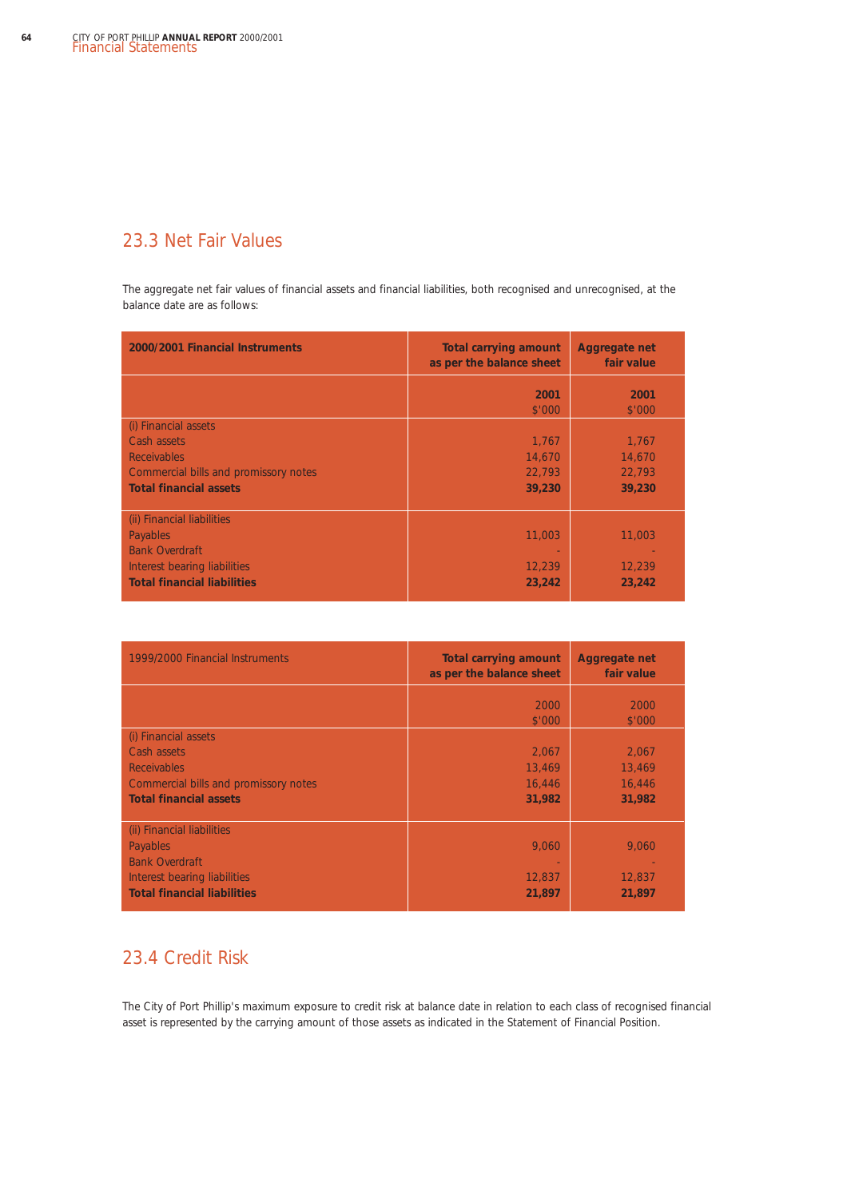## 23.3 Net Fair Values

The aggregate net fair values of financial assets and financial liabilities, both recognised and unrecognised, at the balance date are as follows:

| 2000/2001 Financial Instruments                                                                                                       | <b>Total carrying amount</b><br>as per the balance sheet | Aggregate net<br>fair value         |
|---------------------------------------------------------------------------------------------------------------------------------------|----------------------------------------------------------|-------------------------------------|
|                                                                                                                                       | 2001<br>\$'000                                           | 2001<br>\$'000                      |
| (i) Financial assets<br>Cash assets<br><b>Receivables</b><br>Commercial bills and promissory notes<br><b>Total financial assets</b>   | 1,767<br>14,670<br>22,793<br>39,230                      | 1,767<br>14,670<br>22,793<br>39,230 |
| (ii) Financial liabilities<br>Payables<br><b>Bank Overdraft</b><br>Interest bearing liabilities<br><b>Total financial liabilities</b> | 11,003<br>12,239<br>23,242                               | 11,003<br>12,239<br>23,242          |

| 1999/2000 Financial Instruments       | <b>Total carrying amount</b><br>as per the balance sheet | <b>Aggregate net</b><br>fair value |
|---------------------------------------|----------------------------------------------------------|------------------------------------|
|                                       | 2000                                                     | 2000                               |
|                                       | \$'000                                                   | \$'000                             |
| (i) Financial assets                  |                                                          |                                    |
| Cash assets                           | 2,067                                                    | 2,067                              |
| <b>Receivables</b>                    | 13,469                                                   | 13,469                             |
| Commercial bills and promissory notes | 16,446                                                   | 16,446                             |
| <b>Total financial assets</b>         | 31,982                                                   | 31,982                             |
|                                       |                                                          |                                    |
| (ii) Financial liabilities            |                                                          |                                    |
| Payables                              | 9,060                                                    | 9,060                              |
| <b>Bank Overdraft</b>                 |                                                          |                                    |
| Interest bearing liabilities          | 12,837                                                   | 12,837                             |
| <b>Total financial liabilities</b>    | 21,897                                                   | 21,897                             |
|                                       |                                                          |                                    |

### 23.4 Credit Risk

The City of Port Phillip's maximum exposure to credit risk at balance date in relation to each class of recognised financial asset is represented by the carrying amount of those assets as indicated in the Statement of Financial Position.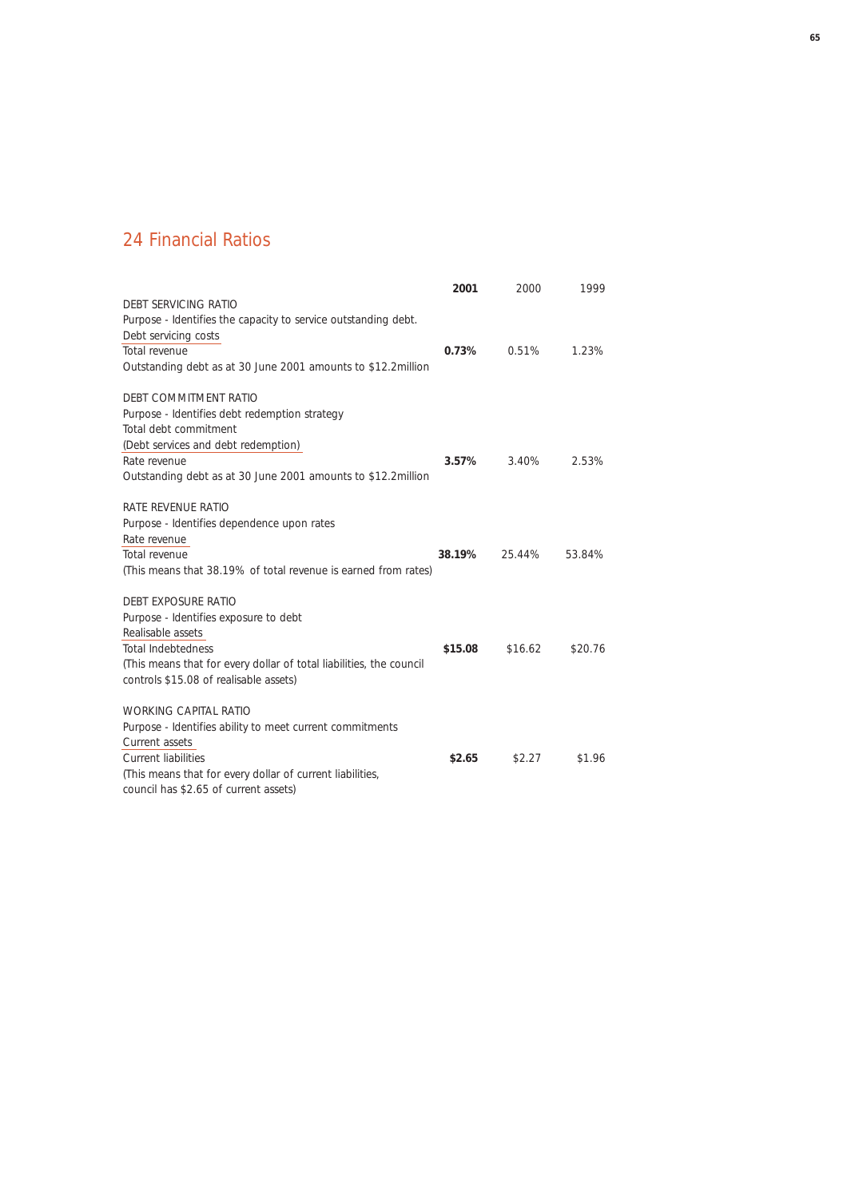## 24 Financial Ratios

|                                                                     | 2001     | 2000    | 1999    |
|---------------------------------------------------------------------|----------|---------|---------|
| DEBT SERVICING RATIO                                                |          |         |         |
| Purpose - Identifies the capacity to service outstanding debt.      |          |         |         |
| Debt servicing costs                                                |          |         |         |
| Total revenue                                                       | 0.73%    | 0.51%   | 1.23%   |
| Outstanding debt as at 30 June 2001 amounts to \$12.2million        |          |         |         |
| DEBT COMMITMENT RATIO                                               |          |         |         |
| Purpose - Identifies debt redemption strategy                       |          |         |         |
| Total debt commitment                                               |          |         |         |
| (Debt services and debt redemption)                                 |          |         |         |
| Rate revenue                                                        | $3.57\%$ | 3.40%   | 2.53%   |
| Outstanding debt as at 30 June 2001 amounts to \$12.2 million       |          |         |         |
| RATE REVENUE RATIO                                                  |          |         |         |
| Purpose - Identifies dependence upon rates                          |          |         |         |
| Rate revenue                                                        |          |         |         |
| Total revenue                                                       | 38.19%   | 25.44%  | 53.84%  |
| (This means that 38.19% of total revenue is earned from rates)      |          |         |         |
| DEBT EXPOSURE RATIO                                                 |          |         |         |
| Purpose - Identifies exposure to debt                               |          |         |         |
| Realisable assets                                                   |          |         |         |
| <b>Total Indebtedness</b>                                           | \$15.08  | \$16.62 | \$20.76 |
| (This means that for every dollar of total liabilities, the council |          |         |         |
| controls \$15.08 of realisable assets)                              |          |         |         |
| <b>WORKING CAPITAL RATIO</b>                                        |          |         |         |
| Purpose - Identifies ability to meet current commitments            |          |         |         |
| Current assets                                                      |          |         |         |
| <b>Current liabilities</b>                                          | \$2.65   | \$2.27  | \$1.96  |
| (This means that for every dollar of current liabilities,           |          |         |         |
| council has \$2.65 of current assets)                               |          |         |         |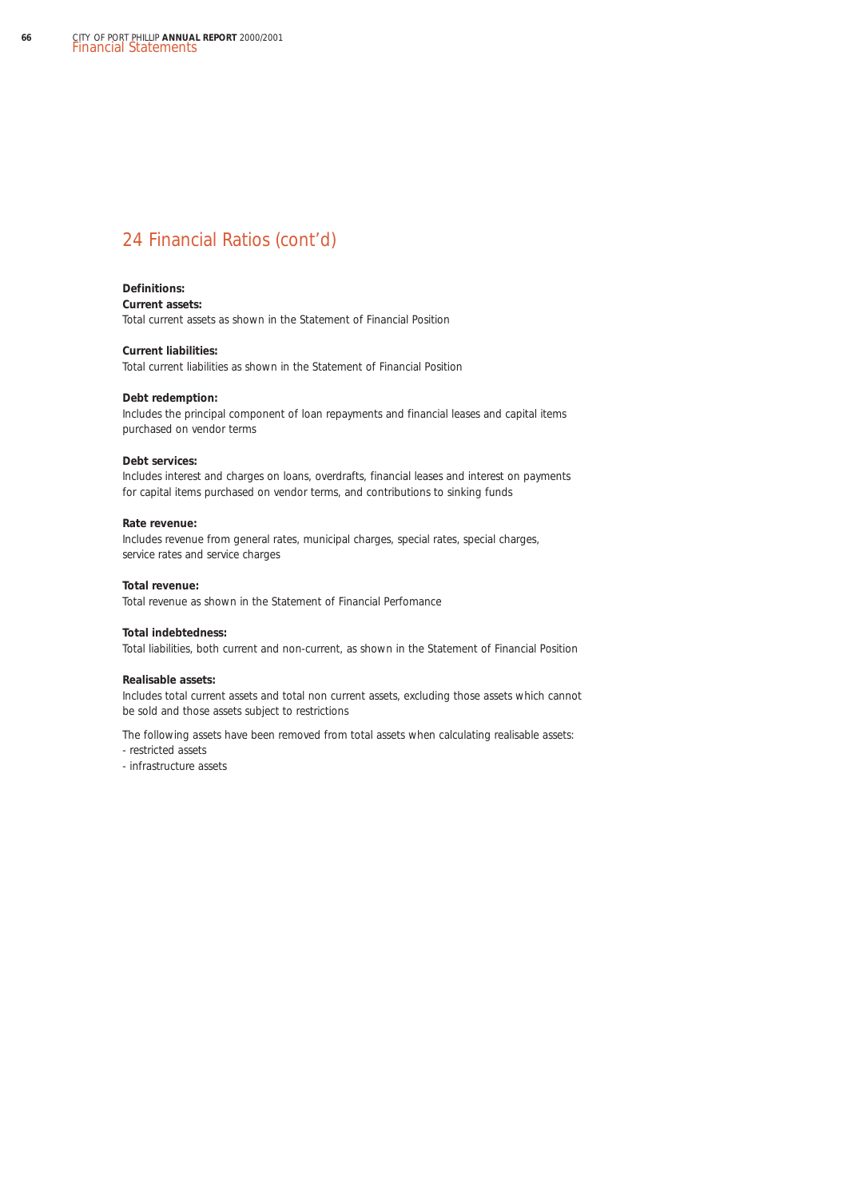## 24 Financial Ratios (cont'd)

### **Definitions:**

### **Current assets:**

Total current assets as shown in the Statement of Financial Position

### **Current liabilities:**

Total current liabilities as shown in the Statement of Financial Position

#### **Debt redemption:**

Includes the principal component of loan repayments and financial leases and capital items purchased on vendor terms

### **Debt services:**

Includes interest and charges on loans, overdrafts, financial leases and interest on payments for capital items purchased on vendor terms, and contributions to sinking funds

### **Rate revenue:**

Includes revenue from general rates, municipal charges, special rates, special charges, service rates and service charges

#### **Total revenue:**

Total revenue as shown in the Statement of Financial Perfomance

### **Total indebtedness:**

Total liabilities, both current and non-current, as shown in the Statement of Financial Position

### **Realisable assets:**

Includes total current assets and total non current assets, excluding those assets which cannot be sold and those assets subject to restrictions

The following assets have been removed from total assets when calculating realisable assets:

- restricted assets
- infrastructure assets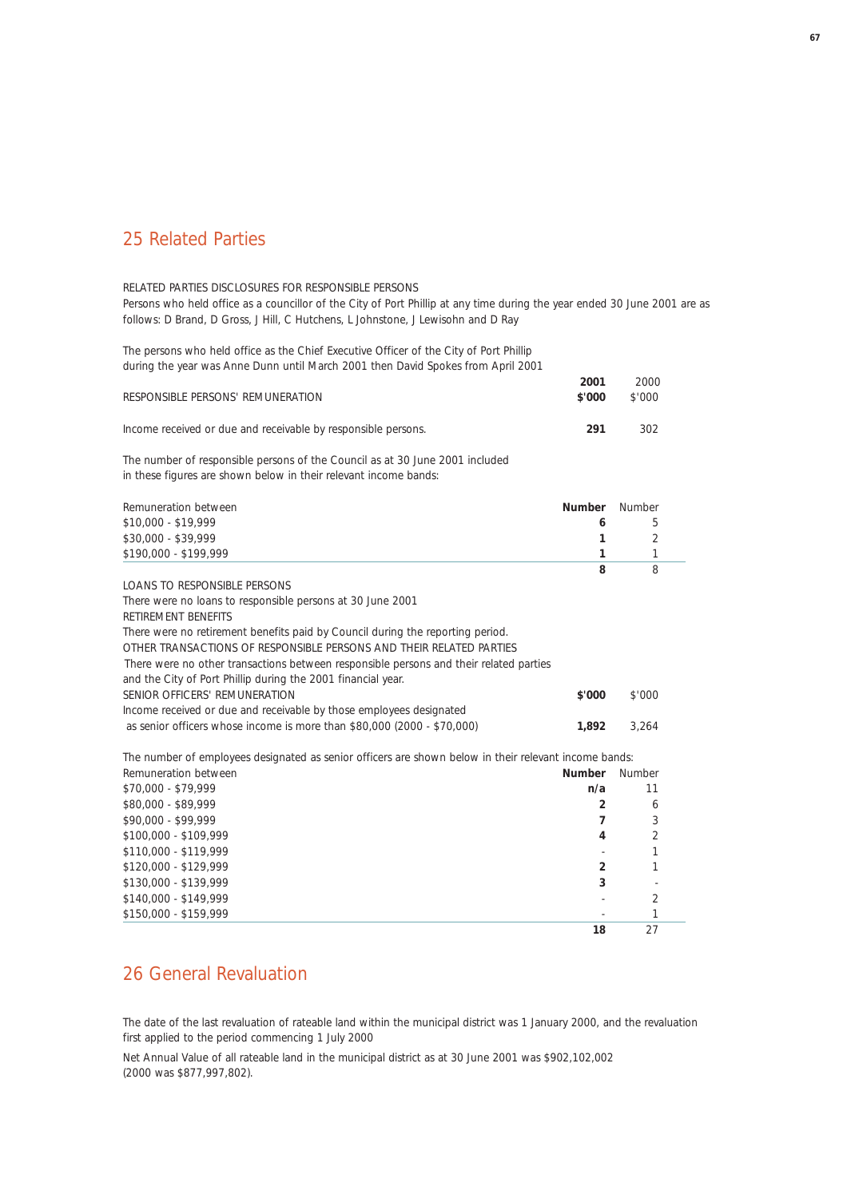### 25 Related Parties

### RELATED PARTIES DISCLOSURES FOR RESPONSIBLE PERSONS

Persons who held office as a councillor of the City of Port Phillip at any time during the year ended 30 June 2001 are as follows: D Brand, D Gross, J Hill, C Hutchens, L Johnstone, J Lewisohn and D Ray

The persons who held office as the Chief Executive Officer of the City of Port Phillip during the year was Anne Dunn until March 2001 then David Spokes from April 2001

| RESPONSIBLE PERSONS' REMUNERATION                             | 2001<br>\$'000 | 2000<br>\$'000 |
|---------------------------------------------------------------|----------------|----------------|
| Income received or due and receivable by responsible persons. | 291            | 302            |

The number of responsible persons of the Council as at 30 June 2001 included in these figures are shown below in their relevant income bands:

| Remuneration between                                                                                  | <b>Number</b>  | Number                   |
|-------------------------------------------------------------------------------------------------------|----------------|--------------------------|
| \$10,000 - \$19,999                                                                                   | 6              | 5                        |
| \$30,000 - \$39,999                                                                                   | 1              | $\mathfrak{D}$           |
| \$190,000 - \$199,999                                                                                 | 1              | 1                        |
|                                                                                                       | 8              | 8                        |
| LOANS TO RESPONSIBLE PERSONS                                                                          |                |                          |
| There were no loans to responsible persons at 30 June 2001                                            |                |                          |
| RETIREMENT BENEFITS                                                                                   |                |                          |
| There were no retirement benefits paid by Council during the reporting period.                        |                |                          |
| OTHER TRANSACTIONS OF RESPONSIBLE PERSONS AND THEIR RELATED PARTIES                                   |                |                          |
| There were no other transactions between responsible persons and their related parties                |                |                          |
| and the City of Port Phillip during the 2001 financial year.                                          |                |                          |
| SENIOR OFFICERS' REMUNERATION                                                                         | \$'000         | \$'000                   |
| Income received or due and receivable by those employees designated                                   |                |                          |
| as senior officers whose income is more than \$80,000 (2000 - \$70,000)                               | 1,892          | 3,264                    |
| The number of employees designated as senior officers are shown below in their relevant income bands: |                |                          |
| Remuneration between                                                                                  | <b>Number</b>  | Number                   |
| \$70,000 - \$79,999                                                                                   | n/a            | 11                       |
| \$80,000 - \$89,999                                                                                   | $\mathfrak{p}$ | 6                        |
| \$90,000 - \$99,999                                                                                   | 7              | 3                        |
| \$100,000 - \$109,999                                                                                 | 4              | $\overline{\mathcal{L}}$ |
| \$110,000 - \$119,999                                                                                 |                | 1                        |
| \$120,000 - \$129,999                                                                                 | $\overline{2}$ | 1                        |
| \$130,000 - \$139,999                                                                                 | 3              |                          |
| \$140,000 - \$149,999                                                                                 |                | 2                        |
| \$150,000 - \$159,999                                                                                 |                | 1                        |
|                                                                                                       | 18             | 27                       |

### 26 General Revaluation

The date of the last revaluation of rateable land within the municipal district was 1 January 2000, and the revaluation first applied to the period commencing 1 July 2000

Net Annual Value of all rateable land in the municipal district as at 30 June 2001 was \$902,102,002 (2000 was \$877,997,802).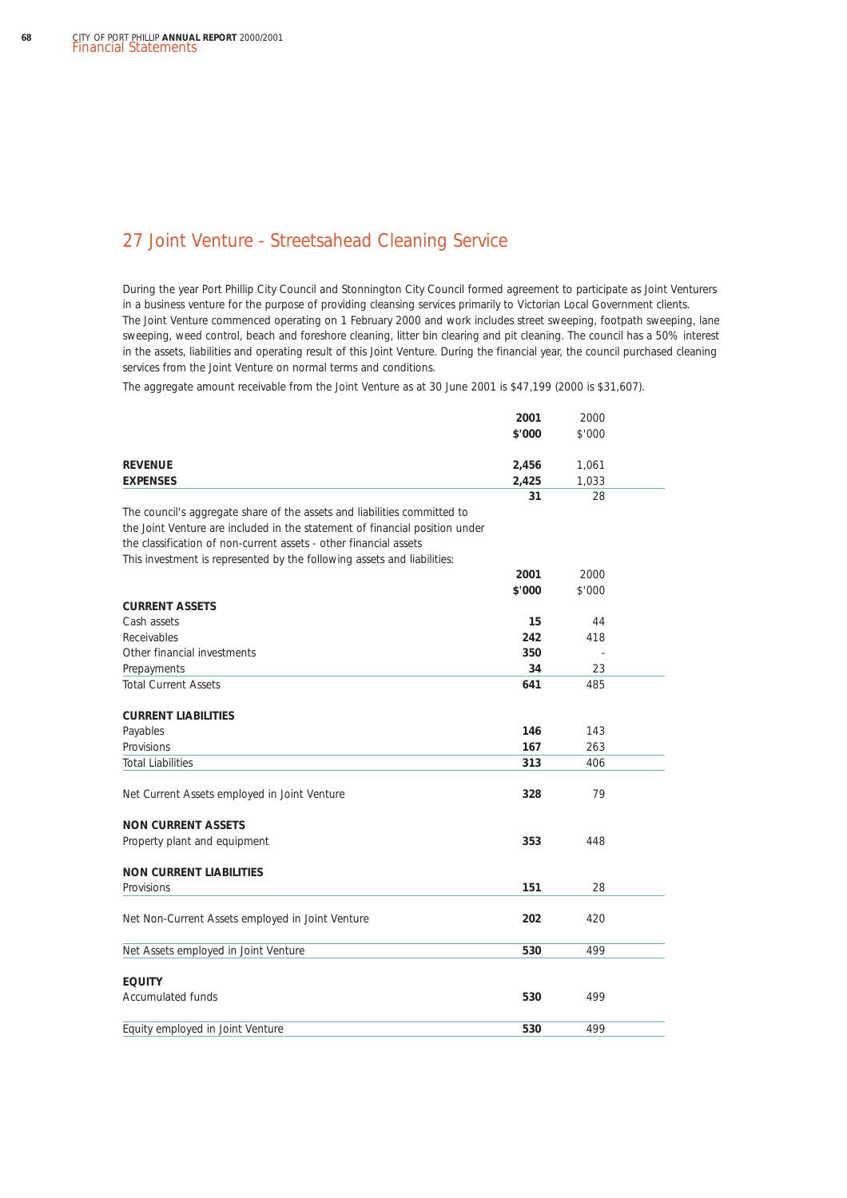## 27 Joint Venture - Streetsahead Cleaning Service

During the year Port Phillip City Council and Stonnington City Council formed agreement to participate as Joint Venturers in a business venture for the purpose of providing cleansing services primarily to Victorian Local Government clients. The Joint Venture commenced operating on 1 February 2000 and work includes street sweeping, footpath sweeping, lane sweeping, weed control, beach and foreshore cleaning, litter bin clearing and pit cleaning. The council has a 50% interest in the assets, liabilities and operating result of this Joint Venture. During the financial year, the council purchased cleaning services from the Joint Venture on normal terms and conditions.

The aggregate amount receivable from the Joint Venture as at 30 June 2001 is \$47,199 (2000 is \$31,607).

|                                                                             | 2001   | 2000   |  |
|-----------------------------------------------------------------------------|--------|--------|--|
|                                                                             | \$'000 | \$'000 |  |
| <b>REVENUE</b>                                                              | 2,456  | 1,061  |  |
| <b>EXPENSES</b>                                                             | 2,425  | 1,033  |  |
|                                                                             | 31     | 28     |  |
| The council's aggregate share of the assets and liabilities committed to    |        |        |  |
| the Joint Venture are included in the statement of financial position under |        |        |  |
| the classification of non-current assets - other financial assets           |        |        |  |
| This investment is represented by the following assets and liabilities:     |        |        |  |
|                                                                             | 2001   | 2000   |  |
|                                                                             | \$'000 | \$'000 |  |
| <b>CURRENT ASSETS</b>                                                       |        |        |  |
| Cash assets                                                                 | 15     | 44     |  |
| Receivables                                                                 | 242    | 418    |  |
| Other financial investments                                                 | 350    |        |  |
| Prepayments                                                                 | 34     | 23     |  |
| <b>Total Current Assets</b>                                                 | 641    | 485    |  |
| <b>CURRENT LIABILITIES</b>                                                  |        |        |  |
| Payables                                                                    | 146    | 143    |  |
| Provisions                                                                  | 167    | 263    |  |
| <b>Total Liabilities</b>                                                    | 313    | 406    |  |
| Net Current Assets employed in Joint Venture                                | 328    | 79     |  |
| <b>NON CURRENT ASSETS</b>                                                   |        |        |  |
| Property plant and equipment                                                | 353    | 448    |  |
| <b>NON CURRENT LIABILITIES</b>                                              |        |        |  |
| Provisions                                                                  | 151    | 28     |  |
| Net Non-Current Assets employed in Joint Venture                            | 202    | 420    |  |
|                                                                             |        |        |  |
| Net Assets employed in Joint Venture                                        | 530    | 499    |  |
| <b>EQUITY</b>                                                               |        |        |  |
| <b>Accumulated funds</b>                                                    | 530    | 499    |  |
| Equity employed in Joint Venture                                            | 530    | 499    |  |
|                                                                             |        |        |  |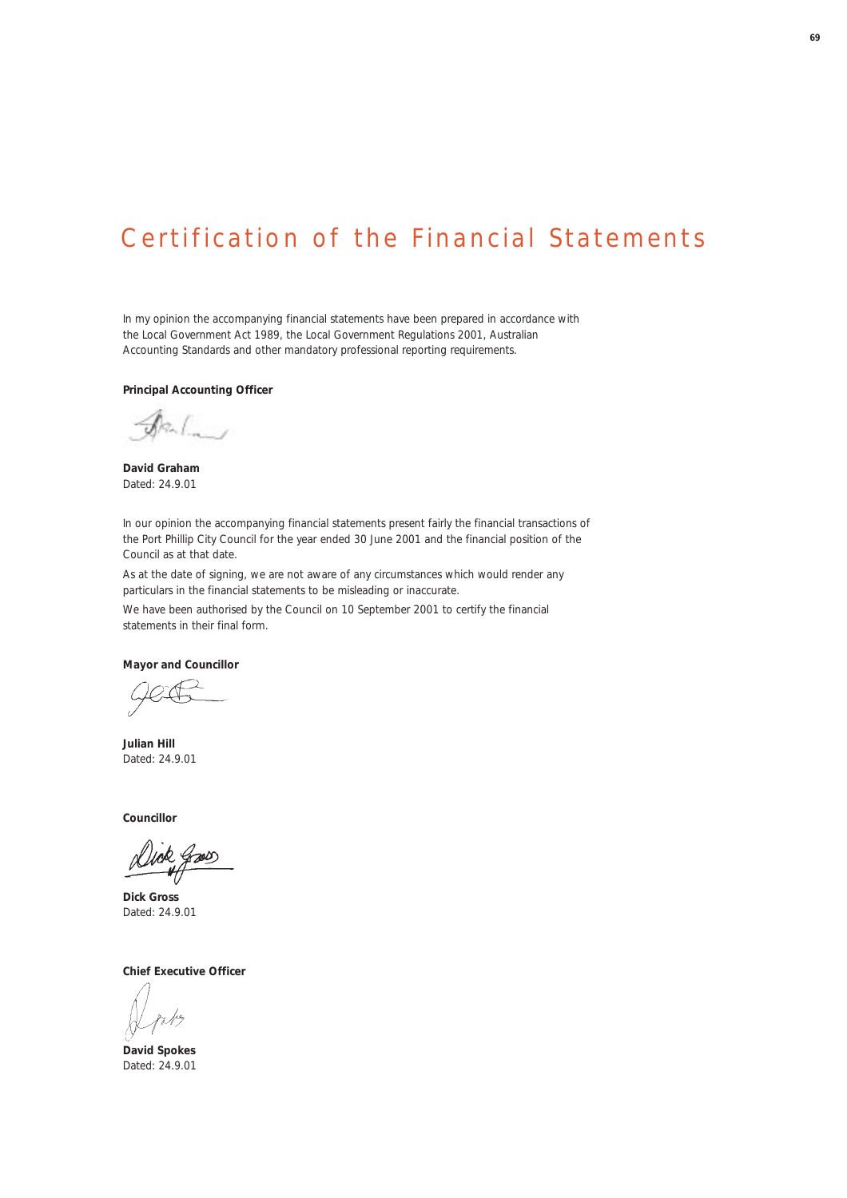# Certification of the Financial Statements

In my opinion the accompanying financial statements have been prepared in accordance with the *Local Government Act 1989*, the *Local Government Regulations 2001*, Australian Accounting Standards and other mandatory professional reporting requirements.

**Principal Accounting Officer**

**David Graham** Dated: 24.9.01

In our opinion the accompanying financial statements present fairly the financial transactions of the Port Phillip City Council for the year ended 30 June 2001 and the financial position of the Council as at that date.

As at the date of signing, we are not aware of any circumstances which would render any particulars in the financial statements to be misleading or inaccurate.

We have been authorised by the Council on 10 September 2001 to certify the financial statements in their final form.

**Mayor and Councillor**

**Julian Hill** Dated: 24.9.01

**Councillor**

**Dick Gross** Dated: 24.9.01

**Chief Executive Officer**

**David Spokes** Dated: 24.9.01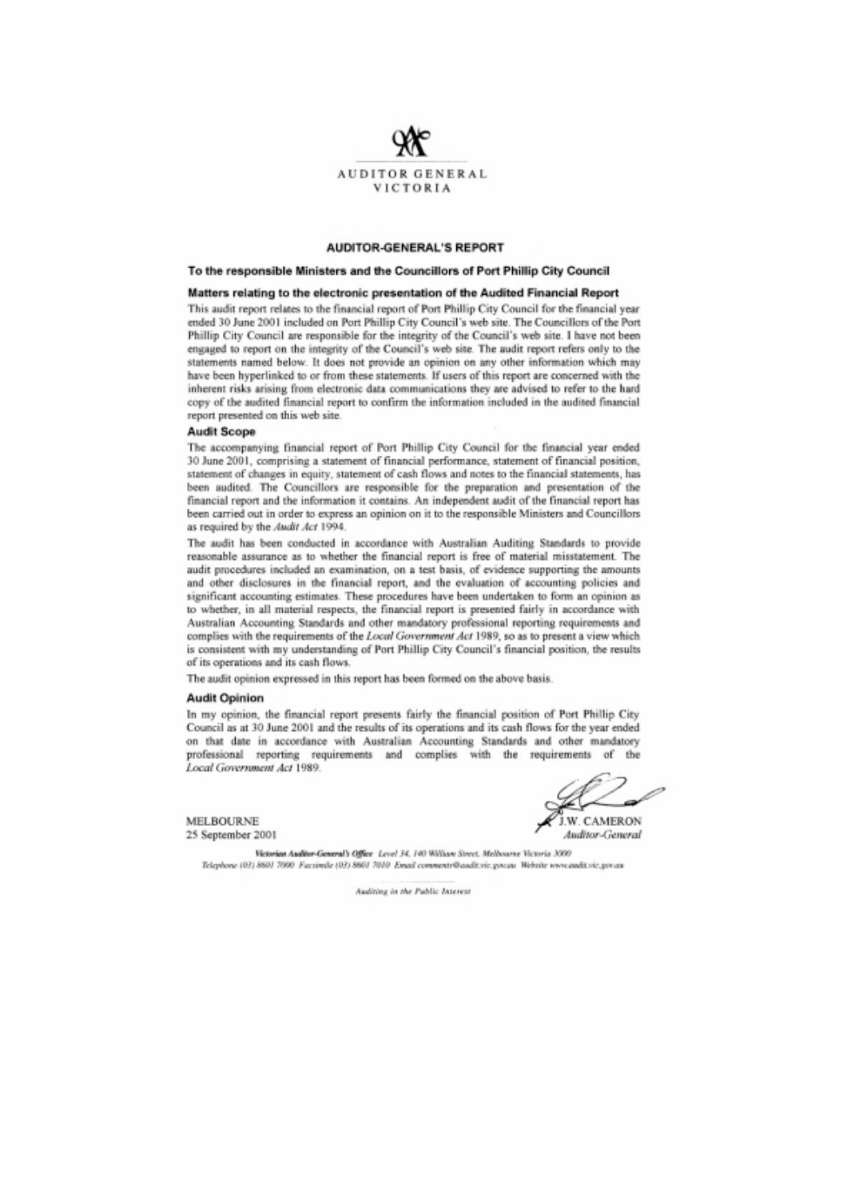

### **AUDITOR-GENERAL'S REPORT**

#### To the responsible Ministers and the Councillors of Port Phillip City Council

#### Matters relating to the electronic presentation of the Audited Financial Report

This audit report relates to the financial report of Port Phillip City Council for the financial year ended 30 June 2001 included on Port Phillip City Council's web site. The Councillors of the Port Phillip City Council are responsible for the integrity of the Council's web site. I have not been engaged to report on the integrity of the Council's web site. The audit report refers only to the statements named below. It does not provide an opinion on any other information which may have been hyperlinked to or from these statements. If users of this report are concerned with the inherent risks arising from electronic data communications they are advised to refer to the hard copy of the audited financial report to confirm the information included in the audited financial report presented on this web site.

#### **Audit Scope**

The accompanying financial report of Port Phillip City Council for the financial year ended 30 June 2001, comprising a statement of financial performance, statement of financial position, statement of changes in equity, statement of cash flows and notes to the financial statements, has been audited. The Councillors are responsible for the preparation and presentation of the financial report and the information it contains. An independent audit of the financial report has been carried out in order to express an opinion on it to the responsible Ministers and Councillors as required by the Audit Act 1994.

The audit has been conducted in accordance with Australian Auditing Standards to provide reasonable assurance as to whether the financial report is free of material misstatement. The audit procedures included an examination, on a test basis, of evidence supporting the amounts and other disclosures in the financial report, and the evaluation of accounting policies and significant accounting estimates. These procedures have been undertaken to form an opinion as to whether, in all material respects, the financial report is presented fairly in accordance with Australian Accounting Standards and other mandatory professional reporting requirements and complies with the requirements of the Local Government Act 1989, so as to present a view which is consistent with my understanding of Port Phillip City Council's financial position, the results of its operations and its cash flows.

The audit opinion expressed in this report has been formed on the above basis.

#### **Audit Opinion**

In my opinion, the financial report presents fairly the financial position of Port Phillip City Council as at 30 June 2001 and the results of its operations and its cash flows for the year ended on that date in accordance with Australian Accounting Standards and other mandatory professional reporting requirements and complies with the requirements of the Local Government Act 1989.

**MELBOURNE** 25 September 2001

**J.W. CAMERON** 

Auditor-General

Victorian Auditor-General's Office Level 34, 140 William Street, Melbourne Victoria 3000 Telephone (03) 860/ 7000 Facsimile (03) 860/ 7010 Email comments@audit.vic.gov.au Website www.audit.vic.gov.au

Auditing in the Public Interest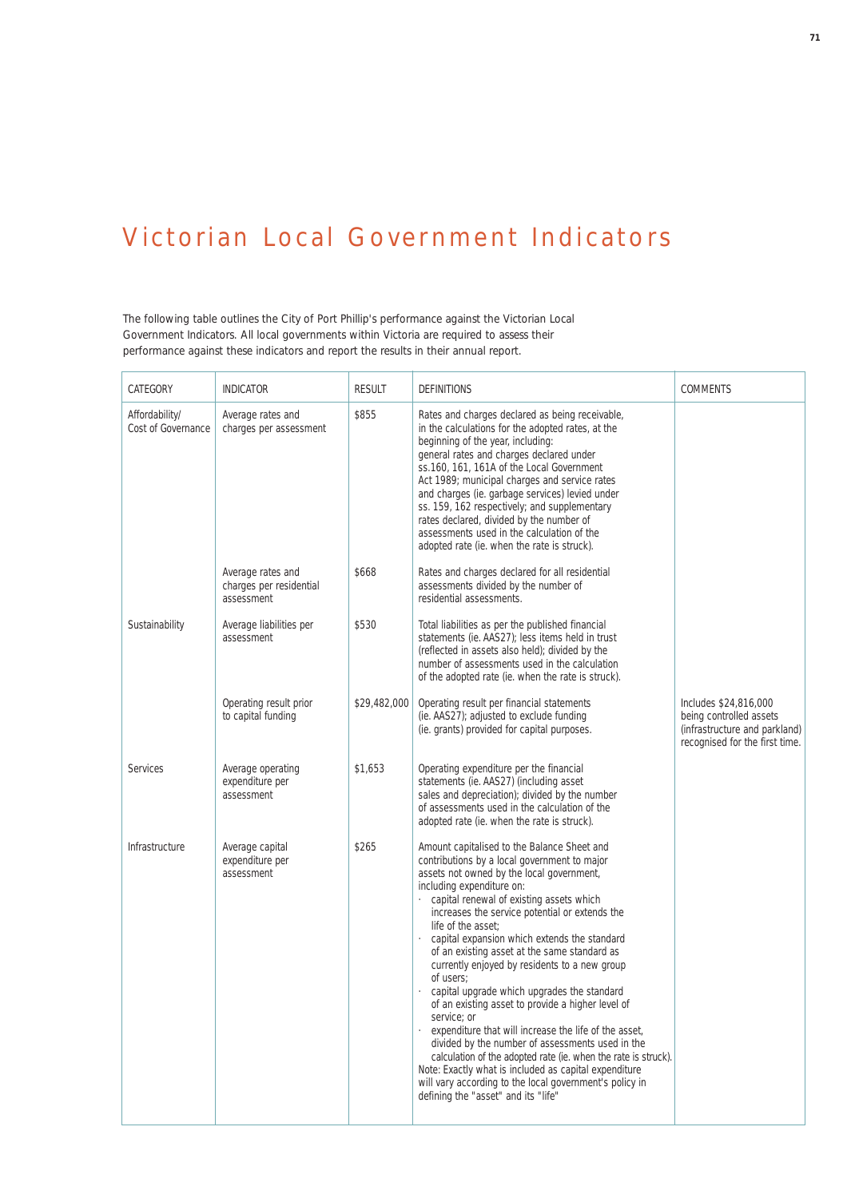# Victorian Local Government Indicators

The following table outlines the City of Port Phillip's performance against the Victorian Local Government Indicators. All local governments within Victoria are required to assess their performance against these indicators and report the results in their annual report.

| CATEGORY                             | <b>INDICATOR</b>                                           | <b>RESULT</b> | <b>DEFINITIONS</b>                                                                                                                                                                                                                                                                                                                                                                                                                                                                                                                                                                                                                                                                                                                                                                                                                                                                                                   | <b>COMMENTS</b>                                                                                                     |
|--------------------------------------|------------------------------------------------------------|---------------|----------------------------------------------------------------------------------------------------------------------------------------------------------------------------------------------------------------------------------------------------------------------------------------------------------------------------------------------------------------------------------------------------------------------------------------------------------------------------------------------------------------------------------------------------------------------------------------------------------------------------------------------------------------------------------------------------------------------------------------------------------------------------------------------------------------------------------------------------------------------------------------------------------------------|---------------------------------------------------------------------------------------------------------------------|
| Affordability/<br>Cost of Governance | Average rates and<br>charges per assessment                | \$855         | Rates and charges declared as being receivable,<br>in the calculations for the adopted rates, at the<br>beginning of the year, including:<br>general rates and charges declared under<br>ss.160, 161, 161A of the Local Government<br>Act 1989; municipal charges and service rates<br>and charges (ie. garbage services) levied under<br>ss. 159, 162 respectively; and supplementary<br>rates declared, divided by the number of<br>assessments used in the calculation of the<br>adopted rate (ie. when the rate is struck).                                                                                                                                                                                                                                                                                                                                                                                      |                                                                                                                     |
|                                      | Average rates and<br>charges per residential<br>assessment | \$668         | Rates and charges declared for all residential<br>assessments divided by the number of<br>residential assessments.                                                                                                                                                                                                                                                                                                                                                                                                                                                                                                                                                                                                                                                                                                                                                                                                   |                                                                                                                     |
| Sustainability                       | Average liabilities per<br>assessment                      | \$530         | Total liabilities as per the published financial<br>statements (ie. AAS27); less items held in trust<br>(reflected in assets also held); divided by the<br>number of assessments used in the calculation<br>of the adopted rate (ie. when the rate is struck).                                                                                                                                                                                                                                                                                                                                                                                                                                                                                                                                                                                                                                                       |                                                                                                                     |
|                                      | Operating result prior<br>to capital funding               | \$29,482,000  | Operating result per financial statements<br>(ie. AAS27); adjusted to exclude funding<br>(ie. grants) provided for capital purposes.                                                                                                                                                                                                                                                                                                                                                                                                                                                                                                                                                                                                                                                                                                                                                                                 | Includes \$24,816,000<br>being controlled assets<br>(infrastructure and parkland)<br>recognised for the first time. |
| <b>Services</b>                      | Average operating<br>expenditure per<br>assessment         | \$1,653       | Operating expenditure per the financial<br>statements (ie. AAS27) (including asset<br>sales and depreciation); divided by the number<br>of assessments used in the calculation of the<br>adopted rate (ie. when the rate is struck).                                                                                                                                                                                                                                                                                                                                                                                                                                                                                                                                                                                                                                                                                 |                                                                                                                     |
| Infrastructure                       | Average capital<br>expenditure per<br>assessment           | \$265         | Amount capitalised to the Balance Sheet and<br>contributions by a local government to major<br>assets not owned by the local government,<br>including expenditure on:<br>capital renewal of existing assets which<br>increases the service potential or extends the<br>life of the asset:<br>capital expansion which extends the standard<br>of an existing asset at the same standard as<br>currently enjoyed by residents to a new group<br>of users;<br>capital upgrade which upgrades the standard<br>of an existing asset to provide a higher level of<br>service; or<br>expenditure that will increase the life of the asset,<br>divided by the number of assessments used in the<br>calculation of the adopted rate (ie. when the rate is struck).<br>Note: Exactly what is included as capital expenditure<br>will vary according to the local government's policy in<br>defining the "asset" and its "life" |                                                                                                                     |